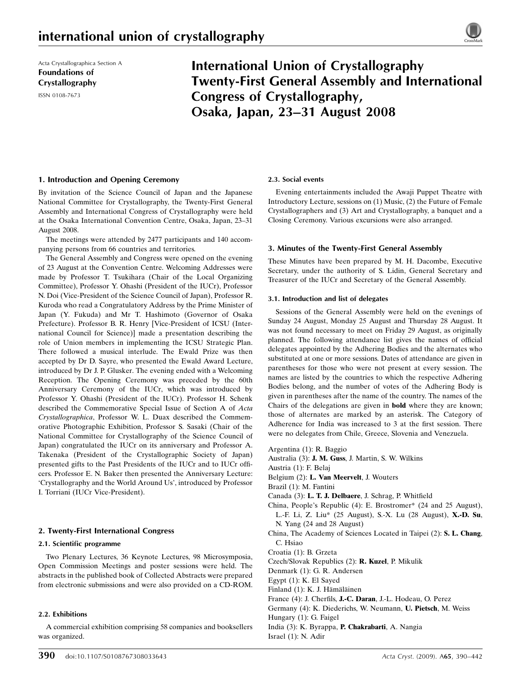Acta Crystallographica Section A Foundations of Crystallography ISSN 0108-7673

## International Union of Crystallography Twenty-First General Assembly and International Congress of Crystallography, Osaka, Japan, 23–31 August 2008

#### 1. Introduction and Opening Ceremony

By invitation of the Science Council of Japan and the Japanese National Committee for Crystallography, the Twenty-First General Assembly and International Congress of Crystallography were held at the Osaka International Convention Centre, Osaka, Japan, 23–31 August 2008.

The meetings were attended by 2477 participants and 140 accompanying persons from 66 countries and territories.

The General Assembly and Congress were opened on the evening of 23 August at the Convention Centre. Welcoming Addresses were made by Professor T. Tsukihara (Chair of the Local Organizing Committee), Professor Y. Ohashi (President of the IUCr), Professor N. Doi (Vice-President of the Science Council of Japan), Professor R. Kuroda who read a Congratulatory Address by the Prime Minister of Japan (Y. Fukuda) and Mr T. Hashimoto (Governor of Osaka Prefecture). Professor B. R. Henry [Vice-President of ICSU (International Council for Science)] made a presentation describing the role of Union members in implementing the ICSU Strategic Plan. There followed a musical interlude. The Ewald Prize was then accepted by Dr D. Sayre, who presented the Ewald Award Lecture, introduced by Dr J. P. Glusker. The evening ended with a Welcoming Reception. The Opening Ceremony was preceded by the 60th Anniversary Ceremony of the IUCr, which was introduced by Professor Y. Ohashi (President of the IUCr). Professor H. Schenk described the Commemorative Special Issue of Section A of Acta Crystallographica, Professor W. L. Duax described the Commemorative Photographic Exhibition, Professor S. Sasaki (Chair of the National Committee for Crystallography of the Science Council of Japan) congratulated the IUCr on its anniversary and Professor A. Takenaka (President of the Crystallographic Society of Japan) presented gifts to the Past Presidents of the IUCr and to IUCr officers. Professor E. N. Baker then presented the Anniversary Lecture: 'Crystallography and the World Around Us', introduced by Professor I. Torriani (IUCr Vice-President).

#### 2. Twenty-First International Congress

#### 2.1. Scientific programme

Two Plenary Lectures, 36 Keynote Lectures, 98 Microsymposia, Open Commission Meetings and poster sessions were held. The abstracts in the published book of Collected Abstracts were prepared from electronic submissions and were also provided on a CD-ROM.

#### 2.2. Exhibitions

A commercial exhibition comprising 58 companies and booksellers was organized.

#### 2.3. Social events

Evening entertainments included the Awaji Puppet Theatre with Introductory Lecture, sessions on (1) Music, (2) the Future of Female Crystallographers and (3) Art and Crystallography, a banquet and a Closing Ceremony. Various excursions were also arranged.

#### 3. Minutes of the Twenty-First General Assembly

These Minutes have been prepared by M. H. Dacombe, Executive Secretary, under the authority of S. Lidin, General Secretary and Treasurer of the IUCr and Secretary of the General Assembly.

#### 3.1. Introduction and list of delegates

Sessions of the General Assembly were held on the evenings of Sunday 24 August, Monday 25 August and Thursday 28 August. It was not found necessary to meet on Friday 29 August, as originally planned. The following attendance list gives the names of official delegates appointed by the Adhering Bodies and the alternates who substituted at one or more sessions. Dates of attendance are given in parentheses for those who were not present at every session. The names are listed by the countries to which the respective Adhering Bodies belong, and the number of votes of the Adhering Body is given in parentheses after the name of the country. The names of the Chairs of the delegations are given in bold where they are known; those of alternates are marked by an asterisk. The Category of Adherence for India was increased to 3 at the first session. There were no delegates from Chile, Greece, Slovenia and Venezuela.

Argentina (1): R. Baggio

Australia (3): J. M. Guss, J. Martin, S. W. Wilkins

Austria (1): F. Belaj

Belgium (2): L. Van Meervelt, J. Wouters

Brazil (1): M. Fantini

- Canada (3): L. T. J. Delbaere, J. Schrag, P. Whitfield
- China, People's Republic (4): E. Brostromer\* (24 and 25 August), L.-F. Li, Z. Liu\* (25 August), S.-X. Lu (28 August), X.-D. Su, N. Yang (24 and 28 August)
- China, The Academy of Sciences Located in Taipei (2): S. L. Chang, C. Hsiao
- Croatia (1): B. Grzeta
- Czech/Slovak Republics (2): R. Kuzel, P. Mikulik
- Denmark (1): G. R. Andersen
- Egypt (1): K. El Sayed
- Finland (1): K. J. Hämäläinen
- France (4): J. Cherfils, J.-C. Daran, J.-L. Hodeau, O. Perez
- Germany (4): K. Diederichs, W. Neumann, U. Pietsch, M. Weiss
- Hungary (1): G. Faigel

India (3): K. Byrappa, P. Chakrabarti, A. Nangia

Israel (1): N. Adir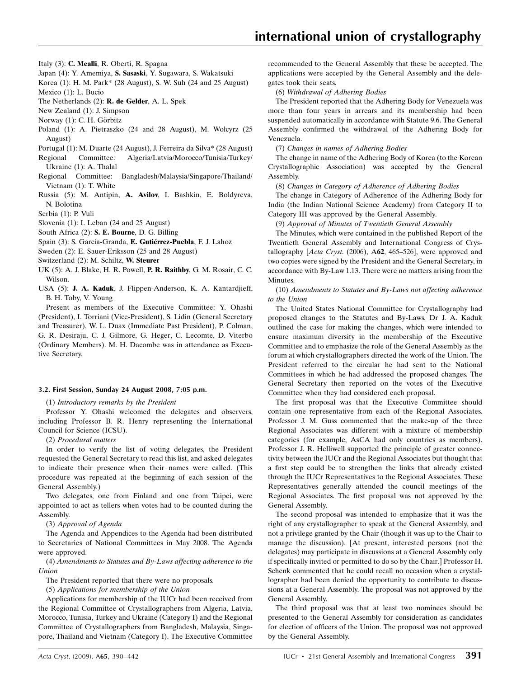Italy (3): C. Mealli, R. Oberti, R. Spagna

- Japan (4): Y. Amemiya, S. Sasaski, Y. Sugawara, S. Wakatsuki
- Korea (1): H. M. Park\* (28 August), S. W. Suh (24 and 25 August) Mexico (1): L. Bucio

The Netherlands (2): R. de Gelder, A. L. Spek

New Zealand (1): J. Simpson

Norway (1): C. H. Görbitz

- Poland (1): A. Pietraszko (24 and 28 August), M. Wołcyrz (25 August)
- Portugal (1): M. Duarte (24 August), J. Ferreira da Silva\* (28 August)
- Regional Committee: Algeria/Latvia/Morocco/Tunisia/Turkey/ Ukraine (1): A. Thalal
- Regional Committee: Bangladesh/Malaysia/Singapore/Thailand/ Vietnam (1): T. White
- Russia (5): M. Antipin, A. Avilov, I. Bashkin, E. Boldyreva, N. Bolotina

Serbia (1): P. Vuli

Slovenia (1): I. Leban (24 and 25 August)

South Africa (2): S. E. Bourne, D. G. Billing

Spain (3): S. García-Granda, E. Gutiérrez-Puebla, F. J. Lahoz

Sweden (2): E. Sauer-Eriksson (25 and 28 August)

- Switzerland (2): M. Schiltz, W. Steurer
- UK (5): A. J. Blake, H. R. Powell, P. R. Raithby, G. M. Rosair, C. C. Wilson.
- USA (5): J. A. Kaduk, J. Flippen-Anderson, K. A. Kantardjieff, B. H. Toby, V. Young

Present as members of the Executive Committee: Y. Ohashi (President), I. Torriani (Vice-President), S. Lidin (General Secretary and Treasurer), W. L. Duax (Immediate Past President), P. Colman, G. R. Desiraju, C. J. Gilmore, G. Heger, C. Lecomte, D. Viterbo (Ordinary Members). M. H. Dacombe was in attendance as Executive Secretary.

#### 3.2. First Session, Sunday 24 August 2008, 7:05 p.m.

#### (1) Introductory remarks by the President

Professor Y. Ohashi welcomed the delegates and observers, including Professor B. R. Henry representing the International Council for Science (ICSU).

(2) Procedural matters

In order to verify the list of voting delegates, the President requested the General Secretary to read this list, and asked delegates to indicate their presence when their names were called. (This procedure was repeated at the beginning of each session of the General Assembly.)

Two delegates, one from Finland and one from Taipei, were appointed to act as tellers when votes had to be counted during the Assembly.

(3) Approval of Agenda

The Agenda and Appendices to the Agenda had been distributed to Secretaries of National Committees in May 2008. The Agenda were approved.

(4) Amendments to Statutes and By-Laws affecting adherence to the Union

The President reported that there were no proposals.

(5) Applications for membership of the Union

Applications for membership of the IUCr had been received from the Regional Committee of Crystallographers from Algeria, Latvia, Morocco, Tunisia, Turkey and Ukraine (Category I) and the Regional Committee of Crystallographers from Bangladesh, Malaysia, Singapore, Thailand and Vietnam (Category I). The Executive Committee recommended to the General Assembly that these be accepted. The applications were accepted by the General Assembly and the delegates took their seats.

(6) Withdrawal of Adhering Bodies

The President reported that the Adhering Body for Venezuela was more than four years in arrears and its membership had been suspended automatically in accordance with Statute 9.6. The General Assembly confirmed the withdrawal of the Adhering Body for Venezuela.

(7) Changes in names of Adhering Bodies

The change in name of the Adhering Body of Korea (to the Korean Crystallographic Association) was accepted by the General Assembly.

(8) Changes in Category of Adherence of Adhering Bodies

The change in Category of Adherence of the Adhering Body for India (the Indian National Science Academy) from Category II to Category III was approved by the General Assembly.

(9) Approval of Minutes of Twentieth General Assembly

The Minutes, which were contained in the published Report of the Twentieth General Assembly and International Congress of Crystallography [Acta Cryst. (2006), A62, 465–526], were approved and two copies were signed by the President and the General Secretary, in accordance with By-Law 1.13. There were no matters arising from the Minutes.

(10) Amendments to Statutes and By-Laws not affecting adherence to the Union

The United States National Committee for Crystallography had proposed changes to the Statutes and By-Laws. Dr J. A. Kaduk outlined the case for making the changes, which were intended to ensure maximum diversity in the membership of the Executive Committee and to emphasize the role of the General Assembly as the forum at which crystallographers directed the work of the Union. The President referred to the circular he had sent to the National Committees in which he had addressed the proposed changes. The General Secretary then reported on the votes of the Executive Committee when they had considered each proposal.

The first proposal was that the Executive Committee should contain one representative from each of the Regional Associates. Professor J. M. Guss commented that the make-up of the three Regional Associates was different with a mixture of membership categories (for example, AsCA had only countries as members). Professor J. R. Helliwell supported the principle of greater connectivity between the IUCr and the Regional Associates but thought that a first step could be to strengthen the links that already existed through the IUCr Representatives to the Regional Associates. These Representatives generally attended the council meetings of the Regional Associates. The first proposal was not approved by the General Assembly.

The second proposal was intended to emphasize that it was the right of any crystallographer to speak at the General Assembly, and not a privilege granted by the Chair (though it was up to the Chair to manage the discussion). [At present, interested persons (not the delegates) may participate in discussions at a General Assembly only if specifically invited or permitted to do so by the Chair.] Professor H. Schenk commented that he could recall no occasion when a crystallographer had been denied the opportunity to contribute to discussions at a General Assembly. The proposal was not approved by the General Assembly.

The third proposal was that at least two nominees should be presented to the General Assembly for consideration as candidates for election of officers of the Union. The proposal was not approved by the General Assembly.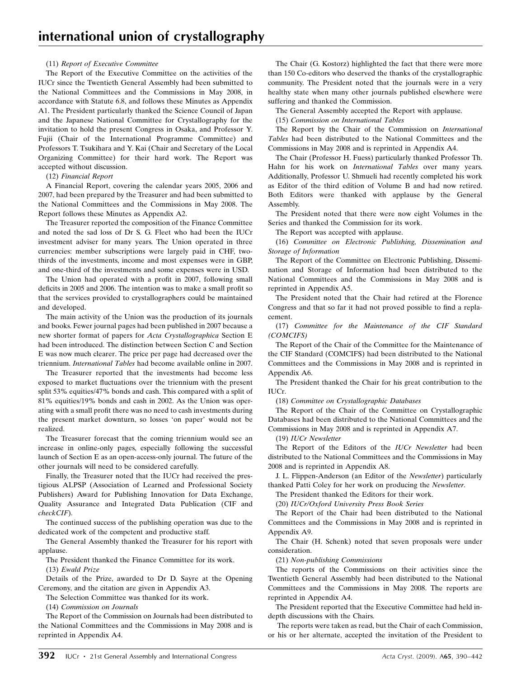## (11) Report of Executive Committee

The Report of the Executive Committee on the activities of the IUCr since the Twentieth General Assembly had been submitted to the National Committees and the Commissions in May 2008, in accordance with Statute 6.8, and follows these Minutes as Appendix A1. The President particularly thanked the Science Council of Japan and the Japanese National Committee for Crystallography for the invitation to hold the present Congress in Osaka, and Professor Y. Fujii (Chair of the International Programme Committee) and Professors T. Tsukihara and Y. Kai (Chair and Secretary of the Local Organizing Committee) for their hard work. The Report was accepted without discussion.

#### (12) Financial Report

A Financial Report, covering the calendar years 2005, 2006 and 2007, had been prepared by the Treasurer and had been submitted to the National Committees and the Commissions in May 2008. The Report follows these Minutes as Appendix A2.

The Treasurer reported the composition of the Finance Committee and noted the sad loss of Dr S. G. Fleet who had been the IUCr investment adviser for many years. The Union operated in three currencies: member subscriptions were largely paid in CHF, twothirds of the investments, income and most expenses were in GBP, and one-third of the investments and some expenses were in USD.

The Union had operated with a profit in 2007, following small deficits in 2005 and 2006. The intention was to make a small profit so that the services provided to crystallographers could be maintained and developed.

The main activity of the Union was the production of its journals and books. Fewer journal pages had been published in 2007 because a new shorter format of papers for Acta Crystallographica Section E had been introduced. The distinction between Section C and Section E was now much clearer. The price per page had decreased over the triennium. International Tables had become available online in 2007.

The Treasurer reported that the investments had become less exposed to market fluctuations over the triennium with the present split 53% equities/47% bonds and cash. This compared with a split of 81% equities/19% bonds and cash in 2002. As the Union was operating with a small profit there was no need to cash investments during the present market downturn, so losses 'on paper' would not be realized.

The Treasurer forecast that the coming triennium would see an increase in online-only pages, especially following the successful launch of Section E as an open-access-only journal. The future of the other journals will need to be considered carefully.

Finally, the Treasurer noted that the IUCr had received the prestigious ALPSP (Association of Learned and Professional Society Publishers) Award for Publishing Innovation for Data Exchange, Quality Assurance and Integrated Data Publication (CIF and checkCIF).

The continued success of the publishing operation was due to the dedicated work of the competent and productive staff.

The General Assembly thanked the Treasurer for his report with applause.

The President thanked the Finance Committee for its work.

(13) Ewald Prize

Details of the Prize, awarded to Dr D. Sayre at the Opening Ceremony, and the citation are given in Appendix A3.

The Selection Committee was thanked for its work.

(14) Commission on Journals

The Report of the Commission on Journals had been distributed to the National Committees and the Commissions in May 2008 and is reprinted in Appendix A4.

The Chair (G. Kostorz) highlighted the fact that there were more than 150 Co-editors who deserved the thanks of the crystallographic community. The President noted that the journals were in a very healthy state when many other journals published elsewhere were suffering and thanked the Commission.

The General Assembly accepted the Report with applause.

(15) Commission on International Tables

The Report by the Chair of the Commission on International Tables had been distributed to the National Committees and the Commissions in May 2008 and is reprinted in Appendix A4.

The Chair (Professor H. Fuess) particularly thanked Professor Th. Hahn for his work on International Tables over many years. Additionally, Professor U. Shmueli had recently completed his work as Editor of the third edition of Volume B and had now retired. Both Editors were thanked with applause by the General Assembly.

The President noted that there were now eight Volumes in the Series and thanked the Commission for its work.

The Report was accepted with applause.

(16) Committee on Electronic Publishing, Dissemination and Storage of Information

The Report of the Committee on Electronic Publishing, Dissemination and Storage of Information had been distributed to the National Committees and the Commissions in May 2008 and is reprinted in Appendix A5.

The President noted that the Chair had retired at the Florence Congress and that so far it had not proved possible to find a replacement.

(17) Committee for the Maintenance of the CIF Standard (COMCIFS)

The Report of the Chair of the Committee for the Maintenance of the CIF Standard (COMCIFS) had been distributed to the National Committees and the Commissions in May 2008 and is reprinted in Appendix A6.

The President thanked the Chair for his great contribution to the IUCr.

(18) Committee on Crystallographic Databases

The Report of the Chair of the Committee on Crystallographic Databases had been distributed to the National Committees and the Commissions in May 2008 and is reprinted in Appendix A7.

(19) IUCr Newsletter

The Report of the Editors of the IUCr Newsletter had been distributed to the National Committees and the Commissions in May 2008 and is reprinted in Appendix A8.

J. L. Flippen-Anderson (an Editor of the Newsletter) particularly thanked Patti Coley for her work on producing the Newsletter.

The President thanked the Editors for their work.

(20) IUCr/Oxford University Press Book Series

The Report of the Chair had been distributed to the National Committees and the Commissions in May 2008 and is reprinted in Appendix A9.

The Chair (H. Schenk) noted that seven proposals were under consideration.

(21) Non-publishing Commissions

The reports of the Commissions on their activities since the Twentieth General Assembly had been distributed to the National Committees and the Commissions in May 2008. The reports are reprinted in Appendix A4.

The President reported that the Executive Committee had held indepth discussions with the Chairs.

The reports were taken as read, but the Chair of each Commission, or his or her alternate, accepted the invitation of the President to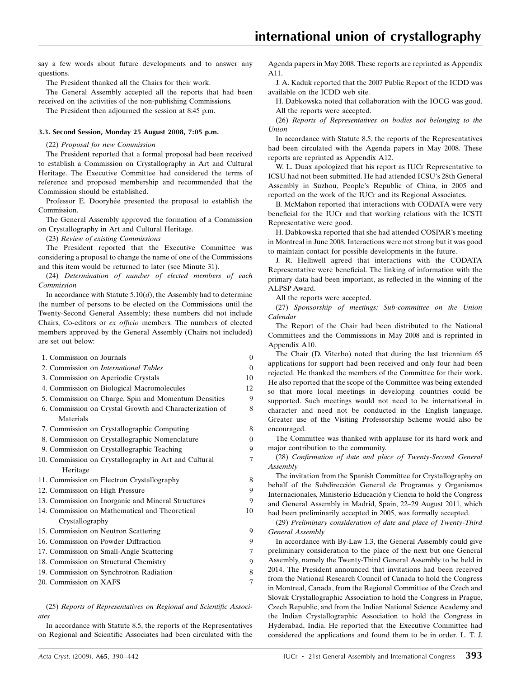say a few words about future developments and to answer any questions.

The President thanked all the Chairs for their work.

The General Assembly accepted all the reports that had been received on the activities of the non-publishing Commissions.

The President then adjourned the session at 8:45 p.m.

#### 3.3. Second Session, Monday 25 August 2008, 7:05 p.m.

(22) Proposal for new Commission

The President reported that a formal proposal had been received to establish a Commission on Crystallography in Art and Cultural Heritage. The Executive Committee had considered the terms of reference and proposed membership and recommended that the Commission should be established.

Professor E. Dooryhée presented the proposal to establish the Commission.

The General Assembly approved the formation of a Commission on Crystallography in Art and Cultural Heritage.

(23) Review of existing Commissions

The President reported that the Executive Committee was considering a proposal to change the name of one of the Commissions and this item would be returned to later (see Minute 31).

(24) Determination of number of elected members of each Commission

In accordance with Statute  $5.10(d)$ , the Assembly had to determine the number of persons to be elected on the Commissions until the Twenty-Second General Assembly; these numbers did not include Chairs, Co-editors or ex officio members. The numbers of elected members approved by the General Assembly (Chairs not included) are set out below:

| 1. Commission on Journals |                                                         | $\overline{0}$ |
|---------------------------|---------------------------------------------------------|----------------|
|                           | 2. Commission on <i>International Tables</i>            | $\theta$       |
|                           | 3. Commission on Aperiodic Crystals                     | 10             |
|                           | 4. Commission on Biological Macromolecules              | 12             |
|                           | 5. Commission on Charge, Spin and Momentum Densities    | 9              |
|                           | 6. Commission on Crystal Growth and Characterization of | 8              |
| Materials                 |                                                         |                |
|                           | 7. Commission on Crystallographic Computing             | 8              |
|                           | 8. Commission on Crystallographic Nomenclature          | $\theta$       |
|                           | 9. Commission on Crystallographic Teaching              | 9              |
|                           | 10. Commission on Crystallography in Art and Cultural   | 7              |
| Heritage                  |                                                         |                |
|                           | 11. Commission on Electron Crystallography              | 8              |
|                           | 12. Commission on High Pressure                         | 9              |
|                           | 13. Commission on Inorganic and Mineral Structures      | 9              |
|                           | 14. Commission on Mathematical and Theoretical          | 10             |
| Crystallography           |                                                         |                |
|                           | 15. Commission on Neutron Scattering                    | 9              |
|                           | 16. Commission on Powder Diffraction                    | 9              |
|                           | 17. Commission on Small-Angle Scattering                | 7              |
|                           | 18. Commission on Structural Chemistry                  | 9              |
|                           | 19. Commission on Synchrotron Radiation                 | 8              |
| 20. Commission on XAFS    |                                                         | 7              |
|                           |                                                         |                |

(25) Reports of Representatives on Regional and Scientific Associates

In accordance with Statute 8.5, the reports of the Representatives on Regional and Scientific Associates had been circulated with the

Agenda papers in May 2008. These reports are reprinted as Appendix A11.

J. A. Kaduk reported that the 2007 Public Report of the ICDD was available on the ICDD web site.

H. Dabkowska noted that collaboration with the IOCG was good. All the reports were accepted.

(26) Reports of Representatives on bodies not belonging to the Union

In accordance with Statute 8.5, the reports of the Representatives had been circulated with the Agenda papers in May 2008. These reports are reprinted as Appendix A12.

W. L. Duax apologized that his report as IUCr Representative to ICSU had not been submitted. He had attended ICSU's 28th General Assembly in Suzhou, People's Republic of China, in 2005 and reported on the work of the IUCr and its Regional Associates.

B. McMahon reported that interactions with CODATA were very beneficial for the IUCr and that working relations with the ICSTI Representative were good.

H. Dabkowska reported that she had attended COSPAR's meeting in Montreal in June 2008. Interactions were not strong but it was good to maintain contact for possible developments in the future.

J. R. Helliwell agreed that interactions with the CODATA Representative were beneficial. The linking of information with the primary data had been important, as reflected in the winning of the ALPSP Award.

All the reports were accepted.

(27) Sponsorship of meetings: Sub-committee on the Union Calendar

The Report of the Chair had been distributed to the National Committees and the Commissions in May 2008 and is reprinted in Appendix A10.

The Chair (D. Viterbo) noted that during the last triennium 65 applications for support had been received and only four had been rejected. He thanked the members of the Committee for their work. He also reported that the scope of the Committee was being extended so that more local meetings in developing countries could be supported. Such meetings would not need to be international in character and need not be conducted in the English language. Greater use of the Visiting Professorship Scheme would also be encouraged.

The Committee was thanked with applause for its hard work and major contribution to the community.

(28) Confirmation of date and place of Twenty-Second General Assembly

The invitation from the Spanish Committee for Crystallography on behalf of the Subdirección General de Programas y Organismos Internacionales, Ministerio Educación y Ciencia to hold the Congress and General Assembly in Madrid, Spain, 22–29 August 2011, which had been preliminarily accepted in 2005, was formally accepted.

(29) Preliminary consideration of date and place of Twenty-Third General Assembly

In accordance with By-Law 1.3, the General Assembly could give preliminary consideration to the place of the next but one General Assembly, namely the Twenty-Third General Assembly to be held in 2014. The President announced that invitations had been received from the National Research Council of Canada to hold the Congress in Montreal, Canada, from the Regional Committee of the Czech and Slovak Crystallographic Association to hold the Congress in Prague, Czech Republic, and from the Indian National Science Academy and the Indian Crystallographic Association to hold the Congress in Hyderabad, India. He reported that the Executive Committee had considered the applications and found them to be in order. L. T. J.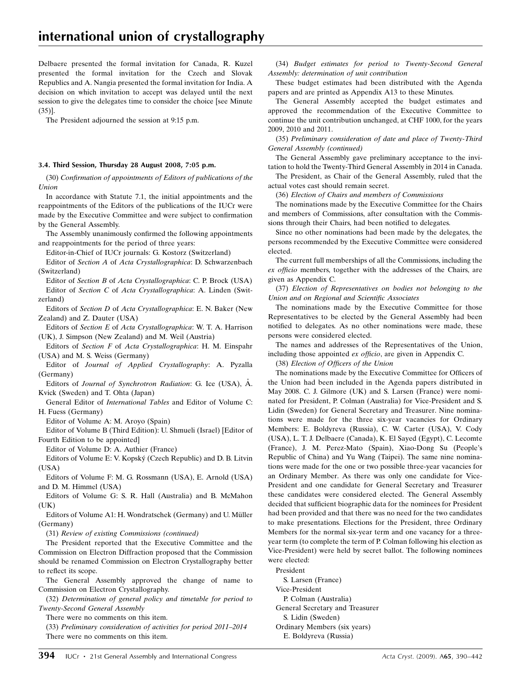Delbaere presented the formal invitation for Canada, R. Kuzel presented the formal invitation for the Czech and Slovak Republics and A. Nangia presented the formal invitation for India. A decision on which invitation to accept was delayed until the next session to give the delegates time to consider the choice [see Minute (35)].

The President adjourned the session at 9:15 p.m.

## 3.4. Third Session, Thursday 28 August 2008, 7:05 p.m.

(30) Confirmation of appointments of Editors of publications of the Union

In accordance with Statute 7.1, the initial appointments and the reappointments of the Editors of the publications of the IUCr were made by the Executive Committee and were subject to confirmation by the General Assembly.

The Assembly unanimously confirmed the following appointments and reappointments for the period of three years:

Editor-in-Chief of IUCr journals: G. Kostorz (Switzerland)

Editor of Section A of Acta Crystallographica: D. Schwarzenbach (Switzerland)

Editor of Section B of Acta Crystallographica: C. P. Brock (USA) Editor of Section C of Acta Crystallographica: A. Linden (Switzerland)

Editors of Section D of Acta Crystallographica: E. N. Baker (New Zealand) and Z. Dauter (USA)

Editors of Section E of Acta Crystallographica: W. T. A. Harrison (UK), J. Simpson (New Zealand) and M. Weil (Austria)

Editors of Section F of Acta Crystallographica: H. M. Einspahr (USA) and M. S. Weiss (Germany)

Editor of Journal of Applied Crystallography: A. Pyzalla (Germany)

Editors of Journal of Synchrotron Radiation: G. Ice (USA), A. Kvick (Sweden) and T. Ohta (Japan)

General Editor of International Tables and Editor of Volume C: H. Fuess (Germany)

Editor of Volume A: M. Aroyo (Spain)

Editor of Volume B (Third Edition): U. Shmueli (Israel) [Editor of Fourth Edition to be appointed]

Editor of Volume D: A. Authier (France)

Editors of Volume E: V. Kopský (Czech Republic) and D. B. Litvin (USA)

Editors of Volume F: M. G. Rossmann (USA), E. Arnold (USA) and D. M. Himmel (USA)

Editors of Volume G: S. R. Hall (Australia) and B. McMahon (UK)

Editors of Volume A1: H. Wondratschek (Germany) and U. Müller (Germany)

(31) Review of existing Commissions (continued)

The President reported that the Executive Committee and the Commission on Electron Diffraction proposed that the Commission should be renamed Commission on Electron Crystallography better to reflect its scope.

The General Assembly approved the change of name to Commission on Electron Crystallography.

(32) Determination of general policy and timetable for period to Twenty-Second General Assembly

There were no comments on this item.

(33) Preliminary consideration of activities for period 2011–2014 There were no comments on this item.

(34) Budget estimates for period to Twenty-Second General Assembly: determination of unit contribution

These budget estimates had been distributed with the Agenda papers and are printed as Appendix A13 to these Minutes.

The General Assembly accepted the budget estimates and approved the recommendation of the Executive Committee to continue the unit contribution unchanged, at CHF 1000, for the years 2009, 2010 and 2011.

(35) Preliminary consideration of date and place of Twenty-Third General Assembly (continued)

The General Assembly gave preliminary acceptance to the invitation to hold the Twenty-Third General Assembly in 2014 in Canada.

The President, as Chair of the General Assembly, ruled that the actual votes cast should remain secret.

(36) Election of Chairs and members of Commissions

The nominations made by the Executive Committee for the Chairs and members of Commissions, after consultation with the Commissions through their Chairs, had been notified to delegates.

Since no other nominations had been made by the delegates, the persons recommended by the Executive Committee were considered elected.

The current full memberships of all the Commissions, including the ex officio members, together with the addresses of the Chairs, are given as Appendix C.

(37) Election of Representatives on bodies not belonging to the Union and on Regional and Scientific Associates

The nominations made by the Executive Committee for those Representatives to be elected by the General Assembly had been notified to delegates. As no other nominations were made, these persons were considered elected.

The names and addresses of the Representatives of the Union, including those appointed ex officio, are given in Appendix C.

(38) Election of Officers of the Union

The nominations made by the Executive Committee for Officers of the Union had been included in the Agenda papers distributed in May 2008. C. J. Gilmore (UK) and S. Larsen (France) were nominated for President, P. Colman (Australia) for Vice-President and S. Lidin (Sweden) for General Secretary and Treasurer. Nine nominations were made for the three six-year vacancies for Ordinary Members: E. Boldyreva (Russia), C. W. Carter (USA), V. Cody (USA), L. T. J. Delbaere (Canada), K. El Sayed (Egypt), C. Lecomte (France), J. M. Perez-Mato (Spain), Xiao-Dong Su (People's Republic of China) and Yu Wang (Taipei). The same nine nominations were made for the one or two possible three-year vacancies for an Ordinary Member. As there was only one candidate for Vice-President and one candidate for General Secretary and Treasurer these candidates were considered elected. The General Assembly decided that sufficient biographic data for the nominees for President had been provided and that there was no need for the two candidates to make presentations. Elections for the President, three Ordinary Members for the normal six-year term and one vacancy for a threeyear term (to complete the term of P. Colman following his election as Vice-President) were held by secret ballot. The following nominees were elected:

President

S. Larsen (France) Vice-President P. Colman (Australia) General Secretary and Treasurer S. Lidin (Sweden) Ordinary Members (six years) E. Boldyreva (Russia)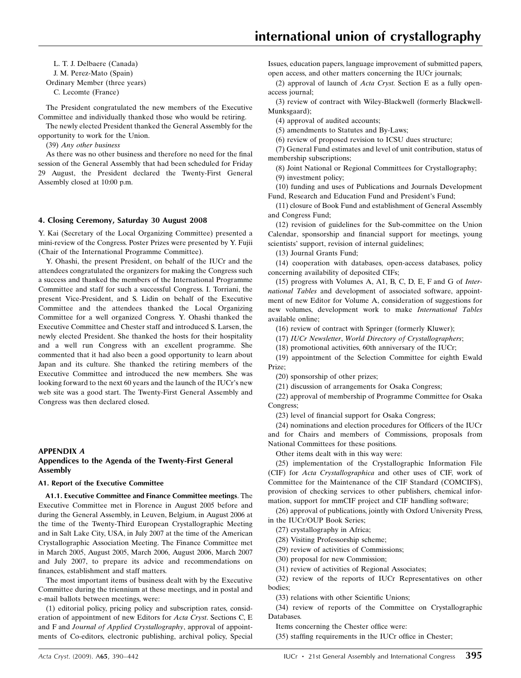L. T. J. Delbaere (Canada) J. M. Perez-Mato (Spain) Ordinary Member (three years) C. Lecomte (France)

The President congratulated the new members of the Executive Committee and individually thanked those who would be retiring.

The newly elected President thanked the General Assembly for the opportunity to work for the Union.

(39) Any other business

As there was no other business and therefore no need for the final session of the General Assembly that had been scheduled for Friday 29 August, the President declared the Twenty-First General Assembly closed at 10:00 p.m.

#### 4. Closing Ceremony, Saturday 30 August 2008

Y. Kai (Secretary of the Local Organizing Committee) presented a mini-review of the Congress. Poster Prizes were presented by Y. Fujii (Chair of the International Programme Committee).

Y. Ohashi, the present President, on behalf of the IUCr and the attendees congratulated the organizers for making the Congress such a success and thanked the members of the International Programme Committee and staff for such a successful Congress. I. Torriani, the present Vice-President, and S. Lidin on behalf of the Executive Committee and the attendees thanked the Local Organizing Committee for a well organized Congress. Y. Ohashi thanked the Executive Committee and Chester staff and introduced S. Larsen, the newly elected President. She thanked the hosts for their hospitality and a well run Congress with an excellent programme. She commented that it had also been a good opportunity to learn about Japan and its culture. She thanked the retiring members of the Executive Committee and introduced the new members. She was looking forward to the next 60 years and the launch of the IUCr's new web site was a good start. The Twenty-First General Assembly and Congress was then declared closed.

#### APPENDIX A

## Appendices to the Agenda of the Twenty-First General Assembly

#### A1. Report of the Executive Committee

A1.1. Executive Committee and Finance Committee meetings. The Executive Committee met in Florence in August 2005 before and during the General Assembly, in Leuven, Belgium, in August 2006 at the time of the Twenty-Third European Crystallographic Meeting and in Salt Lake City, USA, in July 2007 at the time of the American Crystallographic Association Meeting. The Finance Committee met in March 2005, August 2005, March 2006, August 2006, March 2007 and July 2007, to prepare its advice and recommendations on finances, establishment and staff matters.

The most important items of business dealt with by the Executive Committee during the triennium at these meetings, and in postal and e-mail ballots between meetings, were:

(1) editorial policy, pricing policy and subscription rates, consideration of appointment of new Editors for Acta Cryst. Sections C, E and F and Journal of Applied Crystallography, approval of appointments of Co-editors, electronic publishing, archival policy, Special Issues, education papers, language improvement of submitted papers, open access, and other matters concerning the IUCr journals;

(2) approval of launch of Acta Cryst. Section  $E$  as a fully openaccess journal;

(3) review of contract with Wiley-Blackwell (formerly Blackwell-Munksgaard);

(4) approval of audited accounts;

(5) amendments to Statutes and By-Laws;

(6) review of proposed revision to ICSU dues structure;

(7) General Fund estimates and level of unit contribution, status of membership subscriptions;

(8) Joint National or Regional Committees for Crystallography;

(9) investment policy;

(10) funding and uses of Publications and Journals Development Fund, Research and Education Fund and President's Fund;

(11) closure of Book Fund and establishment of General Assembly and Congress Fund;

(12) revision of guidelines for the Sub-committee on the Union Calendar, sponsorship and financial support for meetings, young scientists' support, revision of internal guidelines;

(13) Journal Grants Fund;

(14) cooperation with databases, open-access databases, policy concerning availability of deposited CIFs;

(15) progress with Volumes A, A1, B, C, D, E, F and G of International Tables and development of associated software, appointment of new Editor for Volume A, consideration of suggestions for new volumes, development work to make International Tables available online;

(16) review of contract with Springer (formerly Kluwer);

(17) IUCr Newsletter, World Directory of Crystallographers;

(18) promotional activities, 60th anniversary of the IUCr;

(19) appointment of the Selection Committee for eighth Ewald Prize;

(20) sponsorship of other prizes;

(21) discussion of arrangements for Osaka Congress;

(22) approval of membership of Programme Committee for Osaka Congress;

(23) level of financial support for Osaka Congress;

(24) nominations and election procedures for Officers of the IUCr and for Chairs and members of Commissions, proposals from National Committees for these positions.

Other items dealt with in this way were:

(25) implementation of the Crystallographic Information File (CIF) for Acta Crystallographica and other uses of CIF, work of Committee for the Maintenance of the CIF Standard (COMCIFS), provision of checking services to other publishers, chemical information, support for mmCIF project and CIF handling software;

(26) approval of publications, jointly with Oxford University Press, in the IUCr/OUP Book Series;

(27) crystallography in Africa;

(28) Visiting Professorship scheme;

(29) review of activities of Commissions;

(30) proposal for new Commission;

(31) review of activities of Regional Associates;

(32) review of the reports of IUCr Representatives on other bodies;

(33) relations with other Scientific Unions;

(34) review of reports of the Committee on Crystallographic Databases.

Items concerning the Chester office were:

(35) staffing requirements in the IUCr office in Chester;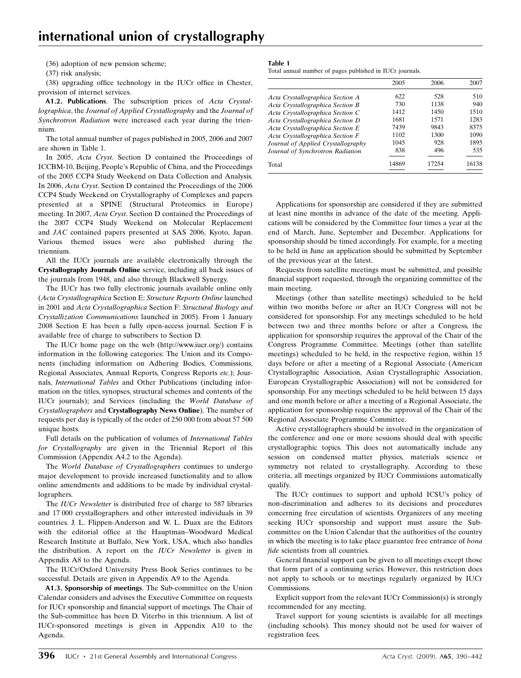## international union of crystallography

(36) adoption of new pension scheme;

(37) risk analysis;

(38) upgrading office technology in the IUCr office in Chester, provision of internet services.

A1.2. Publications. The subscription prices of Acta Crystallographica, the Journal of Applied Crystallography and the Journal of Synchrotron Radiation were increased each year during the triennium.

The total annual number of pages published in 2005, 2006 and 2007 are shown in Table 1.

In 2005, Acta Cryst. Section D contained the Proceedings of ICCBM-10, Beijing, People's Republic of China, and the Proceedings of the 2005 CCP4 Study Weekend on Data Collection and Analysis. In 2006, Acta Cryst. Section D contained the Proceedings of the 2006 CCP4 Study Weekend on Crystallography of Complexes and papers presented at a SPINE (Structural Proteomics in Europe) meeting. In 2007, Acta Cryst. Section D contained the Proceedings of the 2007 CCP4 Study Weekend on Molecular Replacement and JAC contained papers presented at SAS 2006, Kyoto, Japan. Various themed issues were also published during the triennium.

All the IUCr journals are available electronically through the Crystallography Journals Online service, including all back issues of the journals from 1948, and also through Blackwell Synergy.

The IUCr has two fully electronic journals available online only (Acta Crystallographica Section E: Structure Reports Online launched in 2001 and Acta Crystallographica Section F: Structural Biology and Crystallization Communications launched in 2005). From 1 January 2008 Section E has been a fully open-access journal. Section F is available free of charge to subscribers to Section D.

The IUCr home page on the web (http://www.iucr.org/) contains information in the following categories: The Union and its Components (including information on Adhering Bodies, Commissions, Regional Associates, Annual Reports, Congress Reports etc.); Journals, International Tables and Other Publications (including information on the titles, synopses, structural schemes and contents of the IUCr journals); and Services (including the World Database of Crystallographers and Crystallography News Online). The number of requests per day is typically of the order of 250 000 from about 57 500 unique hosts.

Full details on the publication of volumes of International Tables for Crystallography are given in the Triennial Report of this Commission (Appendix A4.2 to the Agenda).

The World Database of Crystallographers continues to undergo major development to provide increased functionality and to allow online amendments and additions to be made by individual crystallographers.

The IUCr Newsletter is distributed free of charge to 587 libraries and 17 000 crystallographers and other interested individuals in 39 countries. J. L. Flippen-Anderson and W. L. Duax are the Editors with the editorial office at the Hauptman–Woodward Medical Research Institute at Buffalo, New York, USA, which also handles the distribution. A report on the IUCr Newsletter is given in Appendix A8 to the Agenda.

The IUCr/Oxford University Press Book Series continues to be successful. Details are given in Appendix A9 to the Agenda.

A1.3. Sponsorship of meetings. The Sub-committee on the Union Calendar considers and advises the Executive Committee on requests for IUCr sponsorship and financial support of meetings. The Chair of the Sub-committee has been D. Viterbo in this triennium. A list of IUCr-sponsored meetings is given in Appendix A10 to the Agenda.

## Table 1

Total annual number of pages published in IUCr journals.

|                                    | 2005  | 2006  | 2007  |
|------------------------------------|-------|-------|-------|
| Acta Crystallographica Section A   | 622   | 528   | 510   |
| Acta Crystallographica Section B   | 730   | 1138  | 940   |
| Acta Crystallographica Section C   | 1412  | 1450  | 1510  |
| Acta Crystallographica Section D   | 1681  | 1571  | 1283  |
| Acta Crystallographica Section E   | 7439  | 9843  | 8375  |
| Acta Crystallographica Section F   | 1102  | 1300  | 1090  |
| Journal of Applied Crystallography | 1045  | 928   | 1895  |
| Journal of Synchrotron Radiation   | 838   | 496   | 535   |
| Total                              | 14869 | 17254 | 16138 |

Applications for sponsorship are considered if they are submitted at least nine months in advance of the date of the meeting. Applications will be considered by the Committee four times a year at the end of March, June, September and December. Applications for sponsorship should be timed accordingly. For example, for a meeting to be held in June an application should be submitted by September of the previous year at the latest.

Requests from satellite meetings must be submitted, and possible financial support requested, through the organizing committee of the main meeting.

Meetings (other than satellite meetings) scheduled to be held within two months before or after an IUCr Congress will not be considered for sponsorship. For any meetings scheduled to be held between two and three months before or after a Congress, the application for sponsorship requires the approval of the Chair of the Congress Programme Committee. Meetings (other than satellite meetings) scheduled to be held, in the respective region, within 15 days before or after a meeting of a Regional Associate (American Crystallographic Association, Asian Crystallographic Association, European Crystallographic Association) will not be considered for sponsorship. For any meetings scheduled to be held between 15 days and one month before or after a meeting of a Regional Associate, the application for sponsorship requires the approval of the Chair of the Regional Associate Programme Committee.

Active crystallographers should be involved in the organization of the conference and one or more sessions should deal with specific crystallographic topics. This does not automatically include any session on condensed matter physics, materials science or symmetry not related to crystallography. According to these criteria, all meetings organized by IUCr Commissions automatically qualify.

The IUCr continues to support and uphold ICSU's policy of non-discrimination and adheres to its decisions and procedures concerning free circulation of scientists. Organizers of any meeting seeking IUCr sponsorship and support must assure the Subcommittee on the Union Calendar that the authorities of the country in which the meeting is to take place guarantee free entrance of bona fide scientists from all countries.

General financial support can be given to all meetings except those that form part of a continuing series. However, this restriction does not apply to schools or to meetings regularly organized by IUCr Commissions.

Explicit support from the relevant IUCr Commission(s) is strongly recommended for any meeting.

Travel support for young scientists is available for all meetings (including schools). This money should not be used for waiver of registration fees.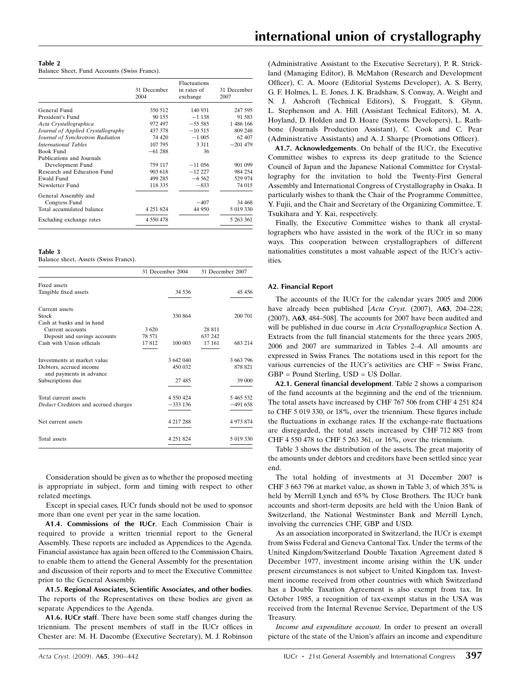#### Table 2 Balance Sheet, Fund Accounts (Swiss Francs).

|                                    | 31 December<br>2004 | <b>Fluctuations</b><br>in rates of<br>exchange | 31 December<br>2007 |
|------------------------------------|---------------------|------------------------------------------------|---------------------|
| General Fund                       | 350 512             | 140 931                                        | 247 595             |
| President's Fund                   | 90 155              | $-1138$                                        | 91.583              |
| Acta Crystallographica             | 972497              | $-55.585$                                      | 1 486 166           |
| Journal of Applied Crystallography | 437 378             | $-10515$                                       | 809 248             |
| Journal of Synchrotron Radiation   | 74 420              | $-1.005$                                       | 62 407              |
| <b>International Tables</b>        | 107 795             | 3 3 1 1                                        | $-201479$           |
| Book Fund                          | $-61288$            | 36                                             |                     |
| Publications and Journals          |                     |                                                |                     |
| Development Fund                   | 759 117             | $-11.056$                                      | 901 099             |
| Research and Education Fund        | 903 618             | $-12227$                                       | 984 254             |
| Ewald Fund                         | 499 285             | $-6.562$                                       | 529 974             |
| Newsletter Fund                    | 118 335             | $-833$                                         | 74 015              |
| General Assembly and               |                     |                                                |                     |
| Congress Fund                      |                     | $-407$                                         | 34 4 68             |
| Total accumulated balance          | 4 2 5 1 8 2 4       | 44 950                                         | 5 019 330           |
| Excluding exchange rates           | 4 550 478           |                                                | 5 263 361           |

#### Table 3

Balance sheet, Assets (Swiss Francs).

|                                                    |        | 31 December 2004 | 31 December 2007 |           |  |
|----------------------------------------------------|--------|------------------|------------------|-----------|--|
| Fixed assets                                       |        |                  |                  |           |  |
| Tangible fixed assets                              |        | 34 536           |                  | 45456     |  |
| Current assets                                     |        |                  |                  |           |  |
| Stock                                              |        | 330 864          |                  | 200 701   |  |
| Cash at banks and in hand                          |        |                  |                  |           |  |
| Current accounts                                   | 3620   |                  | 28 811           |           |  |
| Deposit and savings accounts                       | 78.571 |                  | 637 242          |           |  |
| Cash with Union officials                          | 17812  | 100 003          | 17 161           | 683 214   |  |
| Investments at market value                        |        | 3 642 040        |                  | 3 663 796 |  |
| Debtors, accrued income<br>and payments in advance |        | 450 032          |                  | 878 821   |  |
| Subscriptions due                                  |        | 27 485           |                  | 39 000    |  |
| Total current assets                               |        | 4 550 424        |                  | 5 465 532 |  |
| Deduct Creditors and accrued charges               |        | $-333136$        |                  | $-491658$ |  |
| Net current assets                                 |        | 4 217 288        |                  | 4 973 874 |  |
| Total assets                                       |        | 4 251 824        |                  | 5 019 330 |  |

Consideration should be given as to whether the proposed meeting is appropriate in subject, form and timing with respect to other related meetings.

Except in special cases, IUCr funds should not be used to sponsor more than one event per year in the same location.

A1.4. Commissions of the IUCr. Each Commission Chair is required to provide a written triennial report to the General Assembly. These reports are included as Appendices to the Agenda. Financial assistance has again been offered to the Commission Chairs, to enable them to attend the General Assembly for the presentation and discussion of their reports and to meet the Executive Committee prior to the General Assembly.

A1.5. Regional Associates, Scientific Associates, and other bodies. The reports of the Representatives on these bodies are given as separate Appendices to the Agenda.

A1.6. IUCr staff. There have been some staff changes during the triennium. The present members of staff in the IUCr offices in Chester are: M. H. Dacombe (Executive Secretary), M. J. Robinson

(Administrative Assistant to the Executive Secretary), P. R. Strickland (Managing Editor), B. McMahon (Research and Development Officer), C. A. Moore (Editorial Systems Developer), A. S. Berry, G. F. Holmes, L. E. Jones, J. K. Bradshaw, S. Conway, A. Weight and N. J. Ashcroft (Technical Editors), S. Froggatt, S. Glynn, L. Stephenson and A. Hill (Assistant Technical Editors), M. A. Hoyland, D. Holden and D. Hoare (Systems Developers), L. Rathbone (Journals Production Assistant), C. Cook and C. Pear (Administrative Assistants) and A. J. Sharpe (Promotions Officer).

A1.7. Acknowledgements. On behalf of the IUCr, the Executive Committee wishes to express its deep gratitude to the Science Council of Japan and the Japanese National Committee for Crystallography for the invitation to hold the Twenty-First General Assembly and International Congress of Crystallography in Osaka. It particularly wishes to thank the Chair of the Programme Committee, Y. Fujii, and the Chair and Secretary of the Organizing Committee, T. Tsukihara and Y. Kai, respectively.

Finally, the Executive Committee wishes to thank all crystallographers who have assisted in the work of the IUCr in so many ways. This cooperation between crystallographers of different nationalities constitutes a most valuable aspect of the IUCr's activities.

#### A2. Financial Report

The accounts of the IUCr for the calendar years 2005 and 2006 have already been published [Acta Cryst. (2007), A63, 204-228; (2007), A63, 484–508]. The accounts for 2007 have been audited and will be published in due course in Acta Crystallographica Section A. Extracts from the full financial statements for the three years 2005, 2006 and 2007 are summarized in Tables 2–4. All amounts are expressed in Swiss Francs. The notations used in this report for the various currencies of the IUCr's activities are CHF = Swiss Franc, GBP = Pound Sterling, USD = US Dollar.

A2.1. General financial development. Table 2 shows a comparison of the fund accounts at the beginning and the end of the triennium. The total assets have increased by CHF 767 506 from CHF 4 251 824 to CHF 5 019 330, or 18%, over the triennium. These figures include the fluctuations in exchange rates. If the exchange-rate fluctuations are disregarded, the total assets increased by CHF 712 883 from CHF 4 550 478 to CHF 5 263 361, or 16%, over the triennium.

Table 3 shows the distribution of the assets. The great majority of the amounts under debtors and creditors have been settled since year end.

The total holding of investments at 31 December 2007 is CHF 3 663 796 at market value, as shown in Table 3, of which 35% is held by Merrill Lynch and 65% by Close Brothers. The IUCr bank accounts and short-term deposits are held with the Union Bank of Switzerland, the National Westminster Bank and Merrill Lynch, involving the currencies CHF, GBP and USD.

As an association incorporated in Switzerland, the IUCr is exempt from Swiss Federal and Geneva Cantonal Tax. Under the terms of the United Kingdom/Switzerland Double Taxation Agreement dated 8 December 1977, investment income arising within the UK under present circumstances is not subject to United Kingdom tax. Investment income received from other countries with which Switzerland has a Double Taxation Agreement is also exempt from tax. In October 1985, a recognition of tax-exempt status in the USA was received from the Internal Revenue Service, Department of the US Treasury.

Income and expenditure account. In order to present an overall picture of the state of the Union's affairs an income and expenditure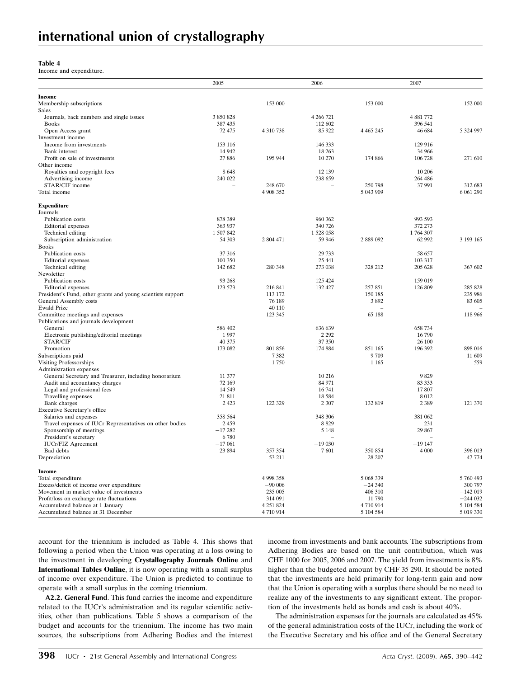#### Table 4

Income and expenditure.

|                                                             | 2005      |                   | 2006      |                   | 2007      |                   |
|-------------------------------------------------------------|-----------|-------------------|-----------|-------------------|-----------|-------------------|
| Income                                                      |           |                   |           |                   |           |                   |
| Membership subscriptions                                    |           | 153 000           |           | 153 000           |           | 152 000           |
| Sales                                                       |           |                   |           |                   |           |                   |
| Journals, back numbers and single issues                    | 3 850 828 |                   | 4 266 721 |                   | 4 881 772 |                   |
| <b>Books</b>                                                | 387 435   |                   | 112 602   |                   | 396 541   |                   |
| Open Access grant                                           | 72 475    | 4 3 1 0 7 3 8     | 85 922    | 4 4 6 5 2 4 5     | 46 684    | 5 324 997         |
| Investment income                                           |           |                   |           |                   |           |                   |
| Income from investments                                     | 153 116   |                   | 146 333   |                   | 129 916   |                   |
| Bank interest                                               | 14 942    |                   | 18 26 3   |                   | 34 966    |                   |
| Profit on sale of investments                               | 27 886    | 195 944           | 10 270    | 174 866           | 106 728   | 271 610           |
| Other income                                                |           |                   |           |                   |           |                   |
| Royalties and copyright fees                                | 8648      |                   | 12 139    |                   | 10 20 6   |                   |
| Advertising income                                          | 240 022   |                   | 238 659   |                   | 264 486   |                   |
| STAR/CIF income                                             |           | 248 670           |           | 250 798           | 37 991    | 312 683           |
| Total income                                                |           | 4 908 352         |           | 5 043 909         |           | 6 061 290         |
| <b>Expenditure</b>                                          |           |                   |           |                   |           |                   |
| Journals                                                    |           |                   |           |                   |           |                   |
| Publication costs                                           | 878 389   |                   | 960 362   |                   | 993 593   |                   |
| Editorial expenses                                          | 363 937   |                   | 340 726   |                   | 372 273   |                   |
| Technical editing                                           | 1 507 842 |                   | 1 528 058 |                   | 1 764 307 |                   |
| Subscription administration                                 | 54 303    | 2 804 471         | 59 946    | 2 889 092         | 62 992    | 3 193 165         |
| <b>Books</b>                                                |           |                   |           |                   |           |                   |
| Publication costs                                           | 37 316    |                   | 29 733    |                   | 58 657    |                   |
| <b>Editorial</b> expenses                                   | 100 350   |                   | 25 441    |                   | 103 317   |                   |
| Technical editing                                           | 142 682   | 280 348           | 273 038   | 328 212           | 205 628   | 367 602           |
| Newsletter                                                  |           |                   |           |                   |           |                   |
| Publication costs                                           | 93 268    |                   | 125 424   |                   | 159 019   |                   |
| <b>Editorial</b> expenses                                   | 123 573   | 216 841           | 132 427   | 257851            | 126 809   | 285 828           |
| President's Fund, other grants and young scientists support |           | 113 172           |           | 150 185           |           | 235 986           |
| General Assembly costs                                      |           | 76 189            |           | 3 8 9 2           |           | 83 605            |
| <b>Ewald Prize</b>                                          |           | 40 110            |           |                   |           |                   |
| Committee meetings and expenses                             |           | 123 345           |           | 65 188            |           | 118 966           |
| Publications and journals development                       |           |                   |           |                   |           |                   |
| General                                                     | 586 402   |                   | 636 639   |                   | 658 734   |                   |
| Electronic publishing/editorial meetings                    | 1997      |                   | 2 2 9 2   |                   | 16 790    |                   |
| <b>STAR/CIF</b>                                             | 40 375    |                   | 37 350    |                   | 26 100    |                   |
| Promotion                                                   | 173 082   | 801 856           | 174 884   | 851 165           | 196 392   | 898 016           |
| Subscriptions paid                                          |           | 7382              |           | 9 7 0 9           |           | 11 609            |
| Visiting Professorships                                     |           | 1750              |           | 1 1 6 5           |           | 559               |
| Administration expenses                                     |           |                   |           |                   |           |                   |
| General Secretary and Treasurer, including honorarium       | 11 377    |                   | 10 216    |                   | 9829      |                   |
| Audit and accountancy charges                               | 72 169    |                   | 84 971    |                   | 83 333    |                   |
| Legal and professional fees                                 | 14 5 49   |                   | 16 741    |                   | 17807     |                   |
| Travelling expenses                                         | 21 811    |                   | 18 5 8 4  |                   | 8012      |                   |
| Bank charges                                                | 2 4 2 3   | 122 329           | 2 3 0 7   | 132 819           | 2 3 8 9   | 121 370           |
| Executive Secretary's office                                |           |                   |           |                   |           |                   |
| Salaries and expenses                                       | 358 564   |                   | 348 306   |                   | 381 062   |                   |
| Travel expenses of IUCr Representatives on other bodies     | 2 4 5 9   |                   | 8829      |                   | 231       |                   |
| Sponsorship of meetings                                     | $-17282$  |                   | 5 1 4 8   |                   | 29 867    |                   |
| President's secretary                                       | 6780      |                   |           |                   |           |                   |
| <b>IUCr/FIZ</b> Agreement                                   | $-17061$  |                   | $-19030$  |                   | $-19147$  |                   |
| Bad debts<br>Depreciation                                   | 23 894    | 357 354<br>53 211 | 7601      | 350 854<br>28 207 | 4 0 0 0   | 396 013<br>47 774 |
|                                                             |           |                   |           |                   |           |                   |
| Income                                                      |           |                   |           |                   |           |                   |
| Total expenditure                                           |           | 4 998 358         |           | 5 068 339         |           | 5 760 493         |
| Excess/deficit of income over expenditure                   |           | $-90006$          |           | $-24340$          |           | 300 797           |
| Movement in market value of investments                     |           | 235 005           |           | 406 310           |           | $-142019$         |
| Profit/loss on exchange rate fluctuations                   |           | 314 091           |           | 11 790            |           | $-244032$         |
| Accumulated balance at 1 January                            |           | 4 2 5 1 8 2 4     |           | 4 710 914         |           | 5 104 584         |
| Accumulated balance at 31 December                          |           | 4710914           |           | 5 104 584         |           | 5 019 330         |

account for the triennium is included as Table 4. This shows that following a period when the Union was operating at a loss owing to the investment in developing Crystallography Journals Online and International Tables Online, it is now operating with a small surplus of income over expenditure. The Union is predicted to continue to operate with a small surplus in the coming triennium.

A2.2. General Fund. This fund carries the income and expenditure related to the IUCr's administration and its regular scientific activities, other than publications. Table 5 shows a comparison of the budget and accounts for the triennium. The income has two main sources, the subscriptions from Adhering Bodies and the interest income from investments and bank accounts. The subscriptions from Adhering Bodies are based on the unit contribution, which was CHF 1000 for 2005, 2006 and 2007. The yield from investments is 8% higher than the budgeted amount by CHF 35 290. It should be noted that the investments are held primarily for long-term gain and now that the Union is operating with a surplus there should be no need to realize any of the investments to any significant extent. The proportion of the investments held as bonds and cash is about 40%.

The administration expenses for the journals are calculated as 45% of the general administration costs of the IUCr, including the work of the Executive Secretary and his office and of the General Secretary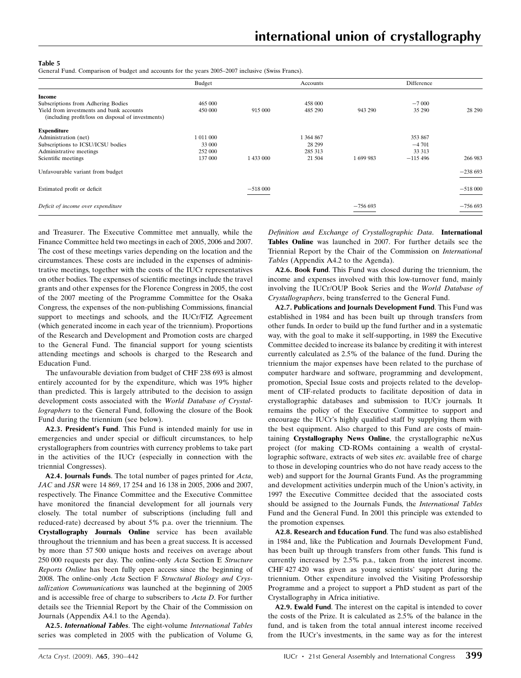#### Table 5

General Fund. Comparison of budget and accounts for the years 2005–2007 inclusive (Swiss Francs).

|                                                    | Budget    |           | Accounts  |           | Difference |           |
|----------------------------------------------------|-----------|-----------|-----------|-----------|------------|-----------|
| Income                                             |           |           |           |           |            |           |
| Subscriptions from Adhering Bodies                 | 465 000   |           | 458 000   |           | $-7000$    |           |
| Yield from investments and bank accounts           | 450 000   | 915 000   | 485 290   | 943 290   | 35 290     | 28 290    |
| (including profit/loss on disposal of investments) |           |           |           |           |            |           |
| <b>Expenditure</b>                                 |           |           |           |           |            |           |
| Administration (net)                               | 1 011 000 |           | 1 364 867 |           | 353 867    |           |
| Subscriptions to ICSU/ICSU bodies                  | 33 000    |           | 28 29 9   |           | $-4701$    |           |
| Administrative meetings                            | 252 000   |           | 285 313   |           | 33 313     |           |
| Scientific meetings                                | 137 000   | 1 433 000 | 21 504    | 1699983   | $-115496$  | 266 983   |
| Unfavourable variant from budget                   |           |           |           |           |            | $-238693$ |
| Estimated profit or deficit                        |           | $-518000$ |           |           |            | $-518000$ |
| Deficit of income over expenditure                 |           |           |           | $-756693$ |            | $-756693$ |

and Treasurer. The Executive Committee met annually, while the Finance Committee held two meetings in each of 2005, 2006 and 2007. The cost of these meetings varies depending on the location and the circumstances. These costs are included in the expenses of administrative meetings, together with the costs of the IUCr representatives on other bodies. The expenses of scientific meetings include the travel grants and other expenses for the Florence Congress in 2005, the cost of the 2007 meeting of the Programme Committee for the Osaka Congress, the expenses of the non-publishing Commissions, financial support to meetings and schools, and the IUCr/FIZ Agreement (which generated income in each year of the triennium). Proportions of the Research and Development and Promotion costs are charged to the General Fund. The financial support for young scientists attending meetings and schools is charged to the Research and Education Fund.

The unfavourable deviation from budget of CHF 238 693 is almost entirely accounted for by the expenditure, which was 19% higher than predicted. This is largely attributed to the decision to assign development costs associated with the World Database of Crystallographers to the General Fund, following the closure of the Book Fund during the triennium (see below).

A2.3. President's Fund. This Fund is intended mainly for use in emergencies and under special or difficult circumstances, to help crystallographers from countries with currency problems to take part in the activities of the IUCr (especially in connection with the triennial Congresses).

A2.4. Journals Funds. The total number of pages printed for Acta, JAC and JSR were 14 869, 17 254 and 16 138 in 2005, 2006 and 2007, respectively. The Finance Committee and the Executive Committee have monitored the financial development for all journals very closely. The total number of subscriptions (including full and reduced-rate) decreased by about 5% p.a. over the triennium. The Crystallography Journals Online service has been available throughout the triennium and has been a great success. It is accessed by more than 57 500 unique hosts and receives on average about 250 000 requests per day. The online-only Acta Section E Structure Reports Online has been fully open access since the beginning of 2008. The online-only Acta Section F Structural Biology and Crystallization Communications was launched at the beginning of 2005 and is accessible free of charge to subscribers to Acta D. For further details see the Triennial Report by the Chair of the Commission on Journals (Appendix A4.1 to the Agenda).

A2.5. International Tables. The eight-volume International Tables series was completed in 2005 with the publication of Volume G, Definition and Exchange of Crystallographic Data. International Tables Online was launched in 2007. For further details see the Triennial Report by the Chair of the Commission on International Tables (Appendix A4.2 to the Agenda).

A2.6. Book Fund. This Fund was closed during the triennium, the income and expenses involved with this low-turnover fund, mainly involving the IUCr/OUP Book Series and the World Database of Crystallographers, being transferred to the General Fund.

A2.7. Publications and Journals Development Fund. This Fund was established in 1984 and has been built up through transfers from other funds. In order to build up the fund further and in a systematic way, with the goal to make it self-supporting, in 1989 the Executive Committee decided to increase its balance by crediting it with interest currently calculated as 2.5% of the balance of the fund. During the triennium the major expenses have been related to the purchase of computer hardware and software, programming and development, promotion, Special Issue costs and projects related to the development of CIF-related products to facilitate deposition of data in crystallographic databases and submission to IUCr journals. It remains the policy of the Executive Committee to support and encourage the IUCr's highly qualified staff by supplying them with the best equipment. Also charged to this Fund are costs of maintaining Crystallography News Online, the crystallographic neXus project (for making CD-ROMs containing a wealth of crystallographic software, extracts of web sites etc. available free of charge to those in developing countries who do not have ready access to the web) and support for the Journal Grants Fund. As the programming and development activities underpin much of the Union's activity, in 1997 the Executive Committee decided that the associated costs should be assigned to the Journals Funds, the International Tables Fund and the General Fund. In 2001 this principle was extended to the promotion expenses.

A2.8. Research and Education Fund. The fund was also established in 1984 and, like the Publication and Journals Development Fund, has been built up through transfers from other funds. This fund is currently increased by 2.5% p.a., taken from the interest income. CHF 427 420 was given as young scientists' support during the triennium. Other expenditure involved the Visiting Professorship Programme and a project to support a PhD student as part of the Crystallography in Africa initiative.

A2.9. Ewald Fund. The interest on the capital is intended to cover the costs of the Prize. It is calculated as 2.5% of the balance in the fund, and is taken from the total annual interest income received from the IUCr's investments, in the same way as for the interest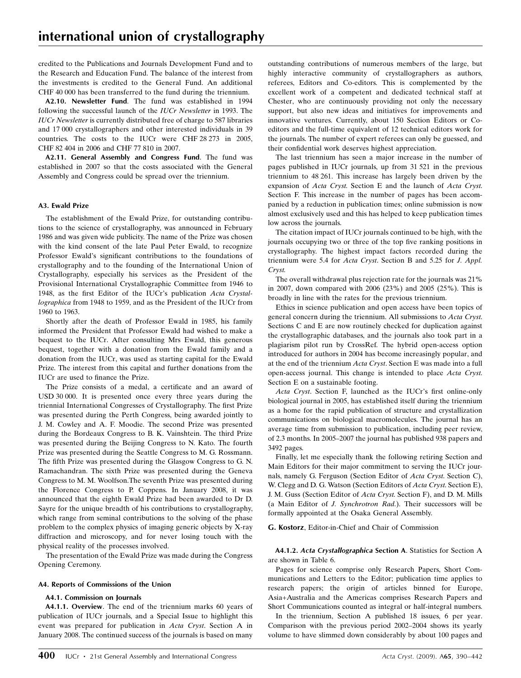credited to the Publications and Journals Development Fund and to the Research and Education Fund. The balance of the interest from the investments is credited to the General Fund. An additional CHF 40 000 has been transferred to the fund during the triennium.

A2.10. Newsletter Fund. The fund was established in 1994 following the successful launch of the IUCr Newsletter in 1993. The IUCr Newsletter is currently distributed free of charge to 587 libraries and 17 000 crystallographers and other interested individuals in 39 countries. The costs to the IUCr were CHF 28 273 in 2005, CHF 82 404 in 2006 and CHF 77 810 in 2007.

A2.11. General Assembly and Congress Fund. The fund was established in 2007 so that the costs associated with the General Assembly and Congress could be spread over the triennium.

## A3. Ewald Prize

The establishment of the Ewald Prize, for outstanding contributions to the science of crystallography, was announced in February 1986 and was given wide publicity. The name of the Prize was chosen with the kind consent of the late Paul Peter Ewald, to recognize Professor Ewald's significant contributions to the foundations of crystallography and to the founding of the International Union of Crystallography, especially his services as the President of the Provisional International Crystallographic Committee from 1946 to 1948, as the first Editor of the IUCr's publication Acta Crystallographica from 1948 to 1959, and as the President of the IUCr from 1960 to 1963.

Shortly after the death of Professor Ewald in 1985, his family informed the President that Professor Ewald had wished to make a bequest to the IUCr. After consulting Mrs Ewald, this generous bequest, together with a donation from the Ewald family and a donation from the IUCr, was used as starting capital for the Ewald Prize. The interest from this capital and further donations from the IUCr are used to finance the Prize.

The Prize consists of a medal, a certificate and an award of USD 30 000. It is presented once every three years during the triennial International Congresses of Crystallography. The first Prize was presented during the Perth Congress, being awarded jointly to J. M. Cowley and A. F. Moodie. The second Prize was presented during the Bordeaux Congress to B. K. Vainshtein. The third Prize was presented during the Beijing Congress to N. Kato. The fourth Prize was presented during the Seattle Congress to M. G. Rossmann. The fifth Prize was presented during the Glasgow Congress to G. N. Ramachandran. The sixth Prize was presented during the Geneva Congress to M. M. Woolfson.The seventh Prize was presented during the Florence Congress to P. Coppens. In January 2008, it was announced that the eighth Ewald Prize had been awarded to Dr D. Sayre for the unique breadth of his contributions to crystallography, which range from seminal contributions to the solving of the phase problem to the complex physics of imaging generic objects by X-ray diffraction and microscopy, and for never losing touch with the physical reality of the processes involved.

The presentation of the Ewald Prize was made during the Congress Opening Ceremony.

## A4. Reports of Commissions of the Union

## A4.1. Commission on Journals

A4.1.1. Overview. The end of the triennium marks 60 years of publication of IUCr journals, and a Special Issue to highlight this event was prepared for publication in Acta Cryst. Section A in January 2008. The continued success of the journals is based on many outstanding contributions of numerous members of the large, but highly interactive community of crystallographers as authors, referees, Editors and Co-editors. This is complemented by the excellent work of a competent and dedicated technical staff at Chester, who are continuously providing not only the necessary support, but also new ideas and initiatives for improvements and innovative ventures. Currently, about 150 Section Editors or Coeditors and the full-time equivalent of 12 technical editors work for the journals. The number of expert referees can only be guessed, and their confidential work deserves highest appreciation.

The last triennium has seen a major increase in the number of pages published in IUCr journals, up from 31 521 in the previous triennium to 48 261. This increase has largely been driven by the expansion of Acta Cryst. Section E and the launch of Acta Cryst. Section F. This increase in the number of pages has been accompanied by a reduction in publication times; online submission is now almost exclusively used and this has helped to keep publication times low across the journals.

The citation impact of IUCr journals continued to be high, with the journals occupying two or three of the top five ranking positions in crystallography. The highest impact factors recorded during the triennium were 5.4 for Acta Cryst. Section B and 5.25 for J. Appl. Cryst.

The overall withdrawal plus rejection rate for the journals was 21% in 2007, down compared with 2006 (23%) and 2005 (25%). This is broadly in line with the rates for the previous triennium.

Ethics in science publication and open access have been topics of general concern during the triennium. All submissions to Acta Cryst. Sections C and E are now routinely checked for duplication against the crystallographic databases, and the journals also took part in a plagiarism pilot run by CrossRef. The hybrid open-access option introduced for authors in 2004 has become increasingly popular, and at the end of the triennium Acta Cryst. Section E was made into a full open-access journal. This change is intended to place Acta Cryst. Section E on a sustainable footing.

Acta Cryst. Section F, launched as the IUCr's first online-only biological journal in 2005, has established itself during the triennium as a home for the rapid publication of structure and crystallization communications on biological macromolecules. The journal has an average time from submission to publication, including peer review, of 2.3 months. In 2005–2007 the journal has published 938 papers and 3492 pages.

Finally, let me especially thank the following retiring Section and Main Editors for their major commitment to serving the IUCr journals, namely G. Ferguson (Section Editor of Acta Cryst. Section C), W. Clegg and D. G. Watson (Section Editors of Acta Cryst. Section E), J. M. Guss (Section Editor of Acta Cryst. Section F), and D. M. Mills (a Main Editor of J. Synchrotron Rad.). Their successors will be formally appointed at the Osaka General Assembly.

G. Kostorz, Editor-in-Chief and Chair of Commission

A4.1.2. Acta Crystallographica Section A. Statistics for Section A are shown in Table 6.

Pages for science comprise only Research Papers, Short Communications and Letters to the Editor; publication time applies to research papers; the origin of articles binned for Europe, Asia+Australia and the Americas comprises Research Papers and Short Communications counted as integral or half-integral numbers.

In the triennium, Section A published 18 issues, 6 per year. Comparison with the previous period 2002–2004 shows its yearly volume to have slimmed down considerably by about 100 pages and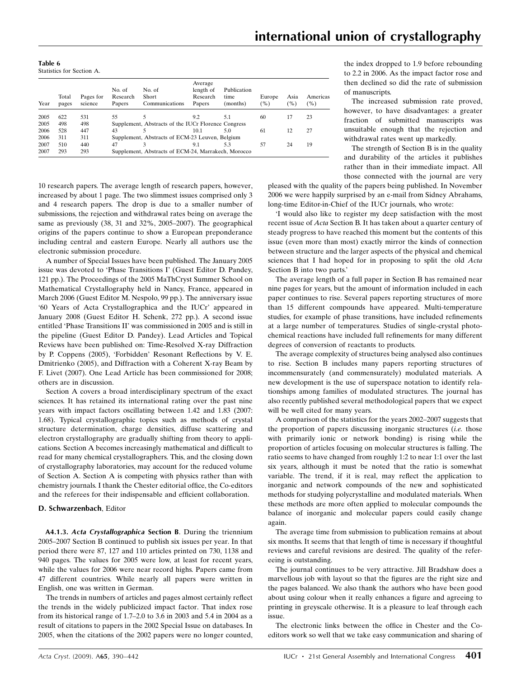| Table 6 |                           |
|---------|---------------------------|
|         | Statistics for Section A. |

|      | Total | Pages for | No. of<br>Research | No. of<br>Short                                     | Average<br>length of<br>Research | Publication<br>time | Europe | Asia          | Americas |
|------|-------|-----------|--------------------|-----------------------------------------------------|----------------------------------|---------------------|--------|---------------|----------|
| Year | pages | science   | Papers             | Communications                                      | Papers                           | (months)            | (% )   | $\frac{9}{6}$ | ( %)     |
| 2005 | 622   | 531       | 55                 |                                                     | 9.2                              | 5.1                 | 60     | 17            | 23       |
| 2005 | 498   | 498       |                    | Supplement, Abstracts of the IUCr Florence Congress |                                  |                     |        |               |          |
| 2006 | 528   | 447       | 43                 |                                                     | 10.1                             | 5.0                 | 61     | 12            | 27       |
| 2006 | 311   | 311       |                    | Supplement, Abstracts of ECM-23 Leuven, Belgium     |                                  |                     |        |               |          |
| 2007 | 510   | 440       | 47                 |                                                     | 9.1                              | 5.3                 | 57     | 24            | 19       |
| 2007 | 293   | 293       |                    | Supplement, Abstracts of ECM-24, Marrakech, Morocco |                                  |                     |        |               |          |

10 research papers. The average length of research papers, however, increased by about 1 page. The two slimmest issues comprised only 3 and 4 research papers. The drop is due to a smaller number of submissions, the rejection and withdrawal rates being on average the same as previously (38, 31 and 32%, 2005–2007). The geographical origins of the papers continue to show a European preponderance including central and eastern Europe. Nearly all authors use the electronic submission procedure.

A number of Special Issues have been published. The January 2005 issue was devoted to 'Phase Transitions I' (Guest Editor D. Pandey, 121 pp.). The Proceedings of the 2005 MaThCryst Summer School on Mathematical Crystallography held in Nancy, France, appeared in March 2006 (Guest Editor M. Nespolo, 99 pp.). The anniversary issue '60 Years of Acta Crystallographica and the IUCr' appeared in January 2008 (Guest Editor H. Schenk, 272 pp.). A second issue entitled 'Phase Transitions II' was commissioned in 2005 and is still in the pipeline (Guest Editor D. Pandey). Lead Articles and Topical Reviews have been published on: Time-Resolved X-ray Diffraction by P. Coppens (2005), 'Forbidden' Resonant Reflections by V. E. Dmitrienko (2005), and Diffraction with a Coherent X-ray Beam by F. Livet (2007). One Lead Article has been commissioned for 2008; others are in discussion.

Section A covers a broad interdisciplinary spectrum of the exact sciences. It has retained its international rating over the past nine years with impact factors oscillating between 1.42 and 1.83 (2007: 1.68). Typical crystallographic topics such as methods of crystal structure determination, charge densities, diffuse scattering and electron crystallography are gradually shifting from theory to applications. Section A becomes increasingly mathematical and difficult to read for many chemical crystallographers. This, and the closing down of crystallography laboratories, may account for the reduced volume of Section A. Section A is competing with physics rather than with chemistry journals. I thank the Chester editorial office, the Co-editors and the referees for their indispensable and efficient collaboration.

## D. Schwarzenbach, Editor

A4.1.3. Acta Crystallographica Section B. During the triennium 2005–2007 Section B continued to publish six issues per year. In that period there were 87, 127 and 110 articles printed on 730, 1138 and 940 pages. The values for 2005 were low, at least for recent years, while the values for 2006 were near record highs. Papers came from 47 different countries. While nearly all papers were written in English, one was written in German.

The trends in numbers of articles and pages almost certainly reflect the trends in the widely publicized impact factor. That index rose from its historical range of 1.7–2.0 to 3.6 in 2003 and 5.4 in 2004 as a result of citations to papers in the 2002 Special Issue on databases. In 2005, when the citations of the 2002 papers were no longer counted, the index dropped to 1.9 before rebounding to 2.2 in 2006. As the impact factor rose and then declined so did the rate of submission of manuscripts.

The increased submission rate proved, however, to have disadvantages: a greater fraction of submitted manuscripts was unsuitable enough that the rejection and withdrawal rates went up markedly.

The strength of Section B is in the quality and durability of the articles it publishes rather than in their immediate impact. All those connected with the journal are very

pleased with the quality of the papers being published. In November 2006 we were happily surprised by an e-mail from Sidney Abrahams, long-time Editor-in-Chief of the IUCr journals, who wrote:

'I would also like to register my deep satisfaction with the most recent issue of Acta Section B. It has taken about a quarter century of steady progress to have reached this moment but the contents of this issue (even more than most) exactly mirror the kinds of connection between structure and the larger aspects of the physical and chemical sciences that I had hoped for in proposing to split the old Acta Section B into two parts.'

The average length of a full paper in Section B has remained near nine pages for years, but the amount of information included in each paper continues to rise. Several papers reporting structures of more than 15 different compounds have appeared. Multi-temperature studies, for example of phase transitions, have included refinements at a large number of temperatures. Studies of single-crystal photochemical reactions have included full refinements for many different degrees of conversion of reactants to products.

The average complexity of structures being analysed also continues to rise. Section B includes many papers reporting structures of incommensurately (and commensurately) modulated materials. A new development is the use of superspace notation to identify relationships among families of modulated structures. The journal has also recently published several methodological papers that we expect will be well cited for many years.

A comparison of the statistics for the years 2002–2007 suggests that the proportion of papers discussing inorganic structures (i.e. those with primarily ionic or network bonding) is rising while the proportion of articles focusing on molecular structures is falling. The ratio seems to have changed from roughly 1:2 to near 1:1 over the last six years, although it must be noted that the ratio is somewhat variable. The trend, if it is real, may reflect the application to inorganic and network compounds of the new and sophisticated methods for studying polycrystalline and modulated materials. When these methods are more often applied to molecular compounds the balance of inorganic and molecular papers could easily change again.

The average time from submission to publication remains at about six months. It seems that that length of time is necessary if thoughtful reviews and careful revisions are desired. The quality of the refereeing is outstanding.

The journal continues to be very attractive. Jill Bradshaw does a marvellous job with layout so that the figures are the right size and the pages balanced. We also thank the authors who have been good about using colour when it really enhances a figure and agreeing to printing in greyscale otherwise. It is a pleasure to leaf through each issue.

The electronic links between the office in Chester and the Coeditors work so well that we take easy communication and sharing of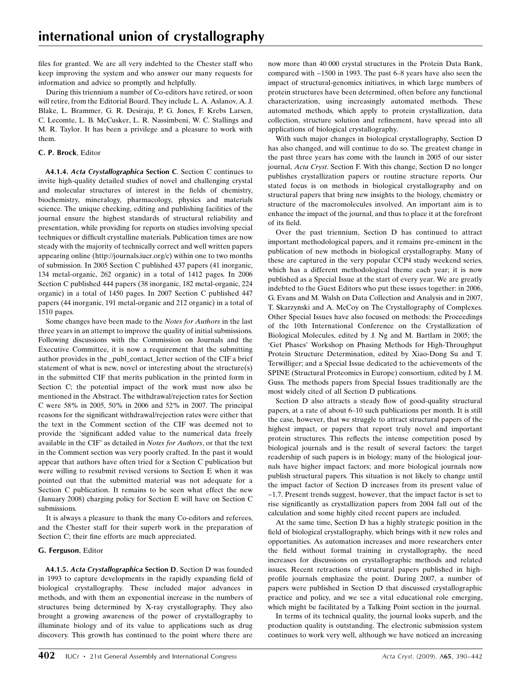files for granted. We are all very indebted to the Chester staff who keep improving the system and who answer our many requests for information and advice so promptly and helpfully.

During this triennium a number of Co-editors have retired, or soon will retire, from the Editorial Board. They include L. A. Aslanov, A. J. Blake, L. Brammer, G. R. Desiraju, P. G. Jones, F. Krebs Larsen, C. Lecomte, L. B. McCusker, L. R. Nassimbeni, W. C. Stallings and M. R. Taylor. It has been a privilege and a pleasure to work with them.

## C. P. Brock, Editor

A4.1.4. Acta Crystallographica Section C. Section C continues to invite high-quality detailed studies of novel and challenging crystal and molecular structures of interest in the fields of chemistry, biochemistry, mineralogy, pharmacology, physics and materials science. The unique checking, editing and publishing facilities of the journal ensure the highest standards of structural reliability and presentation, while providing for reports on studies involving special techniques or difficult crystalline materials. Publication times are now steady with the majority of technically correct and well written papers appearing online (http://journals.iucr.org/c) within one to two months of submission. In 2005 Section C published 437 papers (41 inorganic, 134 metal-organic, 262 organic) in a total of 1412 pages. In 2006 Section C published 444 papers (38 inorganic, 182 metal-organic, 224 organic) in a total of 1450 pages. In 2007 Section C published 447 papers (44 inorganic, 191 metal-organic and 212 organic) in a total of 1510 pages.

Some changes have been made to the Notes for Authors in the last three years in an attempt to improve the quality of initial submissions. Following discussions with the Commission on Journals and the Executive Committee, it is now a requirement that the submitting author provides in the \_publ\_contact\_letter section of the CIF a brief statement of what is new, novel or interesting about the structure(s) in the submitted CIF that merits publication in the printed form in Section C; the potential impact of the work must now also be mentioned in the Abstract. The withdrawal/rejection rates for Section C were 58% in 2005, 50% in 2006 and 52% in 2007. The principal reasons for the significant withdrawal/rejection rates were either that the text in the Comment section of the CIF was deemed not to provide the 'significant added value to the numerical data freely available in the CIF' as detailed in Notes for Authors, or that the text in the Comment section was very poorly crafted. In the past it would appear that authors have often tried for a Section C publication but were willing to resubmit revised versions to Section E when it was pointed out that the submitted material was not adequate for a Section C publication. It remains to be seen what effect the new (January 2008) charging policy for Section E will have on Section C submissions.

It is always a pleasure to thank the many Co-editors and referees, and the Chester staff for their superb work in the preparation of Section C; their fine efforts are much appreciated.

## G. Ferguson, Editor

A4.1.5. Acta Crystallographica Section D. Section D was founded in 1993 to capture developments in the rapidly expanding field of biological crystallography. These included major advances in methods, and with them an exponential increase in the numbers of structures being determined by X-ray crystallography. They also brought a growing awareness of the power of crystallography to illuminate biology and of its value to applications such as drug discovery. This growth has continued to the point where there are now more than 40 000 crystal structures in the Protein Data Bank, compared with ~1500 in 1993. The past 6–8 years have also seen the impact of structural-genomics initiatives, in which large numbers of protein structures have been determined, often before any functional characterization, using increasingly automated methods. These automated methods, which apply to protein crystallization, data collection, structure solution and refinement, have spread into all applications of biological crystallography.

With such major changes in biological crystallography, Section D has also changed, and will continue to do so. The greatest change in the past three years has come with the launch in 2005 of our sister journal, Acta Cryst. Section F. With this change, Section D no longer publishes crystallization papers or routine structure reports. Our stated focus is on methods in biological crystallography and on structural papers that bring new insights to the biology, chemistry or structure of the macromolecules involved. An important aim is to enhance the impact of the journal, and thus to place it at the forefront of its field.

Over the past triennium, Section D has continued to attract important methodological papers, and it remains pre-eminent in the publication of new methods in biological crystallography. Many of these are captured in the very popular CCP4 study weekend series, which has a different methodological theme each year; it is now published as a Special Issue at the start of every year. We are greatly indebted to the Guest Editors who put these issues together: in 2006, G. Evans and M. Walsh on Data Collection and Analysis and in 2007, T. Skarzynski and A. McCoy on The Crystallography of Complexes. Other Special Issues have also focused on methods: the Proceedings of the 10th International Conference on the Crystallization of Biological Molecules, edited by J. Ng and M. Bartlam in 2005; the 'Get Phases' Workshop on Phasing Methods for High-Throughput Protein Structure Determination, edited by Xiao-Dong Su and T. Terwilliger; and a Special Issue dedicated to the achievements of the SPINE (Structural Proteomics in Europe) consortium, edited by J. M. Guss. The methods papers from Special Issues traditionally are the most widely cited of all Section D publications.

Section D also attracts a steady flow of good-quality structural papers, at a rate of about 6–10 such publications per month. It is still the case, however, that we struggle to attract structural papers of the highest impact, or papers that report truly novel and important protein structures. This reflects the intense competition posed by biological journals and is the result of several factors: the target readership of such papers is in biology; many of the biological journals have higher impact factors; and more biological journals now publish structural papers. This situation is not likely to change until the impact factor of Section D increases from its present value of ~1.7. Present trends suggest, however, that the impact factor is set to rise significantly as crystallization papers from 2004 fall out of the calculation and some highly cited recent papers are included.

At the same time, Section D has a highly strategic position in the field of biological crystallography, which brings with it new roles and opportunities. As automation increases and more researchers enter the field without formal training in crystallography, the need increases for discussions on crystallographic methods and related issues. Recent retractions of structural papers published in highprofile journals emphasize the point. During 2007, a number of papers were published in Section D that discussed crystallographic practice and policy, and we see a vital educational role emerging, which might be facilitated by a Talking Point section in the journal.

In terms of its technical quality, the journal looks superb, and the production quality is outstanding. The electronic submission system continues to work very well, although we have noticed an increasing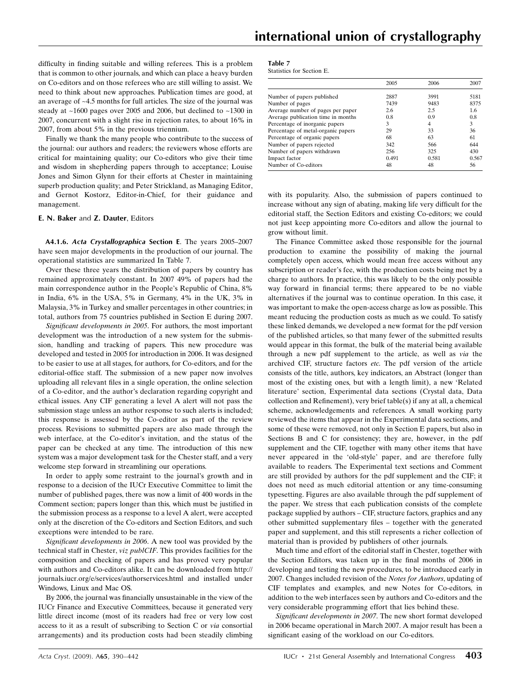difficulty in finding suitable and willing referees. This is a problem that is common to other journals, and which can place a heavy burden on Co-editors and on those referees who are still willing to assist. We need to think about new approaches. Publication times are good, at an average of ~4.5 months for full articles. The size of the journal was steady at  $~1600$  pages over 2005 and 2006, but declined to  $~1300$  in 2007, concurrent with a slight rise in rejection rates, to about 16% in 2007, from about 5% in the previous triennium.

Finally we thank the many people who contribute to the success of the journal: our authors and readers; the reviewers whose efforts are critical for maintaining quality; our Co-editors who give their time and wisdom in shepherding papers through to acceptance; Louise Jones and Simon Glynn for their efforts at Chester in maintaining superb production quality; and Peter Strickland, as Managing Editor, and Gernot Kostorz, Editor-in-Chief, for their guidance and management.

#### E. N. Baker and Z. Dauter, Editors

A4.1.6. Acta Crystallographica Section E. The years 2005–2007 have seen major developments in the production of our journal. The operational statistics are summarized In Table 7.

Over these three years the distribution of papers by country has remained approximately constant. In 2007 49% of papers had the main correspondence author in the People's Republic of China, 8% in India, 6% in the USA, 5% in Germany, 4% in the UK, 3% in Malaysia, 3% in Turkey and smaller percentages in other countries; in total, authors from 75 countries published in Section E during 2007.

Significant developments in 2005. For authors, the most important development was the introduction of a new system for the submission, handling and tracking of papers. This new procedure was developed and tested in 2005 for introduction in 2006. It was designed to be easier to use at all stages, for authors, for Co-editors, and for the editorial-office staff. The submission of a new paper now involves uploading all relevant files in a single operation, the online selection of a Co-editor, and the author's declaration regarding copyright and ethical issues. Any CIF generating a level A alert will not pass the submission stage unless an author response to such alerts is included; this response is assessed by the Co-editor as part of the review process. Revisions to submitted papers are also made through the web interface, at the Co-editor's invitation, and the status of the paper can be checked at any time. The introduction of this new system was a major development task for the Chester staff, and a very welcome step forward in streamlining our operations.

In order to apply some restraint to the journal's growth and in response to a decision of the IUCr Executive Committee to limit the number of published pages, there was now a limit of 400 words in the Comment section; papers longer than this, which must be justified in the submission process as a response to a level A alert, were accepted only at the discretion of the Co-editors and Section Editors, and such exceptions were intended to be rare.

Significant developments in 2006. A new tool was provided by the technical staff in Chester, viz publCIF. This provides facilities for the composition and checking of papers and has proved very popular with authors and Co-editors alike. It can be downloaded from http:// journals.iucr.org/e/services/authorservices.html and installed under Windows, Linux and Mac OS.

By 2006, the journal was financially unsustainable in the view of the IUCr Finance and Executive Committees, because it generated very little direct income (most of its readers had free or very low cost access to it as a result of subscribing to Section C or via consortial arrangements) and its production costs had been steadily climbing

## Table 7

Statistics for Section E.

|                                    | 2005  | 2006  | 2007  |
|------------------------------------|-------|-------|-------|
| Number of papers published         | 2887  | 3991  | 5181  |
| Number of pages                    | 7439  | 9483  | 8375  |
| Average number of pages per paper  | 2.6   | 2.5   | 1.6   |
| Average publication time in months | 0.8   | 0.9   | 0.8   |
| Percentage of inorganic papers     | 3     | 4     | 3     |
| Percentage of metal-organic papers | 29    | 33    | 36    |
| Percentage of organic papers       | 68    | 63    | 61    |
| Number of papers rejected          | 342   | 566   | 644   |
| Number of papers withdrawn         | 256   | 325   | 430   |
| Impact factor                      | 0.491 | 0.581 | 0.567 |
| Number of Co-editors               | 48    | 48    | 56    |

with its popularity. Also, the submission of papers continued to increase without any sign of abating, making life very difficult for the editorial staff, the Section Editors and existing Co-editors; we could not just keep appointing more Co-editors and allow the journal to grow without limit.

The Finance Committee asked those responsible for the journal production to examine the possibility of making the journal completely open access, which would mean free access without any subscription or reader's fee, with the production costs being met by a charge to authors. In practice, this was likely to be the only possible way forward in financial terms; there appeared to be no viable alternatives if the journal was to continue operation. In this case, it was important to make the open-access charge as low as possible. This meant reducing the production costs as much as we could. To satisfy these linked demands, we developed a new format for the pdf version of the published articles, so that many fewer of the submitted results would appear in this format, the bulk of the material being available through a new pdf supplement to the article, as well as via the archived CIF, structure factors etc. The pdf version of the article consists of the title, authors, key indicators, an Abstract (longer than most of the existing ones, but with a length limit), a new 'Related literature' section, Experimental data sections (Crystal data, Data collection and Refinement), very brief table(s) if any at all, a chemical scheme, acknowledgements and references. A small working party reviewed the items that appear in the Experimental data sections, and some of these were removed, not only in Section E papers, but also in Sections B and C for consistency; they are, however, in the pdf supplement and the CIF, together with many other items that have never appeared in the 'old-style' paper, and are therefore fully available to readers. The Experimental text sections and Comment are still provided by authors for the pdf supplement and the CIF; it does not need as much editorial attention or any time-consuming typesetting. Figures are also available through the pdf supplement of the paper. We stress that each publication consists of the complete package supplied by authors – CIF, structure factors, graphics and any other submitted supplementary files – together with the generated paper and supplement, and this still represents a richer collection of material than is provided by publishers of other journals.

Much time and effort of the editorial staff in Chester, together with the Section Editors, was taken up in the final months of 2006 in developing and testing the new procedures, to be introduced early in 2007. Changes included revision of the Notes for Authors, updating of CIF templates and examples, and new Notes for Co-editors, in addition to the web interfaces seen by authors and Co-editors and the very considerable programming effort that lies behind these.

Significant developments in 2007. The new short format developed in 2006 became operational in March 2007. A major result has been a significant easing of the workload on our Co-editors.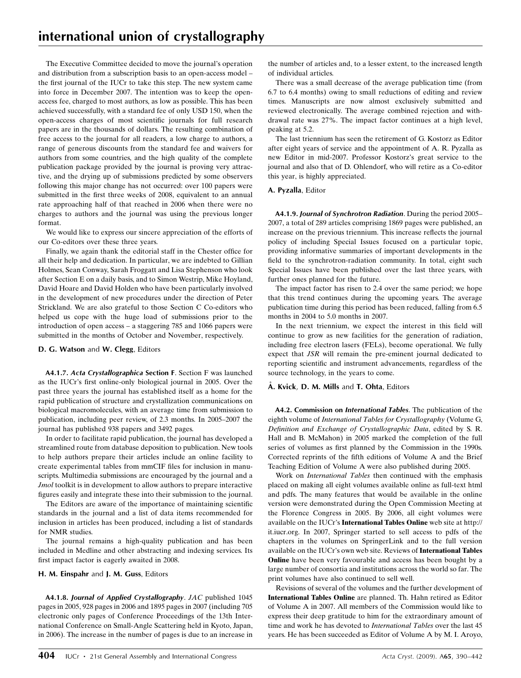The Executive Committee decided to move the journal's operation and distribution from a subscription basis to an open-access model – the first journal of the IUCr to take this step. The new system came into force in December 2007. The intention was to keep the openaccess fee, charged to most authors, as low as possible. This has been achieved successfully, with a standard fee of only USD 150, when the open-access charges of most scientific journals for full research papers are in the thousands of dollars. The resulting combination of free access to the journal for all readers, a low charge to authors, a range of generous discounts from the standard fee and waivers for authors from some countries, and the high quality of the complete publication package provided by the journal is proving very attractive, and the drying up of submissions predicted by some observers following this major change has not occurred: over 100 papers were submitted in the first three weeks of 2008, equivalent to an annual rate approaching half of that reached in 2006 when there were no charges to authors and the journal was using the previous longer format.

We would like to express our sincere appreciation of the efforts of our Co-editors over these three years.

Finally, we again thank the editorial staff in the Chester office for all their help and dedication. In particular, we are indebted to Gillian Holmes, Sean Conway, Sarah Froggatt and Lisa Stephenson who look after Section E on a daily basis, and to Simon Westrip, Mike Hoyland, David Hoare and David Holden who have been particularly involved in the development of new procedures under the direction of Peter Strickland. We are also grateful to those Section C Co-editors who helped us cope with the huge load of submissions prior to the introduction of open access – a staggering 785 and 1066 papers were submitted in the months of October and November, respectively.

D. G. Watson and W. Clegg, Editors

A4.1.7. Acta Crystallographica Section F. Section F was launched as the IUCr's first online-only biological journal in 2005. Over the past three years the journal has established itself as a home for the rapid publication of structure and crystallization communications on biological macromolecules, with an average time from submission to publication, including peer review, of 2.3 months. In 2005–2007 the journal has published 938 papers and 3492 pages.

In order to facilitate rapid publication, the journal has developed a streamlined route from database deposition to publication. New tools to help authors prepare their articles include an online facility to create experimental tables from mmCIF files for inclusion in manuscripts. Multimedia submissions are encouraged by the journal and a Jmol toolkit is in development to allow authors to prepare interactive figures easily and integrate these into their submission to the journal.

The Editors are aware of the importance of maintaining scientific standards in the journal and a list of data items recommended for inclusion in articles has been produced, including a list of standards for NMR studies.

The journal remains a high-quality publication and has been included in Medline and other abstracting and indexing services. Its first impact factor is eagerly awaited in 2008.

## H. M. Einspahr and J. M. Guss, Editors

A4.1.8. Journal of Applied Crystallography. JAC published 1045 pages in 2005, 928 pages in 2006 and 1895 pages in 2007 (including 705 electronic only pages of Conference Proceedings of the 13th International Conference on Small-Angle Scattering held in Kyoto, Japan, in 2006). The increase in the number of pages is due to an increase in the number of articles and, to a lesser extent, to the increased length of individual articles.

There was a small decrease of the average publication time (from 6.7 to 6.4 months) owing to small reductions of editing and review times. Manuscripts are now almost exclusively submitted and reviewed electronically. The average combined rejection and withdrawal rate was 27%. The impact factor continues at a high level, peaking at 5.2.

The last triennium has seen the retirement of G. Kostorz as Editor after eight years of service and the appointment of A. R. Pyzalla as new Editor in mid-2007. Professor Kostorz's great service to the journal and also that of D. Ohlendorf, who will retire as a Co-editor this year, is highly appreciated.

## A. Pyzalla, Editor

A4.1.9. Journal of Synchrotron Radiation. During the period 2005– 2007, a total of 289 articles comprising 1869 pages were published, an increase on the previous triennium. This increase reflects the journal policy of including Special Issues focused on a particular topic, providing informative summaries of important developments in the field to the synchrotron-radiation community. In total, eight such Special Issues have been published over the last three years, with further ones planned for the future.

The impact factor has risen to 2.4 over the same period; we hope that this trend continues during the upcoming years. The average publication time during this period has been reduced, falling from 6.5 months in 2004 to 5.0 months in 2007.

In the next triennium, we expect the interest in this field will continue to grow as new facilities for the generation of radiation, including free electron lasers (FELs), become operational. We fully expect that JSR will remain the pre-eminent journal dedicated to reporting scientific and instrument advancements, regardless of the source technology, in the years to come.

## Å. Kvick, D. M. Mills and T. Ohta, Editors

A4.2. Commission on International Tables. The publication of the eighth volume of International Tables for Crystallography (Volume G, Definition and Exchange of Crystallographic Data, edited by S. R. Hall and B. McMahon) in 2005 marked the completion of the full series of volumes as first planned by the Commission in the 1990s. Corrected reprints of the fifth editions of Volume A and the Brief Teaching Edition of Volume A were also published during 2005.

Work on *International Tables* then continued with the emphasis placed on making all eight volumes available online as full-text html and pdfs. The many features that would be available in the online version were demonstrated during the Open Commission Meeting at the Florence Congress in 2005. By 2006, all eight volumes were available on the IUCr's International Tables Online web site at http:// it.iucr.org. In 2007, Springer started to sell access to pdfs of the chapters in the volumes on SpringerLink and to the full version available on the IUCr's own web site. Reviews of International Tables Online have been very favourable and access has been bought by a large number of consortia and institutions across the world so far. The print volumes have also continued to sell well.

Revisions of several of the volumes and the further development of International Tables Online are planned. Th. Hahn retired as Editor of Volume A in 2007. All members of the Commission would like to express their deep gratitude to him for the extraordinary amount of time and work he has devoted to International Tables over the last 45 years. He has been succeeded as Editor of Volume A by M. I. Aroyo,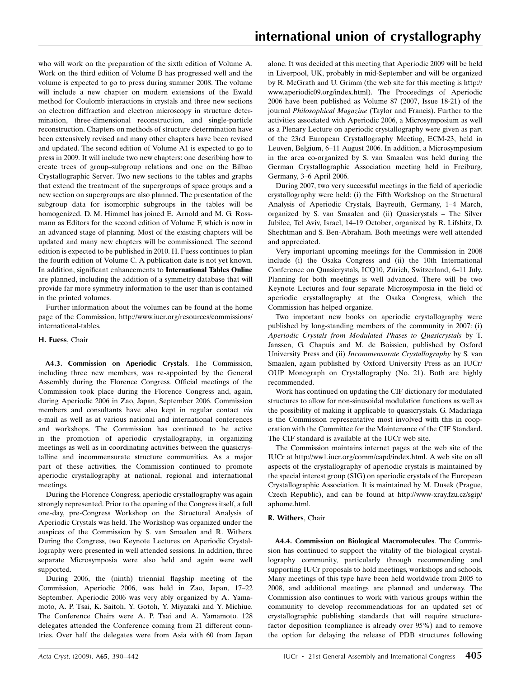who will work on the preparation of the sixth edition of Volume A. Work on the third edition of Volume B has progressed well and the volume is expected to go to press during summer 2008. The volume will include a new chapter on modern extensions of the Ewald method for Coulomb interactions in crystals and three new sections on electron diffraction and electron microscopy in structure determination, three-dimensional reconstruction, and single-particle reconstruction. Chapters on methods of structure determination have been extensively revised and many other chapters have been revised and updated. The second edition of Volume A1 is expected to go to press in 2009. It will include two new chapters: one describing how to create trees of group–subgroup relations and one on the Bilbao Crystallographic Server. Two new sections to the tables and graphs that extend the treatment of the supergroups of space groups and a new section on supergroups are also planned. The presentation of the subgroup data for isomorphic subgroups in the tables will be homogenized. D. M. Himmel has joined E. Arnold and M. G. Rossmann as Editors for the second edition of Volume F, which is now in an advanced stage of planning. Most of the existing chapters will be updated and many new chapters will be commissioned. The second edition is expected to be published in 2010. H. Fuess continues to plan the fourth edition of Volume C. A publication date is not yet known. In addition, significant enhancements to International Tables Online are planned, including the addition of a symmetry database that will provide far more symmetry information to the user than is contained in the printed volumes.

Further information about the volumes can be found at the home page of the Commission, http://www.iucr.org/resources/commissions/ international-tables.

#### H. Fuess, Chair

A4.3. Commission on Aperiodic Crystals. The Commission, including three new members, was re-appointed by the General Assembly during the Florence Congress. Official meetings of the Commission took place during the Florence Congress and, again, during Aperiodic 2006 in Zao, Japan, September 2006. Commission members and consultants have also kept in regular contact via e-mail as well as at various national and international conferences and workshops. The Commission has continued to be active in the promotion of aperiodic crystallography, in organizing meetings as well as in coordinating activities between the quasicrystalline and incommensurate structure communities. As a major part of these activities, the Commission continued to promote aperiodic crystallography at national, regional and international meetings.

During the Florence Congress, aperiodic crystallography was again strongly represented. Prior to the opening of the Congress itself, a full one-day, pre-Congress Workshop on the Structural Analysis of Aperiodic Crystals was held. The Workshop was organized under the auspices of the Commission by S. van Smaalen and R. Withers. During the Congress, two Keynote Lectures on Aperiodic Crystallography were presented in well attended sessions. In addition, three separate Microsymposia were also held and again were well supported.

During 2006, the (ninth) triennial flagship meeting of the Commission, Aperiodic 2006, was held in Zao, Japan, 17–22 September. Aperiodic 2006 was very ably organized by A. Yamamoto, A. P. Tsai, K. Saitoh, Y. Gotoh, Y. Miyazaki and Y. Michiue. The Conference Chairs were A. P. Tsai and A. Yamamoto. 128 delegates attended the Conference coming from 21 different countries. Over half the delegates were from Asia with 60 from Japan alone. It was decided at this meeting that Aperiodic 2009 will be held in Liverpool, UK, probably in mid-September and will be organized by R. McGrath and U. Grimm (the web site for this meeting is http:// www.aperiodic09.org/index.html). The Proceedings of Aperiodic 2006 have been published as Volume 87 (2007, Issue 18-21) of the journal Philosophical Magazine (Taylor and Francis). Further to the activities associated with Aperiodic 2006, a Microsymposium as well as a Plenary Lecture on aperiodic crystallography were given as part of the 23rd European Crystallography Meeting, ECM-23, held in Leuven, Belgium, 6–11 August 2006. In addition, a Microsymposium in the area co-organized by S. van Smaalen was held during the German Crystallographic Association meeting held in Freiburg, Germany, 3–6 April 2006.

During 2007, two very successful meetings in the field of aperiodic crystallography were held: (i) the Fifth Workshop on the Structural Analysis of Aperiodic Crystals, Bayreuth, Germany, 1–4 March, organized by S. van Smaalen and (ii) Quasicrystals – The Silver Jubilee, Tel Aviv, Israel, 14–19 October, organized by R. Lifshitz, D. Shechtman and S. Ben-Abraham. Both meetings were well attended and appreciated.

Very important upcoming meetings for the Commission in 2008 include (i) the Osaka Congress and (ii) the 10th International Conference on Quasicrystals, ICQ10, Zürich, Switzerland, 6-11 July. Planning for both meetings is well advanced. There will be two Keynote Lectures and four separate Microsymposia in the field of aperiodic crystallography at the Osaka Congress, which the Commission has helped organize.

Two important new books on aperiodic crystallography were published by long-standing members of the community in 2007: (i) Aperiodic Crystals from Modulated Phases to Quasicrystals by T. Janssen, G. Chapuis and M. de Boissieu, published by Oxford University Press and (ii) Incommensurate Crystallography by S. van Smaalen, again published by Oxford University Press as an IUCr/ OUP Monograph on Crystallography (No. 21). Both are highly recommended.

Work has continued on updating the CIF dictionary for modulated structures to allow for non-sinusoidal modulation functions as well as the possibility of making it applicable to quasicrystals. G. Madariaga is the Commission representative most involved with this in cooperation with the Committee for the Maintenance of the CIF Standard. The CIF standard is available at the IUCr web site.

The Commission maintains internet pages at the web site of the IUCr at http://ww1.iucr.org/comm/capd/index.html. A web site on all aspects of the crystallography of aperiodic crystals is maintained by the special interest group (SIG) on aperiodic crystals of the European Crystallographic Association. It is maintained by M. Dusek (Prague, Czech Republic), and can be found at http://www-xray.fzu.cz/sgip/ aphome.html.

## R. Withers, Chair

A4.4. Commission on Biological Macromolecules. The Commission has continued to support the vitality of the biological crystallography community, particularly through recommending and supporting IUCr proposals to hold meetings, workshops and schools. Many meetings of this type have been held worldwide from 2005 to 2008, and additional meetings are planned and underway. The Commission also continues to work with various groups within the community to develop recommendations for an updated set of crystallographic publishing standards that will require structurefactor deposition (compliance is already over 95%) and to remove the option for delaying the release of PDB structures following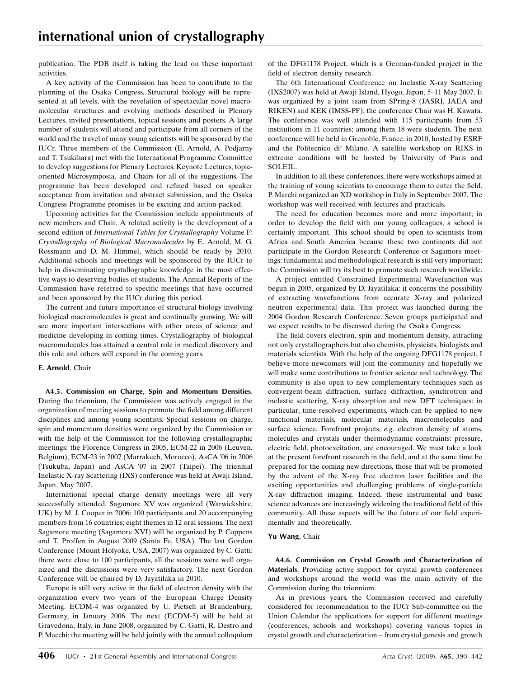publication. The PDB itself is taking the lead on these important activities.

A key activity of the Commission has been to contribute to the planning of the Osaka Congress. Structural biology will be represented at all levels, with the revelation of spectacular novel macromolecular structures and evolving methods described in Plenary Lectures, invited presentations, topical sessions and posters. A large number of students will attend and participate from all corners of the world and the travel of many young scientists will be sponsored by the IUCr. Three members of the Commission (E. Arnold, A. Podjarny and T. Tsukihara) met with the International Programme Committee to develop suggestions for Plenary Lectures, Keynote Lectures, topicoriented Microsymposia, and Chairs for all of the suggestions. The programme has been developed and refined based on speaker acceptance from invitation and abstract submission, and the Osaka Congress Programme promises to be exciting and action-packed.

Upcoming activities for the Commission include appointments of new members and Chair. A related activity is the development of a second edition of International Tables for Crystallography Volume F: Crystallography of Biological Macromolecules by E. Arnold, M. G. Rossmann and D. M. Himmel, which should be ready by 2010. Additional schools and meetings will be sponsored by the IUCr to help in disseminating crystallographic knowledge in the most effective ways to deserving bodies of students. The Annual Reports of the Commission have referred to specific meetings that have occurred and been sponsored by the IUCr during this period.

The current and future importance of structural biology involving biological macromolecules is great and continually growing. We will see more important intersections with other areas of science and medicine developing in coming times. Crystallography of biological macromolecules has attained a central role in medical discovery and this role and others will expand in the coming years.

## E. Arnold, Chair

A4.5. Commission on Charge, Spin and Momentum Densities. During the triennium, the Commission was actively engaged in the organization of meeting sessions to promote the field among different disciplines and among young scientists. Special sessions on charge, spin and momentum densities were organized by the Commission or with the help of the Commission for the following crystallographic meetings: the Florence Congress in 2005, ECM-22 in 2006 (Leuven, Belgium), ECM-23 in 2007 (Marrakech, Morocco), AsCA '06 in 2006 (Tsukuba, Japan) and AsCA '07 in 2007 (Taipei). The triennial Inelastic X-ray Scattering (IXS) conference was held at Awaji Island, Japan, May 2007.

International special charge density meetings were all very successfully attended. Sagamore XV was organized (Warwickshire, UK) by M. J. Cooper in 2006: 100 participants and 20 accompanying members from 16 countries; eight themes in 12 oral sessions. The next Sagamore meeting (Sagamore XVI) will be organized by P. Coppens and T. Proffen in August 2009 (Santa Fe, USA). The last Gordon Conference (Mount Holyoke, USA, 2007) was organized by C. Gatti: there were close to 100 participants, all the sessions were well organized and the discussions were very satisfactory. The next Gordon Conference will be chaired by D. Jayatilaka in 2010.

Europe is still very active in the field of electron density with the organization every two years of the European Charge Density Meeting. ECDM-4 was organized by U. Pietsch at Brandenburg, Germany, in January 2006. The next (ECDM-5) will be held at Gravedona, Italy, in June 2008, organized by C. Gatti, R. Destro and P. Macchi; the meeting will be held jointly with the annual colloquium of the DFG1178 Project, which is a German-funded project in the field of electron density research.

The 6th International Conference on Inelastic X-ray Scattering (IXS2007) was held at Awaji Island, Hyogo, Japan, 5–11 May 2007. It was organized by a joint team from SPring-8 (JASRI, JAEA and RIKEN) and KEK (IMSS-PF); the conference Chair was H. Kawata. The conference was well attended with 115 participants from 53 institutions in 11 countries; among them 18 were students. The next conference will be held in Grenoble, France, in 2010, hosted by ESRF and the Politecnico di' Milano. A satellite workshop on RIXS in extreme conditions will be hosted by University of Paris and SOLEIL.

In addition to all these conferences, there were workshops aimed at the training of young scientists to encourage them to enter the field. P. Marchi organized an XD workshop in Italy in September 2007. The workshop was well received with lectures and practicals.

The need for education becomes more and more important; in order to develop the field with our young colleagues, a school is certainly important. This school should be open to scientists from Africa and South America because these two continents did not participate in the Gordon Research Conference or Sagamore meetings: fundamental and methodological research is still very important; the Commission will try its best to promote such research worldwide.

A project entitled Constrained Experimental Wavefunction was begun in 2005, organized by D. Jayatilaka: it concerns the possibility of extracting wavefunctions from accurate X-ray and polarized neutron experimental data. This project was launched during the 2004 Gordon Research Conference. Seven groups participated and we expect results to be discussed during the Osaka Congress.

The field covers electron, spin and momentum density, attracting not only crystallographers but also chemists, physicists, biologists and materials scientists. With the help of the ongoing DFG1178 project, I believe more newcomers will join the community and hopefully we will make some contributions to frontier science and technology. The community is also open to new complementary techniques such as convergent-beam diffraction, surface diffraction, synchrotron and inelastic scattering, X-ray absorption and new DFT techniques: in particular, time-resolved experiments, which can be applied to new functional materials, molecular materials, macromolecules and surface science. Forefront projects, e.g. electron density of atoms, molecules and crystals under thermodynamic constraints: pressure, electric field, photoexcitation, are encouraged. We must take a look at the present forefront research in the field, and at the same time be prepared for the coming new directions, those that will be promoted by the advent of the X-ray free electron laser facilities and the exciting opportunities and challenging problems of single-particle X-ray diffraction imaging. Indeed, these instrumental and basic science advances are increasingly widening the traditional field of this community. All these aspects will be the future of our field experimentally and theoretically.

#### Yu Wang, Chair

A4.6. Commission on Crystal Growth and Characterization of Materials. Providing active support for crystal growth conferences and workshops around the world was the main activity of the Commission during the triennium.

As in previous years, the Commission received and carefully considered for recommendation to the IUCr Sub-committee on the Union Calendar the applications for support for different meetings (conferences, schools and workshops) covering various topics in crystal growth and characterization – from crystal genesis and growth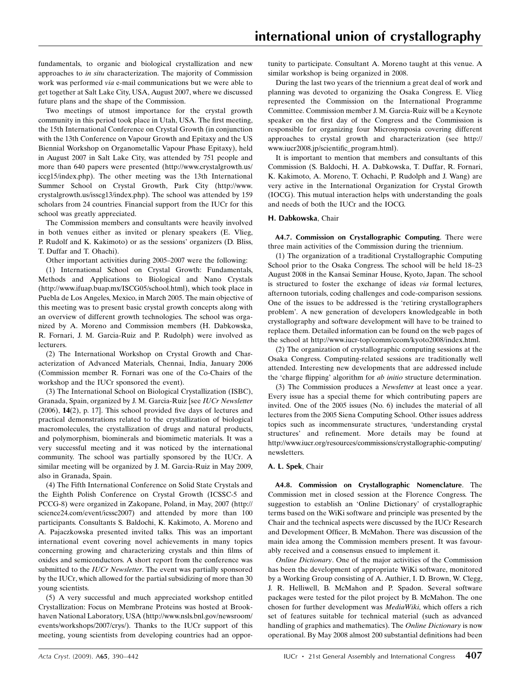fundamentals, to organic and biological crystallization and new approaches to in situ characterization. The majority of Commission work was performed via e-mail communications but we were able to get together at Salt Lake City, USA, August 2007, where we discussed future plans and the shape of the Commission.

Two meetings of utmost importance for the crystal growth community in this period took place in Utah, USA. The first meeting, the 15th International Conference on Crystal Growth (in conjunction with the 13th Conference on Vapour Growth and Epitaxy and the US Biennial Workshop on Organometallic Vapour Phase Epitaxy), held in August 2007 in Salt Lake City, was attended by 751 people and more than 640 papers were presented (http://www.crystalgrowth.us/ iccg15/index.php). The other meeting was the 13th International Summer School on Crystal Growth, Park City (http://www. crystalgrowth.us/isscg13/index.php). The school was attended by 159 scholars from 24 countries. Financial support from the IUCr for this school was greatly appreciated.

The Commission members and consultants were heavily involved in both venues either as invited or plenary speakers (E. Vlieg, P. Rudolf and K. Kakimoto) or as the sessions' organizers (D. Bliss, T. Duffar and T. Ohachi).

Other important activities during 2005–2007 were the following:

(1) International School on Crystal Growth: Fundamentals, Methods and Applications to Biological and Nano Crystals (http://www.ifuap.buap.mx/ISCG05/school.html), which took place in Puebla de Los Angeles, Mexico, in March 2005. The main objective of this meeting was to present basic crystal growth concepts along with an overview of different growth technologies. The school was organized by A. Moreno and Commission members (H. Dabkowska, R. Fornari, J. M. Garcia-Ruiz and P. Rudolph) were involved as lecturers.

(2) The International Workshop on Crystal Growth and Characterization of Advanced Materials, Chennai, India, January 2006 (Commission member R. Fornari was one of the Co-Chairs of the workshop and the IUCr sponsored the event).

(3) The International School on Biological Crystallization (ISBC), Granada, Spain, organized by J. M. Garcia-Ruiz [see IUCr Newsletter (2006), 14(2), p. 17]. This school provided five days of lectures and practical demonstrations related to the crystallization of biological macromolecules, the crystallization of drugs and natural products, and polymorphism, biominerals and biomimetic materials. It was a very successful meeting and it was noticed by the international community. The school was partially sponsored by the IUCr. A similar meeting will be organized by J. M. Garcia-Ruiz in May 2009, also in Granada, Spain.

(4) The Fifth International Conference on Solid State Crystals and the Eighth Polish Conference on Crystal Growth (ICSSC-5 and PCCG-8) were organized in Zakopane, Poland, in May, 2007 (http:// science24.com/event/icssc2007) and attended by more than 100 participants. Consultants S. Baldochi, K. Kakimoto, A. Moreno and A. Pajaczkowska presented invited talks. This was an important international event covering novel achievements in many topics concerning growing and characterizing crystals and thin films of oxides and semiconductors. A short report from the conference was submitted to the IUCr Newsletter. The event was partially sponsored by the IUCr, which allowed for the partial subsidizing of more than 30 young scientists.

(5) A very successful and much appreciated workshop entitled Crystallization: Focus on Membrane Proteins was hosted at Brookhaven National Laboratory, USA (http://www.nsls.bnl.gov/newsroom/ events/workshops/2007/crys/). Thanks to the IUCr support of this meeting, young scientists from developing countries had an opportunity to participate. Consultant A. Moreno taught at this venue. A similar workshop is being organized in 2008.

During the last two years of the triennium a great deal of work and planning was devoted to organizing the Osaka Congress. E. Vlieg represented the Commission on the International Programme Committee. Commission member J. M. Garcia-Ruiz will be a Keynote speaker on the first day of the Congress and the Commission is responsible for organizing four Microsymposia covering different approaches to crystal growth and characterization (see http:// www.iucr2008.jp/scientific\_program.html).

It is important to mention that members and consultants of this Commission (S. Baldochi, H. A. Dabkowska, T. Duffar, R. Fornari, K. Kakimoto, A. Moreno, T. Ochachi, P. Rudolph and J. Wang) are very active in the International Organization for Crystal Growth (IOCG). This mutual interaction helps with understanding the goals and needs of both the IUCr and the IOCG.

## H. Dabkowska, Chair

A4.7. Commission on Crystallographic Computing. There were three main activities of the Commission during the triennium.

(1) The organization of a traditional Crystallographic Computing School prior to the Osaka Congress. The school will be held 18–23 August 2008 in the Kansai Seminar House, Kyoto, Japan. The school is structured to foster the exchange of ideas via formal lectures, afternoon tutorials, coding challenges and code-comparison sessions. One of the issues to be addressed is the 'retiring crystallographers problem'. A new generation of developers knowledgeable in both crystallography and software development will have to be trained to replace them. Detailed information can be found on the web pages of the school at http://www.iucr-top/comm/ccom/kyoto2008/index.html.

(2) The organization of crystallographic computing sessions at the Osaka Congress. Computing-related sessions are traditionally well attended. Interesting new developments that are addressed include the 'charge flipping' algorithm for ab initio structure determination.

(3) The Commission produces a Newsletter at least once a year. Every issue has a special theme for which contributing papers are invited. One of the 2005 issues (No. 6) includes the material of all lectures from the 2005 Siena Computing School. Other issues address topics such as incommensurate structures, 'understanding crystal structures' and refinement. More details may be found at http://www.iucr.org/resources/commissions/crystallographic-computing/ newsletters.

## A. L. Spek, Chair

A4.8. Commission on Crystallographic Nomenclature. The Commission met in closed session at the Florence Congress. The suggestion to establish an 'Online Dictionary' of crystallographic terms based on the WiKi software and principle was presented by the Chair and the technical aspects were discussed by the IUCr Research and Development Officer, B. McMahon. There was discussion of the main idea among the Commission members present. It was favourably received and a consensus ensued to implement it.

Online Dictionary. One of the major activities of the Commission has been the development of appropriate WiKi software, monitored by a Working Group consisting of A. Authier, I. D. Brown, W. Clegg, J. R. Helliwell, B. McMahon and P. Spadon. Several software packages were tested for the pilot project by B. McMahon. The one chosen for further development was MediaWiki, which offers a rich set of features suitable for technical material (such as advanced handling of graphics and mathematics). The Online Dictionary is now operational. By May 2008 almost 200 substantial definitions had been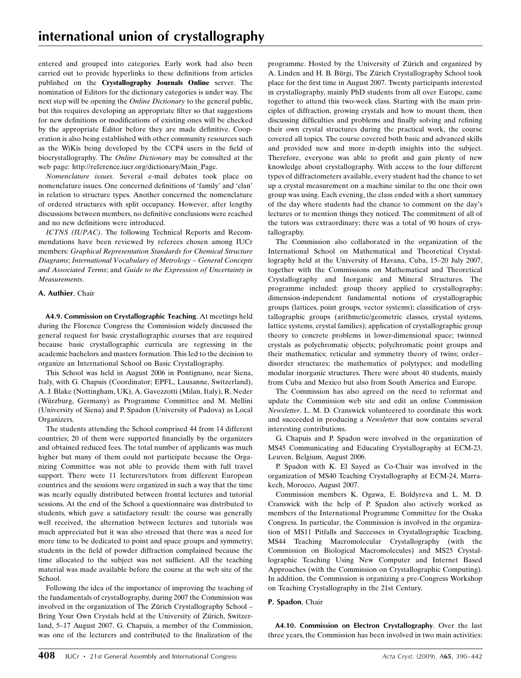entered and grouped into categories. Early work had also been carried out to provide hyperlinks to these definitions from articles published on the Crystallography Journals Online server. The nomination of Editors for the dictionary categories is under way. The next step will be opening the Online Dictionary to the general public, but this requires developing an appropriate filter so that suggestions for new definitions or modifications of existing ones will be checked by the appropriate Editor before they are made definitive. Cooperation is also being established with other community resources such as the WiKis being developed by the CCP4 users in the field of biocrystallography. The Online Dictionary may be consulted at the web page: http://reference.iucr.org/dictionary/Main\_Page.

Nomenclature issues. Several e-mail debates took place on nomenclature issues. One concerned definitions of 'family' and 'clan' in relation to structure types. Another concerned the nomenclature of ordered structures with split occupancy. However, after lengthy discussions between members, no definitive conclusions were reached and no new definitions were introduced.

ICTNS (IUPAC). The following Technical Reports and Recommendations have been reviewed by referees chosen among IUCr members: Graphical Representation Standards for Chemical Structure Diagrams; International Vocabulary of Metrology – General Concepts and Associated Terms; and Guide to the Expression of Uncertainty in Measurements.

## A. Authier, Chair

A4.9. Commission on Crystallographic Teaching. At meetings held during the Florence Congress the Commission widely discussed the general request for basic crystallographic courses that are required because basic crystallographic curricula are regressing in the academic bachelors and masters formation. This led to the decision to organize an International School on Basic Crystallography.

This School was held in August 2006 in Pontignano, near Siena, Italy, with G. Chapuis (Coordinator; EPFL, Lausanne, Switzerland), A. J. Blake (Nottingham, UK), A. Gavezzotti (Milan, Italy), R. Neder (Wu¨rzburg, Germany) as Programme Committee and M. Mellini (University of Siena) and P. Spadon (University of Padova) as Local Organizers.

The students attending the School comprised 44 from 14 different countries; 20 of them were supported financially by the organizers and obtained reduced fees. The total number of applicants was much higher but many of them could not participate because the Organizing Committee was not able to provide them with full travel support. There were 11 lecturers/tutors from different European countries and the sessions were organized in such a way that the time was nearly equally distributed between frontal lectures and tutorial sessions. At the end of the School a questionnaire was distributed to students, which gave a satisfactory result: the course was generally well received, the alternation between lectures and tutorials was much appreciated but it was also stressed that there was a need for more time to be dedicated to point and space groups and symmetry; students in the field of powder diffraction complained because the time allocated to the subject was not sufficient. All the teaching material was made available before the course at the web site of the School.

Following the idea of the importance of improving the teaching of the fundamentals of crystallography, during 2007 the Commission was involved in the organization of The Zürich Crystallography School – Bring Your Own Crystals held at the University of Zürich, Switzerland, 5–17 August 2007. G. Chapuis, a member of the Commission, was one of the lecturers and contributed to the finalization of the programme. Hosted by the University of Zürich and organized by A. Linden and H. B. Bürgi, The Zürich Crystallography School took place for the first time in August 2007. Twenty participants interested in crystallography, mainly PhD students from all over Europe, came together to attend this two-week class. Starting with the main principles of diffraction, growing crystals and how to mount them, then discussing difficulties and problems and finally solving and refining their own crystal structures during the practical work, the course covered all topics. The course covered both basic and advanced skills and provided new and more in-depth insights into the subject. Therefore, everyone was able to profit and gain plenty of new knowledge about crystallography. With access to the four different types of diffractometers available, every student had the chance to set up a crystal measurement on a machine similar to the one their own group was using. Each evening, the class ended with a short summary of the day where students had the chance to comment on the day's lectures or to mention things they noticed. The commitment of all of the tutors was extraordinary; there was a total of 90 hours of crystallography.

The Commission also collaborated in the organization of the International School on Mathematical and Theoretical Crystallography held at the University of Havana, Cuba, 15–20 July 2007, together with the Commissions on Mathematical and Theoretical Crystallography and Inorganic and Mineral Structures. The programme included: group theory applied to crystallography; dimension-independent fundamental notions of crystallographic groups (lattices, point groups, vector systems); classification of crystallographic groups (arithmetic/geometric classes, crystal systems, lattice systems, crystal families); application of crystallographic group theory to concrete problems in lower-dimensional space; twinned crystals as polychromatic objects; polychromatic point groups and their mathematics; reticular and symmetry theory of twins; order– disorder structures; the mathematics of polytypes; and modelling modular inorganic structures. There were about 40 students, mainly from Cuba and Mexico but also from South America and Europe.

The Commission has also agreed on the need to reformat and update the Commission web site and edit an online Commission Newsletter. L. M. D. Cranswick volunteered to coordinate this work and succeeded in producing a Newsletter that now contains several interesting contributions.

G. Chapuis and P. Spadon were involved in the organization of MS45 Communicating and Educating Crystallography at ECM-23, Leuven, Belgium, August 2006.

P. Spadon with K. El Sayed as Co-Chair was involved in the organization of MS40 Teaching Crystallography at ECM-24, Marrakech, Morocco, August 2007.

Commission members K. Ogawa, E. Boldyreva and L. M. D. Cranswick with the help of P. Spadon also actively worked as members of the International Programme Committee for the Osaka Congress. In particular, the Commission is involved in the organization of MS11 Pitfalls and Successes in Crystallographic Teaching, MS44 Teaching Macromolecular Crystallography (with the Commission on Biological Macromolecules) and MS25 Crystallographic Teaching Using New Computer and Internet Based Approaches (with the Commission on Crystallographic Computing). In addition, the Commission is organizing a pre-Congress Workshop on Teaching Crystallography in the 21st Century.

## P. Spadon, Chair

A4.10. Commission on Electron Crystallography. Over the last three years, the Commission has been involved in two main activities: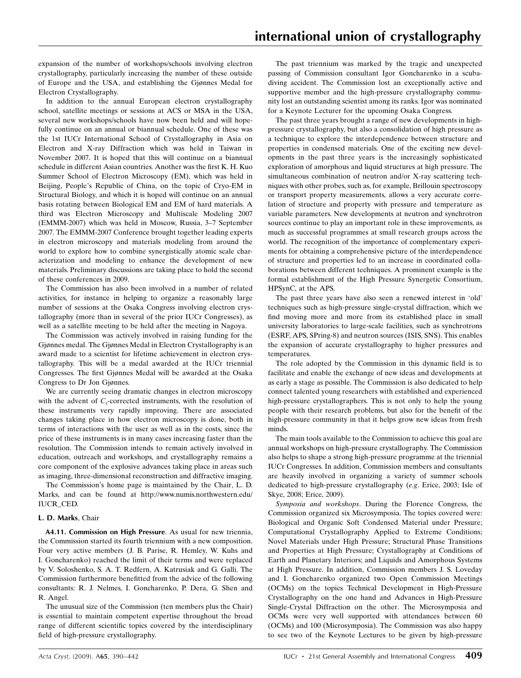expansion of the number of workshops/schools involving electron crystallography, particularly increasing the number of these outside of Europe and the USA, and establishing the Gjønnes Medal for Electron Crystallography.

In addition to the annual European electron crystallography school, satellite meetings or sessions at ACS or MSA in the USA, several new workshops/schools have now been held and will hopefully continue on an annual or biannual schedule. One of these was the 1st IUCr International School of Crystallography in Asia on Electron and X-ray Diffraction which was held in Taiwan in November 2007. It is hoped that this will continue on a biannual schedule in different Asian countries. Another was the first K. H. Kuo Summer School of Electron Microscopy (EM), which was held in Beijing, People's Republic of China, on the topic of Cryo-EM in Structural Biology, and which it is hoped will continue on an annual basis rotating between Biological EM and EM of hard materials. A third was Electron Microscopy and Multiscale Modeling 2007 (EMMM-2007) which was held in Moscow, Russia, 3–7 September 2007. The EMMM-2007 Conference brought together leading experts in electron microscopy and materials modeling from around the world to explore how to combine synergistically atomic scale characterization and modeling to enhance the development of new materials. Preliminary discussions are taking place to hold the second of these conferences in 2009.

The Commission has also been involved in a number of related activities, for instance in helping to organize a reasonably large number of sessions at the Osaka Congress involving electron crystallography (more than in several of the prior IUCr Congresses), as well as a satellite meeting to be held after the meeting in Nagoya.

The Commission was actively involved in raising funding for the Gjønnes medal. The Gjønnes Medal in Electron Crystallography is an award made to a scientist for lifetime achievement in electron crystallography. This will be a medal awarded at the IUCr triennial Congresses. The first Gjønnes Medal will be awarded at the Osaka Congress to Dr Jon Gjønnes.

We are currently seeing dramatic changes in electron microscopy with the advent of  $C_s$ -corrected instruments, with the resolution of these instruments very rapidly improving. There are associated changes taking place in how electron microscopy is done, both in terms of interactions with the user as well as in the costs, since the price of these instruments is in many cases increasing faster than the resolution. The Commission intends to remain actively involved in education, outreach and workshops, and crystallography remains a core component of the explosive advances taking place in areas such as imaging, three-dimensional reconstruction and diffractive imaging.

The Commission's home page is maintained by the Chair, L. D. Marks, and can be found at http://www.numis.northwestern.edu/ IUCR\_CED.

## L. D. Marks, Chair

A4.11. Commission on High Pressure. As usual for new triennia, the Commission started its fourth triennium with a new composition. Four very active members (J. B. Parise, R. Hemley, W. Kuhs and I. Goncharenko) reached the limit of their terms and were replaced by V. Soloshenko, S. A. T. Redfern, A. Katrusiak and G. Galli. The Commission furthermore benefitted from the advice of the following consultants: R. J. Nelmes, I. Goncharenko, P. Dera, G. Shen and R. Angel.

The unusual size of the Commission (ten members plus the Chair) is essential to maintain competent expertise throughout the broad range of different scientific topics covered by the interdisciplinary field of high-pressure crystallography.

The past triennium was marked by the tragic and unexpected passing of Commission consultant Igor Goncharenko in a scubadiving accident. The Commission lost an exceptionally active and supportive member and the high-pressure crystallography community lost an outstanding scientist among its ranks. Igor was nominated for a Keynote Lecturer for the upcoming Osaka Congress.

The past three years brought a range of new developments in highpressure crystallography, but also a consolidation of high pressure as a technique to explore the interdependence between structure and properties in condensed materials. One of the exciting new developments in the past three years is the increasingly sophisticated exploration of amorphous and liquid structures at high pressure. The simultaneous combination of neutron and/or X-ray scattering techniques with other probes, such as, for example, Brillouin spectroscopy or transport property measurements, allows a very accurate correlation of structure and property with pressure and temperature as variable parameters. New developments at neutron and synchrotron sources continue to play an important role in these improvements, as much as successful programmes at small research groups across the world. The recognition of the importance of complementary experiments for obtaining a comprehensive picture of the interdependence of structure and properties led to an increase in coordinated collaborations between different techniques. A prominent example is the formal establishment of the High Pressure Synergetic Consortium, HPSynC, at the APS.

The past three years have also seen a renewed interest in 'old' techniques such as high-pressure single-crystal diffraction, which we find moving more and more from its established place in small university laboratories to large-scale facilities, such as synchrotrons (ESRF, APS, SPring-8) and neutron sources (ISIS, SNS). This enables the expansion of accurate crystallography to higher pressures and temperatures.

The role adopted by the Commission in this dynamic field is to facilitate and enable the exchange of new ideas and developments at as early a stage as possible. The Commission is also dedicated to help connect talented young researchers with established and experienced high-pressure crystallographers. This is not only to help the young people with their research problems, but also for the benefit of the high-pressure community in that it helps grow new ideas from fresh minds.

The main tools available to the Commission to achieve this goal are annual workshops on high-pressure crystallography. The Commission also helps to shape a strong high-pressure programme at the triennial IUCr Congresses. In addition, Commission members and consultants are heavily involved in organizing a variety of summer schools dedicated to high-pressure crystallography (e.g. Erice, 2003; Isle of Skye, 2008; Erice, 2009).

Symposia and workshops. During the Florence Congress, the Commission organized six Microsymposia. The topics covered were: Biological and Organic Soft Condensed Material under Pressure; Computational Crystallography Applied to Extreme Conditions; Novel Materials under High Pressure; Structural Phase Transitions and Properties at High Pressure; Crystallography at Conditions of Earth and Planetary Interiors; and Liquids and Amorphous Systems at High Pressure. In addition, Commission members J. S. Loveday and I. Goncharenko organized two Open Commission Meetings (OCMs) on the topics Technical Development in High-Pressure Crystallography on the one hand and Advances in High-Pressure Single-Crystal Diffraction on the other. The Microsymposia and OCMs were very well supported with attendances between 60 (OCMs) and 100 (Microsymposia). The Commission was also happy to see two of the Keynote Lectures to be given by high-pressure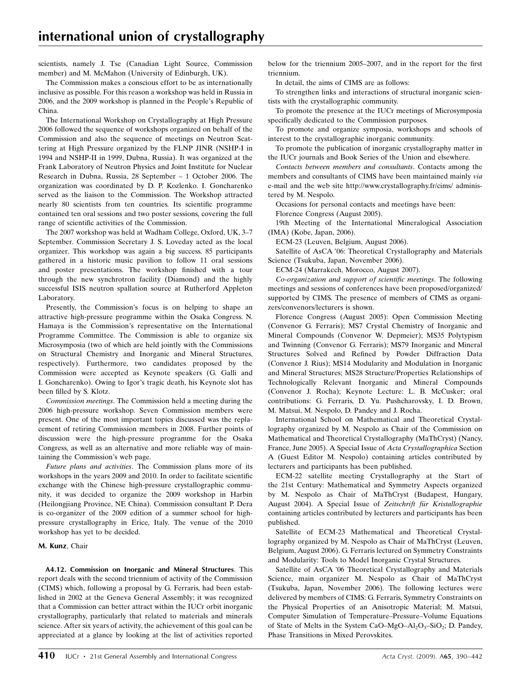scientists, namely J. Tse (Canadian Light Source, Commission member) and M. McMahon (University of Edinburgh, UK).

The Commission makes a conscious effort to be as internationally inclusive as possible. For this reason a workshop was held in Russia in 2006, and the 2009 workshop is planned in the People's Republic of China.

The International Workshop on Crystallography at High Pressure 2006 followed the sequence of workshops organized on behalf of the Commission and also the sequence of meetings on Neutron Scattering at High Pressure organized by the FLNP JINR (NSHP-I in 1994 and NSHP-II in 1999, Dubna, Russia). It was organized at the Frank Laboratory of Neutron Physics and Joint Institute for Nuclear Research in Dubna, Russia, 28 September – 1 October 2006. The organization was coordinated by D. P. Kozlenko. I. Goncharenko served as the liaison to the Commission. The Workshop attracted nearly 80 scientists from ten countries. Its scientific programme contained ten oral sessions and two poster sessions, covering the full range of scientific activities of the Commission.

The 2007 workshop was held at Wadham College, Oxford, UK, 3–7 September. Commission Secretary J. S. Loveday acted as the local organizer. This workshop was again a big success. 85 participants gathered in a historic music pavilion to follow 11 oral sessions and poster presentations. The workshop finished with a tour through the new synchrotron facility (Diamond) and the highly successful ISIS neutron spallation source at Rutherford Appleton Laboratory.

Presently, the Commission's focus is on helping to shape an attractive high-pressure programme within the Osaka Congress. N. Hamaya is the Commission's representative on the International Programme Committee. The Commission is able to organize six Microsymposia (two of which are held jointly with the Commissions on Structural Chemistry and Inorganic and Mineral Structures, respectively). Furthermore, two candidates proposed by the Commission were accepted as Keynote speakers (G. Galli and I. Goncharenko). Owing to Igor's tragic death, his Keynote slot has been filled by S. Klotz.

Commission meetings. The Commission held a meeting during the 2006 high-pressure workshop. Seven Commission members were present. One of the most important topics discussed was the replacement of retiring Commission members in 2008. Further points of discussion were the high-pressure programme for the Osaka Congress, as well as an alternative and more reliable way of maintaining the Commission's web page.

Future plans and activities. The Commission plans more of its workshops in the years 2009 and 2010. In order to facilitate scientific exchange with the Chinese high-pressure crystallographic community, it was decided to organize the 2009 workshop in Harbin (Heilongjiang Province, NE China). Commission consultant P. Dera is co-organizer of the 2009 edition of a summer school for highpressure crystallography in Erice, Italy. The venue of the 2010 workshop has yet to be decided.

## M. Kunz, Chair

A4.12. Commission on Inorganic and Mineral Structures. This report deals with the second triennium of activity of the Commission (CIMS) which, following a proposal by G. Ferraris, had been established in 2002 at the Geneva General Assembly; it was recognized that a Commission can better attract within the IUCr orbit inorganic crystallography, particularly that related to materials and minerals science. After six years of activity, the achievement of this goal can be appreciated at a glance by looking at the list of activities reported below for the triennium 2005–2007, and in the report for the first triennium.

In detail, the aims of CIMS are as follows:

To strengthen links and interactions of structural inorganic scientists with the crystallographic community.

To promote the presence at the IUCr meetings of Microsymposia specifically dedicated to the Commission purposes.

To promote and organize symposia, workshops and schools of interest to the crystallographic inorganic community.

To promote the publication of inorganic crystallography matter in the IUCr journals and Book Series of the Union and elsewhere.

Contacts between members and consultants. Contacts among the members and consultants of CIMS have been maintained mainly via e-mail and the web site http://www.crystallography.fr/cims/ administered by M. Nespolo.

Occasions for personal contacts and meetings have been:

Florence Congress (August 2005).

19th Meeting of the International Mineralogical Association (IMA) (Kobe, Japan, 2006).

ECM-23 (Leuven, Belgium, August 2006).

Satellite of AsCA '06: Theoretical Crystallography and Materials Science (Tsukuba, Japan, November 2006).

ECM-24 (Marrakech, Morocco, August 2007).

Co-organization and support of scientific meetings. The following meetings and sessions of conferences have been proposed/organized/ supported by CIMS. The presence of members of CIMS as organizers/convenors/lecturers is shown.

Florence Congress (August 2005): Open Commission Meeting (Convenor G. Ferraris); MS7 Crystal Chemistry of Inorganic and Mineral Compounds (Convenor W. Depmeier); MS35 Polytypism and Twinning (Convenor G. Ferraris); MS79 Inorganic and Mineral Structures Solved and Refined by Powder Diffraction Data (Convenor J. Rius); MS14 Modularity and Modulation in Inorganic and Mineral Structures; MS28 Structure/Properties Relationships of Technologically Relevant Inorganic and Mineral Compounds (Convenor J. Rocha); Keynote Lecture: L. B. McCusker; oral contributions: G. Ferraris, D. Yu. Pushcharovsky, I. D. Brown, M. Matsui, M. Nespolo, D. Pandey and J. Rocha.

International School on Mathematical and Theoretical Crystallography organized by M. Nespolo as Chair of the Commission on Mathematical and Theoretical Crystallography (MaThCryst) (Nancy, France, June 2005). A Special Issue of Acta Crystallographica Section A (Guest Editor M. Nespolo) containing articles contributed by lecturers and participants has been published.

ECM-22 satellite meeting Crystallography at the Start of the 21st Century: Mathematical and Symmetry Aspects organized by M. Nespolo as Chair of MaThCryst (Budapest, Hungary, August 2004). A Special Issue of Zeitschrift für Kristallographie containing articles contributed by lecturers and participants has been published.

Satellite of ECM-23 Mathematical and Theoretical Crystallography organized by M. Nespolo as Chair of MaThCryst (Leuven, Belgium, August 2006). G. Ferraris lectured on Symmetry Constraints and Modularity: Tools to Model Inorganic Crystal Structures.

Satellite of AsCA '06 Theoretical Crystallography and Materials Science, main organizer M. Nespolo as Chair of MaThCryst (Tsukuba, Japan, November 2006). The following lectures were delivered by members of CIMS: G. Ferraris, Symmetry Constraints on the Physical Properties of an Anisotropic Material; M. Matsui, Computer Simulation of Temperature–Pressure–Volume Equations of State of Melts in the System CaO–MgO–Al<sub>2</sub>O<sub>3</sub>–SiO<sub>2</sub>; D. Pandey, Phase Transitions in Mixed Perovskites.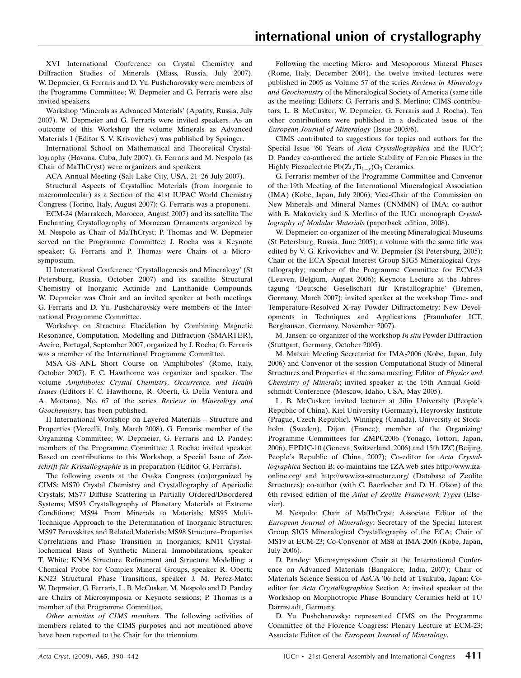XVI International Conference on Crystal Chemistry and Diffraction Studies of Minerals (Miass, Russia, July 2007). W. Depmeier, G. Ferraris and D. Yu. Pushcharovsky were members of the Programme Committee; W. Depmeier and G. Ferraris were also invited speakers.

Workshop 'Minerals as Advanced Materials' (Apatity, Russia, July 2007). W. Depmeier and G. Ferraris were invited speakers. As an outcome of this Workshop the volume Minerals as Advanced Materials I (Editor S. V. Krivovichev) was published by Springer.

International School on Mathematical and Theoretical Crystallography (Havana, Cuba, July 2007). G. Ferraris and M. Nespolo (as Chair of MaThCryst) were organizers and speakers.

ACA Annual Meeting (Salt Lake City, USA, 21–26 July 2007).

Structural Aspects of Crystalline Materials (from inorganic to macromolecular) as a Section of the 41st IUPAC World Chemistry Congress (Torino, Italy, August 2007); G. Ferraris was a proponent.

ECM-24 (Marrakech, Morocco, August 2007) and its satellite The Enchanting Crystallography of Moroccan Ornaments organized by M. Nespolo as Chair of MaThCryst; P. Thomas and W. Depmeier served on the Programme Committee; J. Rocha was a Keynote speaker; G. Ferraris and P. Thomas were Chairs of a Microsymposium.

II International Conference 'Crystallogenesis and Mineralogy' (St Petersburg, Russia, October 2007) and its satellite Structural Chemistry of Inorganic Actinide and Lanthanide Compounds. W. Depmeier was Chair and an invited speaker at both meetings. G. Ferraris and D. Yu. Pushcharovsky were members of the International Programme Committee.

Workshop on Structure Elucidation by Combining Magnetic Resonance, Computation, Modelling and Diffraction (SMARTER), Aveiro, Portugal, September 2007, organized by J. Rocha; G. Ferraris was a member of the International Programme Committee.

MSA–GS–ANL Short Course on 'Amphiboles' (Rome, Italy, October 2007). F. C. Hawthorne was organizer and speaker. The volume Amphiboles: Crystal Chemistry, Occurrence, and Health Issues (Editors F. C. Hawthorne, R. Oberti, G. Della Ventura and A. Mottana), No. 67 of the series Reviews in Mineralogy and Geochemistry, has been published.

II International Workshop on Layered Materials – Structure and Properties (Vercelli, Italy, March 2008). G. Ferraris: member of the Organizing Committee; W. Depmeier, G. Ferraris and D. Pandey: members of the Programme Committee; J. Rocha: invited speaker. Based on contributions to this Workshop, a Special Issue of Zeitschrift für Kristallographie is in preparation (Editor G. Ferraris).

The following events at the Osaka Congress (co)organized by CIMS: MS70 Crystal Chemistry and Crystallography of Aperiodic Crystals; MS77 Diffuse Scattering in Partially Ordered/Disordered Systems; MS93 Crystallography of Planetary Materials at Extreme Conditions; MS94 From Minerals to Materials; MS95 Multi-Technique Approach to the Determination of Inorganic Structures; MS97 Perovskites and Related Materials; MS98 Structure–Properties Correlations and Phase Transition in Inorganics; KN11 Crystallochemical Basis of Synthetic Mineral Immobilizations, speaker T. White; KN36 Structure Refinement and Structure Modelling: a Chemical Probe for Complex Mineral Groups, speaker R. Oberti; KN23 Structural Phase Transitions, speaker J. M. Perez-Mato; W. Depmeier, G. Ferraris, L. B. McCusker, M. Nespolo and D. Pandey are Chairs of Microsymposia or Keynote sessions; P. Thomas is a member of the Programme Committee.

Other activities of CIMS members. The following activities of members related to the CIMS purposes and not mentioned above have been reported to the Chair for the triennium.

Following the meeting Micro- and Mesoporous Mineral Phases (Rome, Italy, December 2004), the twelve invited lectures were published in 2005 as Volume 57 of the series Reviews in Mineralogy and Geochemistry of the Mineralogical Society of America (same title as the meeting; Editors: G. Ferraris and S. Merlino; CIMS contributors: L. B. McCusker, W. Depmeier, G. Ferraris and J. Rocha). Ten other contributions were published in a dedicated issue of the European Journal of Mineralogy (Issue 2005/6).

CIMS contributed to suggestions for topics and authors for the Special Issue '60 Years of Acta Crystallographica and the IUCr'; D. Pandey co-authored the article Stability of Ferroic Phases in the Highly Piezoelectric  $Pb(Zr_rTi_{1-r})O_3$  Ceramics.

G. Ferraris: member of the Programme Committee and Convenor of the 19th Meeting of the International Mineralogical Association (IMA) (Kobe, Japan, July 2006); Vice-Chair of the Commission on New Minerals and Mineral Names (CNMMN) of IMA; co-author with E. Makovicky and S. Merlino of the IUCr monograph Crystallography of Modular Materials (paperback edition, 2008).

W. Depmeier: co-organizer of the meeting Mineralogical Museums (St Petersburg, Russia, June 2005); a volume with the same title was edited by V. G. Krivovichev and W. Depmeier (St Petersburg, 2005); Chair of the ECA Special Interest Group SIG5 Mineralogical Crystallography; member of the Programme Committee for ECM-23 (Leuven, Belgium, August 2006); Keynote Lecture at the Jahrestagung 'Deutsche Gesellschaft für Kristallographie' (Bremen, Germany, March 2007); invited speaker at the workshop Time- and Temperature-Resolved X-ray Powder Diffractometry: New Developments in Techniques and Applications (Fraunhofer ICT, Berghausen, Germany, November 2007).

M. Jansen: co-organizer of the workshop In situ Powder Diffraction (Stuttgart, Germany, October 2005).

M. Matsui: Meeting Secretariat for IMA-2006 (Kobe, Japan, July 2006) and Convenor of the session Computational Study of Mineral Structures and Properties at the same meeting; Editor of Physics and Chemistry of Minerals; invited speaker at the 15th Annual Goldschmidt Conference (Moscow, Idaho, USA, May 2005).

L. B. McCusker: invited lecturer at Jilin University (People's Republic of China), Kiel University (Germany), Heyrovsky Institute (Prague, Czech Republic), Winnipeg (Canada), University of Stockholm (Sweden), Dijon (France); member of the Organizing/ Programme Committees for ZMPC2006 (Yonago, Tottori, Japan, 2006), EPDIC-10 (Geneva, Switzerland, 2006) and 15th IZC (Beijing, People's Republic of China, 2007); Co-editor for Acta Crystallographica Section B; co-maintains the IZA web sites http://www.izaonline.org/ and http://www.iza-structure.org/ (Database of Zeolite Structures); co-author (with C. Baerlocher and D. H. Olson) of the 6th revised edition of the Atlas of Zeolite Framework Types (Elsevier).

M. Nespolo: Chair of MaThCryst; Associate Editor of the European Journal of Mineralogy; Secretary of the Special Interest Group SIG5 Mineralogical Crystallography of the ECA; Chair of MS19 at ECM-23; Co-Convenor of MS8 at IMA-2006 (Kobe, Japan, July 2006).

D. Pandey: Microsymposium Chair at the International Conference on Advanced Materials (Bangalore, India, 2007); Chair of Materials Science Session of AsCA '06 held at Tsukuba, Japan; Coeditor for Acta Crystallographica Section A; invited speaker at the Workshop on Morphotropic Phase Boundary Ceramics held at TU Darmstadt, Germany.

D. Yu. Pushcharovsky: represented CIMS on the Programme Committee of the Florence Congress; Plenary Lecture at ECM-23; Associate Editor of the European Journal of Mineralogy.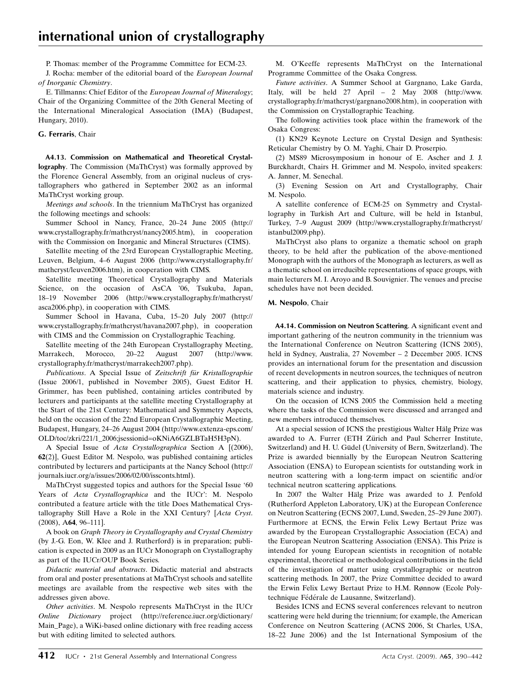P. Thomas: member of the Programme Committee for ECM-23.

J. Rocha: member of the editorial board of the European Journal of Inorganic Chemistry.

E. Tillmanns: Chief Editor of the European Journal of Mineralogy; Chair of the Organizing Committee of the 20th General Meeting of the International Mineralogical Association (IMA) (Budapest, Hungary, 2010).

## G. Ferraris, Chair

A4.13. Commission on Mathematical and Theoretical Crystallography. The Commission (MaThCryst) was formally approved by the Florence General Assembly, from an original nucleus of crystallographers who gathered in September 2002 as an informal MaThCryst working group.

Meetings and schools. In the triennium MaThCryst has organized the following meetings and schools:

Summer School in Nancy, France, 20–24 June 2005 (http:// www.crystallography.fr/mathcryst/nancy2005.htm), in cooperation with the Commission on Inorganic and Mineral Structures (CIMS).

Satellite meeting of the 23rd European Crystallographic Meeting, Leuven, Belgium, 4–6 August 2006 (http://www.crystallography.fr/ mathcryst/leuven2006.htm), in cooperation with CIMS.

Satellite meeting Theoretical Crystallography and Materials Science, on the occasion of AsCA '06, Tsukuba, Japan, 18–19 November 2006 (http://www.crystallography.fr/mathcryst/ asca2006.php), in cooperation with CIMS.

Summer School in Havana, Cuba, 15–20 July 2007 (http:// www.crystallography.fr/mathcryst/havana2007.php), in cooperation with CIMS and the Commission on Crystallographic Teaching.

Satellite meeting of the 24th European Crystallography Meeting, Marrakech, Morocco, 20–22 August 2007 (http://www. crystallography.fr/mathcryst/marrakech2007.php).

Publications. A Special Issue of Zeitschrift für Kristallographie (Issue 2006/1, published in November 2005), Guest Editor H. Grimmer, has been published, containing articles contributed by lecturers and participants at the satellite meeting Crystallography at the Start of the 21st Century: Mathematical and Symmetry Aspects, held on the occasion of the 22nd European Crystallographic Meeting, Budapest, Hungary, 24–26 August 2004 (http://www.extenza-eps.com/ OLD/toc/zkri/221/1\_2006;jsessionid=oKNiA6GZLBTaH5H3pN).

A Special Issue of Acta Crystallographica Section A [(2006), 62(2)], Guest Editor M. Nespolo, was published containing articles contributed by lecturers and participants at the Nancy School (http:// journals.iucr.org/a/issues/2006/02/00/issconts.html).

MaThCryst suggested topics and authors for the Special Issue '60 Years of Acta Crystallographica and the IUCr': M. Nespolo contributed a feature article with the title Does Mathematical Crystallography Still Have a Role in the XXI Century? [Acta Cryst. (2008), A64, 96–111].

A book on Graph Theory in Crystallography and Crystal Chemistry (by J.-G. Eon, W. Klee and J. Rutherford) is in preparation; publication is expected in 2009 as an IUCr Monograph on Crystallography as part of the IUCr/OUP Book Series.

Didactic material and abstracts. Didactic material and abstracts from oral and poster presentations at MaThCryst schools and satellite meetings are available from the respective web sites with the addresses given above.

Other activities. M. Nespolo represents MaThCryst in the IUCr Online Dictionary project (http://reference.iucr.org/dictionary/ Main\_Page), a WiKi-based online dictionary with free reading access but with editing limited to selected authors.

M. O'Keeffe represents MaThCryst on the International Programme Committee of the Osaka Congress.

Future activities. A Summer School at Gargnano, Lake Garda, Italy, will be held 27 April – 2 May 2008 (http://www. crystallography.fr/mathcryst/gargnano2008.htm), in cooperation with the Commission on Crystallographic Teaching.

The following activities took place within the framework of the Osaka Congress:

(1) KN29 Keynote Lecture on Crystal Design and Synthesis: Reticular Chemistry by O. M. Yaghi, Chair D. Proserpio.

(2) MS89 Microsymposium in honour of E. Ascher and J. J. Burckhardt, Chairs H. Grimmer and M. Nespolo, invited speakers: A. Janner, M. Senechal.

(3) Evening Session on Art and Crystallography, Chair M. Nespolo.

A satellite conference of ECM-25 on Symmetry and Crystallography in Turkish Art and Culture, will be held in Istanbul, Turkey, 7–9 August 2009 (http://www.crystallography.fr/mathcryst/ istanbul2009.php).

MaThCryst also plans to organize a thematic school on graph theory, to be held after the publication of the above-mentioned Monograph with the authors of the Monograph as lecturers, as well as a thematic school on irreducible representations of space groups, with main lecturers M. I. Aroyo and B. Souvignier. The venues and precise schedules have not been decided.

## M. Nespolo, Chair

A4.14. Commission on Neutron Scattering. A significant event and important gathering of the neutron community in the triennium was the International Conference on Neutron Scattering (ICNS 2005), held in Sydney, Australia, 27 November – 2 December 2005. ICNS provides an international forum for the presentation and discussion of recent developments in neutron sources, the techniques of neutron scattering, and their application to physics, chemistry, biology, materials science and industry.

On the occasion of ICNS 2005 the Commission held a meeting where the tasks of the Commission were discussed and arranged and new members introduced themselves.

At a special session of ICNS the prestigious Walter Hälg Prize was awarded to A. Furrer (ETH Zürich and Paul Scherrer Institute, Switzerland) and H. U. Güdel (University of Bern, Switzerland). The Prize is awarded biennially by the European Neutron Scattering Association (ENSA) to European scientists for outstanding work in neutron scattering with a long-term impact on scientific and/or technical neutron scattering applications.

In 2007 the Walter Hälg Prize was awarded to J. Penfold (Rutherford Appleton Laboratory, UK) at the European Conference on Neutron Scattering (ECNS 2007, Lund, Sweden, 25–29 June 2007). Furthermore at ECNS, the Erwin Felix Lewy Bertaut Prize was awarded by the European Crystallographic Association (ECA) and the European Neutron Scattering Association (ENSA). This Prize is intended for young European scientists in recognition of notable experimental, theoretical or methodological contributions in the field of the investigation of matter using crystallographic or neutron scattering methods. In 2007, the Prize Committee decided to award the Erwin Felix Lewy Bertaut Prize to H.M. Rønnow (Ecole Polytechnique Fédérale de Lausanne, Switzerland).

Besides ICNS and ECNS several conferences relevant to neutron scattering were held during the triennium; for example, the American Conference on Neutron Scattering (ACNS 2006, St Charles, USA, 18–22 June 2006) and the 1st International Symposium of the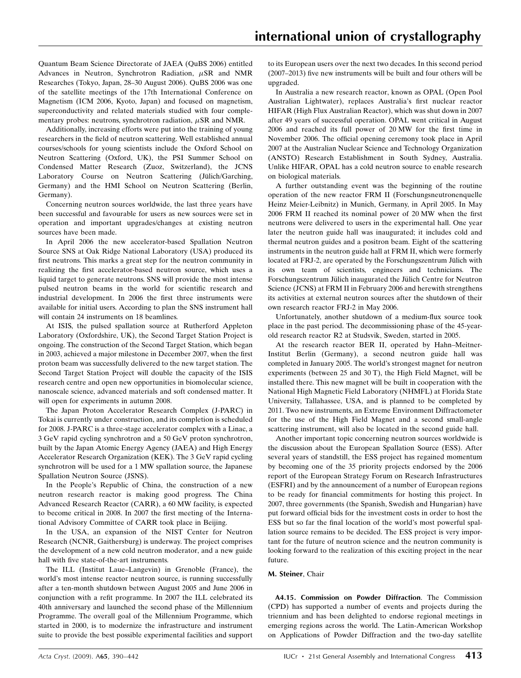Quantum Beam Science Directorate of JAEA (QuBS 2006) entitled Advances in Neutron, Synchrotron Radiation,  $\mu$ SR and NMR Researches (Tokyo, Japan, 28–30 August 2006). QuBS 2006 was one of the satellite meetings of the 17th International Conference on Magnetism (ICM 2006, Kyoto, Japan) and focused on magnetism, superconductivity and related materials studied with four complementary probes: neutrons, synchrotron radiation,  $\mu$ SR and NMR.

Additionally, increasing efforts were put into the training of young researchers in the field of neutron scattering. Well established annual courses/schools for young scientists include the Oxford School on Neutron Scattering (Oxford, UK), the PSI Summer School on Condensed Matter Research (Zuoz, Switzerland), the JCNS Laboratory Course on Neutron Scattering (Jülich/Garching, Germany) and the HMI School on Neutron Scattering (Berlin, Germany).

Concerning neutron sources worldwide, the last three years have been successful and favourable for users as new sources were set in operation and important upgrades/changes at existing neutron sources have been made.

In April 2006 the new accelerator-based Spallation Neutron Source SNS at Oak Ridge National Laboratory (USA) produced its first neutrons. This marks a great step for the neutron community in realizing the first accelerator-based neutron source, which uses a liquid target to generate neutrons. SNS will provide the most intense pulsed neutron beams in the world for scientific research and industrial development. In 2006 the first three instruments were available for initial users. According to plan the SNS instrument hall will contain 24 instruments on 18 beamlines.

At ISIS, the pulsed spallation source at Rutherford Appleton Laboratory (Oxfordshire, UK), the Second Target Station Project is ongoing. The construction of the Second Target Station, which began in 2003, achieved a major milestone in December 2007, when the first proton beam was successfully delivered to the new target station. The Second Target Station Project will double the capacity of the ISIS research centre and open new opportunities in biomolecular science, nanoscale science, advanced materials and soft condensed matter. It will open for experiments in autumn 2008.

The Japan Proton Accelerator Research Complex (J-PARC) in Tokai is currently under construction, and its completion is scheduled for 2008. J-PARC is a three-stage accelerator complex with a Linac, a 3 GeV rapid cycling synchrotron and a 50 GeV proton synchrotron, built by the Japan Atomic Energy Agency (JAEA) and High Energy Accelerator Research Organization (KEK). The 3 GeV rapid cycling synchrotron will be used for a 1 MW spallation source, the Japanese Spallation Neutron Source (JSNS).

In the People's Republic of China, the construction of a new neutron research reactor is making good progress. The China Advanced Research Reactor (CARR), a 60 MW facility, is expected to become critical in 2008. In 2007 the first meeting of the International Advisory Committee of CARR took place in Beijing.

In the USA, an expansion of the NIST Center for Neutron Research (NCNR, Gaithersburg) is underway. The project comprises the development of a new cold neutron moderator, and a new guide hall with five state-of-the-art instruments.

The ILL (Institut Laue–Langevin) in Grenoble (France), the world's most intense reactor neutron source, is running successfully after a ten-month shutdown between August 2005 and June 2006 in conjunction with a refit programme. In 2007 the ILL celebrated its 40th anniversary and launched the second phase of the Millennium Programme. The overall goal of the Millennium Programme, which started in 2000, is to modernize the infrastructure and instrument suite to provide the best possible experimental facilities and support to its European users over the next two decades. In this second period (2007–2013) five new instruments will be built and four others will be upgraded.

In Australia a new research reactor, known as OPAL (Open Pool Australian Lightwater), replaces Australia's first nuclear reactor HIFAR (High Flux Australian Reactor), which was shut down in 2007 after 49 years of successful operation. OPAL went critical in August 2006 and reached its full power of 20 MW for the first time in November 2006. The official opening ceremony took place in April 2007 at the Australian Nuclear Science and Technology Organization (ANSTO) Research Establishment in South Sydney, Australia. Unlike HIFAR, OPAL has a cold neutron source to enable research on biological materials.

A further outstanding event was the beginning of the routine operation of the new reactor FRM II (Forschungsneutronenquelle Heinz Meier-Leibnitz) in Munich, Germany, in April 2005. In May 2006 FRM II reached its nominal power of 20 MW when the first neutrons were delivered to users in the experimental hall. One year later the neutron guide hall was inaugurated; it includes cold and thermal neutron guides and a positron beam. Eight of the scattering instruments in the neutron guide hall at FRM II, which were formerly located at FRJ-2, are operated by the Forschungszentrum Jülich with its own team of scientists, engineers and technicians. The Forschungszentrum Jülich inaugurated the Jülich Centre for Neutron Science (JCNS) at FRM II in February 2006 and herewith strengthens its activities at external neutron sources after the shutdown of their own research reactor FRJ-2 in May 2006.

Unfortunately, another shutdown of a medium-flux source took place in the past period. The decommissioning phase of the 45-yearold research reactor R2 at Studsvik, Sweden, started in 2005.

At the research reactor BER II, operated by Hahn–Meitner-Institut Berlin (Germany), a second neutron guide hall was completed in January 2005. The world's strongest magnet for neutron experiments (between 25 and 30 T), the High Field Magnet, will be installed there. This new magnet will be built in cooperation with the National High Magnetic Field Laboratory (NHMFL) at Florida State University, Tallahassee, USA, and is planned to be completed by 2011. Two new instruments, an Extreme Environment Diffractometer for the use of the High Field Magnet and a second small-angle scattering instrument, will also be located in the second guide hall.

Another important topic concerning neutron sources worldwide is the discussion about the European Spallation Source (ESS). After several years of standstill, the ESS project has regained momentum by becoming one of the 35 priority projects endorsed by the 2006 report of the European Strategy Forum on Research Infrastructures (ESFRI) and by the announcement of a number of European regions to be ready for financial commitments for hosting this project. In 2007, three governments (the Spanish, Swedish and Hungarian) have put forward official bids for the investment costs in order to host the ESS but so far the final location of the world's most powerful spallation source remains to be decided. The ESS project is very important for the future of neutron science and the neutron community is looking forward to the realization of this exciting project in the near future.

## M. Steiner, Chair

A4.15. Commission on Powder Diffraction. The Commission (CPD) has supported a number of events and projects during the triennium and has been delighted to endorse regional meetings in emerging regions across the world. The Latin-American Workshop on Applications of Powder Diffraction and the two-day satellite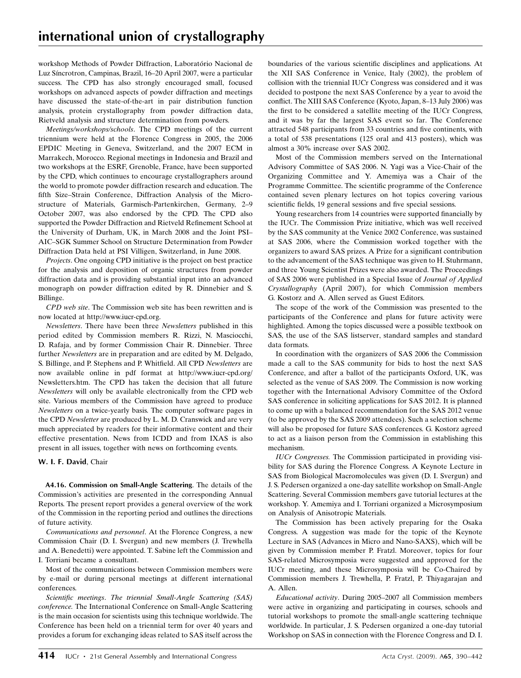workshop Methods of Powder Diffraction, Laboratório Nacional de Luz Síncrotron, Campinas, Brazil, 16–20 April 2007, were a particular success. The CPD has also strongly encouraged small, focused workshops on advanced aspects of powder diffraction and meetings have discussed the state-of-the-art in pair distribution function analysis, protein crystallography from powder diffraction data, Rietveld analysis and structure determination from powders.

Meetings/workshops/schools. The CPD meetings of the current triennium were held at the Florence Congress in 2005, the 2006 EPDIC Meeting in Geneva, Switzerland, and the 2007 ECM in Marrakech, Morocco. Regional meetings in Indonesia and Brazil and two workshops at the ESRF, Grenoble, France, have been supported by the CPD, which continues to encourage crystallographers around the world to promote powder diffraction research and education. The fifth Size–Strain Conference, Diffraction Analysis of the Microstructure of Materials, Garmisch-Partenkirchen, Germany, 2–9 October 2007, was also endorsed by the CPD. The CPD also supported the Powder Diffraction and Rietveld Refinement School at the University of Durham, UK, in March 2008 and the Joint PSI– AIC–SGK Summer School on Structure Determination from Powder Diffraction Data held at PSI Villigen, Switzerland, in June 2008.

Projects. One ongoing CPD initiative is the project on best practice for the analysis and deposition of organic structures from powder diffraction data and is providing substantial input into an advanced monograph on powder diffraction edited by R. Dinnebier and S. Billinge.

CPD web site. The Commission web site has been rewritten and is now located at http://www.iucr-cpd.org.

Newsletters. There have been three Newsletters published in this period edited by Commission members R. Rizzi, N. Masciocchi, D. Rafaja, and by former Commission Chair R. Dinnebier. Three further Newsletters are in preparation and are edited by M. Delgado, S. Billinge, and P. Stephens and P. Whitfield. All CPD Newsletters are now available online in pdf format at http://www.iucr-cpd.org/ Newsletters.htm. The CPD has taken the decision that all future Newsletters will only be available electronically from the CPD web site. Various members of the Commission have agreed to produce Newsletters on a twice-yearly basis. The computer software pages in the CPD Newsletter are produced by L. M. D. Cranswick and are very much appreciated by readers for their informative content and their effective presentation. News from ICDD and from IXAS is also present in all issues, together with news on forthcoming events.

## W. I. F. David, Chair

A4.16. Commission on Small-Angle Scattering. The details of the Commission's activities are presented in the corresponding Annual Reports. The present report provides a general overview of the work of the Commission in the reporting period and outlines the directions of future activity.

Communications and personnel. At the Florence Congress, a new Commission Chair (D. I. Svergun) and new members (J. Trewhella and A. Benedetti) were appointed. T. Sabine left the Commission and I. Torriani became a consultant.

Most of the communications between Commission members were by e-mail or during personal meetings at different international conferences.

Scientific meetings. The triennial Small-Angle Scattering (SAS) conference. The International Conference on Small-Angle Scattering is the main occasion for scientists using this technique worldwide. The Conference has been held on a triennial term for over 40 years and provides a forum for exchanging ideas related to SAS itself across the

boundaries of the various scientific disciplines and applications. At the XII SAS Conference in Venice, Italy (2002), the problem of collision with the triennial IUCr Congress was considered and it was decided to postpone the next SAS Conference by a year to avoid the conflict. The XIII SAS Conference (Kyoto, Japan, 8–13 July 2006) was the first to be considered a satellite meeting of the IUCr Congress, and it was by far the largest SAS event so far. The Conference attracted 548 participants from 33 countries and five continents, with a total of 538 presentations (125 oral and 413 posters), which was almost a 30% increase over SAS 2002.

Most of the Commission members served on the International Advisory Committee of SAS 2006. N. Yagi was a Vice-Chair of the Organizing Committee and Y. Amemiya was a Chair of the Programme Committee. The scientific programme of the Conference contained seven plenary lectures on hot topics covering various scientific fields, 19 general sessions and five special sessions.

Young researchers from 14 countries were supported financially by the IUCr. The Commission Prize initiative, which was well received by the SAS community at the Venice 2002 Conference, was sustained at SAS 2006, where the Commission worked together with the organizers to award SAS prizes. A Prize for a significant contribution to the advancement of the SAS technique was given to H. Stuhrmann, and three Young Scientist Prizes were also awarded. The Proceedings of SAS 2006 were published in a Special Issue of Journal of Applied Crystallography (April 2007), for which Commission members G. Kostorz and A. Allen served as Guest Editors.

The scope of the work of the Commission was presented to the participants of the Conference and plans for future activity were highlighted. Among the topics discussed were a possible textbook on SAS, the use of the SAS listserver, standard samples and standard data formats.

In coordination with the organizers of SAS 2006 the Commission made a call to the SAS community for bids to host the next SAS Conference, and after a ballot of the participants Oxford, UK, was selected as the venue of SAS 2009. The Commission is now working together with the International Advisory Committee of the Oxford SAS conference in soliciting applications for SAS 2012. It is planned to come up with a balanced recommendation for the SAS 2012 venue (to be approved by the SAS 2009 attendees). Such a selection scheme will also be proposed for future SAS conferences. G. Kostorz agreed to act as a liaison person from the Commission in establishing this mechanism.

IUCr Congresses. The Commission participated in providing visibility for SAS during the Florence Congress. A Keynote Lecture in SAS from Biological Macromolecules was given (D. I. Svergun) and J. S. Pedersen organized a one-day satellite workshop on Small-Angle Scattering. Several Commission members gave tutorial lectures at the workshop. Y. Amemiya and I. Torriani organized a Microsymposium on Analysis of Anisotropic Materials.

The Commission has been actively preparing for the Osaka Congress. A suggestion was made for the topic of the Keynote Lecture in SAS (Advances in Micro and Nano-SAXS), which will be given by Commission member P. Fratzl. Moreover, topics for four SAS-related Microsymposia were suggested and approved for the IUCr meeting, and these Microsymposia will be Co-Chaired by Commission members J. Trewhella, P. Fratzl, P. Thiyagarajan and A. Allen.

Educational activity. During 2005–2007 all Commission members were active in organizing and participating in courses, schools and tutorial workshops to promote the small-angle scattering technique worldwide. In particular, J. S. Pedersen organized a one-day tutorial Workshop on SAS in connection with the Florence Congress and D. I.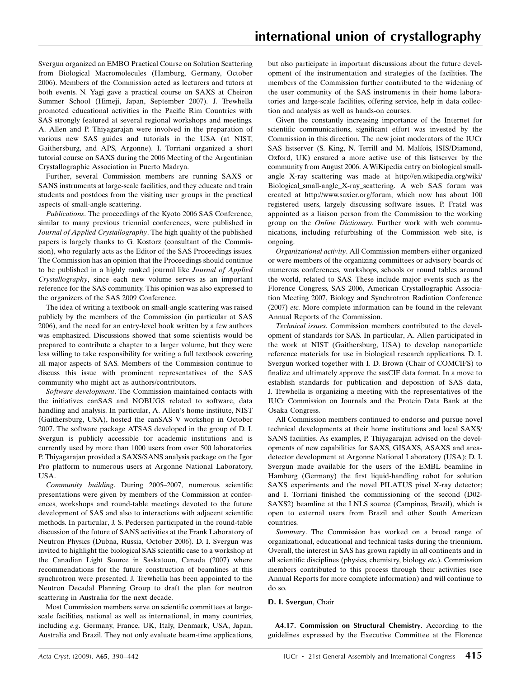Svergun organized an EMBO Practical Course on Solution Scattering from Biological Macromolecules (Hamburg, Germany, October 2006). Members of the Commission acted as lecturers and tutors at both events. N. Yagi gave a practical course on SAXS at Cheiron Summer School (Himeji, Japan, September 2007). J. Trewhella promoted educational activities in the Pacific Rim Countries with SAS strongly featured at several regional workshops and meetings. A. Allen and P. Thiyagarajan were involved in the preparation of various new SAS guides and tutorials in the USA (at NIST, Gaithersburg, and APS, Argonne). I. Torriani organized a short tutorial course on SAXS during the 2006 Meeting of the Argentinian Crystallographic Association in Puerto Madryn.

Further, several Commission members are running SAXS or SANS instruments at large-scale facilities, and they educate and train students and postdocs from the visiting user groups in the practical aspects of small-angle scattering.

Publications. The proceedings of the Kyoto 2006 SAS Conference, similar to many previous triennial conferences, were published in Journal of Applied Crystallography. The high quality of the published papers is largely thanks to G. Kostorz (consultant of the Commission), who regularly acts as the Editor of the SAS Proceedings issues. The Commission has an opinion that the Proceedings should continue to be published in a highly ranked journal like Journal of Applied Crystallography, since each new volume serves as an important reference for the SAS community. This opinion was also expressed to the organizers of the SAS 2009 Conference.

The idea of writing a textbook on small-angle scattering was raised publicly by the members of the Commission (in particular at SAS 2006), and the need for an entry-level book written by a few authors was emphasized. Discussions showed that some scientists would be prepared to contribute a chapter to a larger volume, but they were less willing to take responsibility for writing a full textbook covering all major aspects of SAS. Members of the Commission continue to discuss this issue with prominent representatives of the SAS community who might act as authors/contributors.

Software development. The Commission maintained contacts with the initiatives canSAS and NOBUGS related to software, data handling and analysis. In particular, A. Allen's home institute, NIST (Gaithersburg, USA), hosted the canSAS V workshop in October 2007. The software package ATSAS developed in the group of D. I. Svergun is publicly accessible for academic institutions and is currently used by more than 1000 users from over 500 laboratories. P. Thiyagarajan provided a SAXS/SANS analysis package on the Igor Pro platform to numerous users at Argonne National Laboratory, USA.

Community building. During 2005–2007, numerous scientific presentations were given by members of the Commission at conferences, workshops and round-table meetings devoted to the future development of SAS and also to interactions with adjacent scientific methods. In particular, J. S. Pedersen participated in the round-table discussion of the future of SANS activities at the Frank Laboratory of Neutron Physics (Dubna, Russia, October 2006). D. I. Svergun was invited to highlight the biological SAS scientific case to a workshop at the Canadian Light Source in Saskatoon, Canada (2007) where recommendations for the future construction of beamlines at this synchrotron were presented. J. Trewhella has been appointed to the Neutron Decadal Planning Group to draft the plan for neutron scattering in Australia for the next decade.

Most Commission members serve on scientific committees at largescale facilities, national as well as international, in many countries, including e.g. Germany, France, UK, Italy, Denmark, USA, Japan, Australia and Brazil. They not only evaluate beam-time applications, but also participate in important discussions about the future development of the instrumentation and strategies of the facilities. The members of the Commission further contributed to the widening of the user community of the SAS instruments in their home laboratories and large-scale facilities, offering service, help in data collection and analysis as well as hands-on courses.

Given the constantly increasing importance of the Internet for scientific communications, significant effort was invested by the Commission in this direction. The new joint moderators of the IUCr SAS listserver (S. King, N. Terrill and M. Malfois, ISIS/Diamond, Oxford, UK) ensured a more active use of this listserver by the community from August 2006. AWiKipedia entry on biological smallangle X-ray scattering was made at http://en.wikipedia.org/wiki/ Biological\_small-angle\_X-ray\_scattering. A web SAS forum was created at http://www.saxier.org/forum, which now has about 100 registered users, largely discussing software issues. P. Fratzl was appointed as a liaison person from the Commission to the working group on the Online Dictionary. Further work with web communications, including refurbishing of the Commission web site, is ongoing.

Organizational activity. All Commission members either organized or were members of the organizing committees or advisory boards of numerous conferences, workshops, schools or round tables around the world, related to SAS. These include major events such as the Florence Congress, SAS 2006, American Crystallographic Association Meeting 2007, Biology and Synchrotron Radiation Conference (2007) etc. More complete information can be found in the relevant Annual Reports of the Commission.

Technical issues. Commission members contributed to the development of standards for SAS. In particular, A. Allen participated in the work at NIST (Gaithersburg, USA) to develop nanoparticle reference materials for use in biological research applications. D. I. Svergun worked together with I. D. Brown (Chair of COMCIFS) to finalize and ultimately approve the sasCIF data format. In a move to establish standards for publication and deposition of SAS data, J. Trewhella is organizing a meeting with the representatives of the IUCr Commission on Journals and the Protein Data Bank at the Osaka Congress.

All Commission members continued to endorse and pursue novel technical developments at their home institutions and local SAXS/ SANS facilities. As examples, P. Thiyagarajan advised on the developments of new capabilities for SAXS, GISAXS, ASAXS and areadetector development at Argonne National Laboratory (USA); D. I. Svergun made available for the users of the EMBL beamline in Hamburg (Germany) the first liquid-handling robot for solution SAXS experiments and the novel PILATUS pixel X-ray detector; and I. Torriani finished the commissioning of the second (D02- SAXS2) beamline at the LNLS source (Campinas, Brazil), which is open to external users from Brazil and other South American countries.

Summary. The Commission has worked on a broad range of organizational, educational and technical tasks during the triennium. Overall, the interest in SAS has grown rapidly in all continents and in all scientific disciplines (physics, chemistry, biology etc.). Commission members contributed to this process through their activities (see Annual Reports for more complete information) and will continue to do so.

#### D. I. Svergun, Chair

A4.17. Commission on Structural Chemistry. According to the guidelines expressed by the Executive Committee at the Florence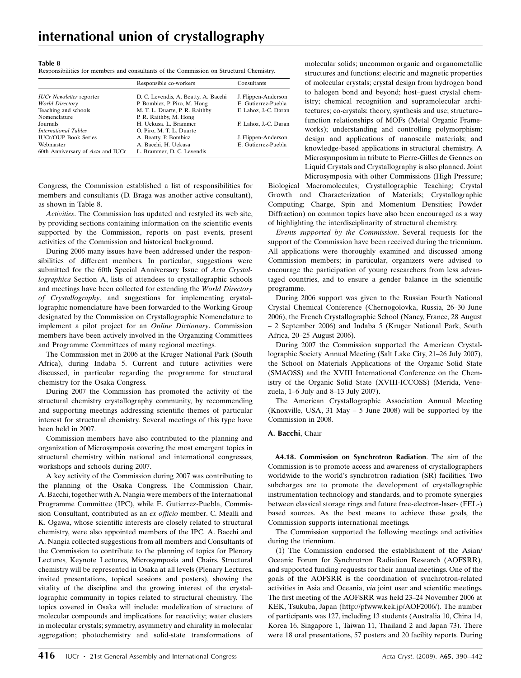#### Table 8

Responsibilities for members and consultants of the Commission on Structural Chemistry.

|                                          | Responsible co-workers               | Consultants           |
|------------------------------------------|--------------------------------------|-----------------------|
| <b>IUCr</b> Newsletter reporter          | D. C. Levendis, A. Beatty, A. Bacchi | J. Flippen-Anderson   |
| <b>World Directory</b>                   | P. Bombicz, P. Piro, M. Hong         | E. Gutierrez-Puebla   |
|                                          |                                      |                       |
| Teaching and schools                     | M. T. L. Duarte, P. R. Raithby       | F. Lahoz, J.-C. Daran |
| Nomenclature                             | P. R. Raithby, M. Hong               |                       |
| Journals                                 | H. Uekusa. L. Brammer                | F. Lahoz, J.-C. Daran |
| <b>International Tables</b>              | O. Piro, M. T. L. Duarte             |                       |
| <b>IUCr/OUP Book Series</b>              | A. Beatty, P. Bombicz                | J. Flippen-Anderson   |
| Webmaster                                | A. Bacchi, H. Uekusa                 | E. Gutierrez-Puebla   |
| 60th Anniversary of <i>Acta</i> and IUCr | L. Brammer, D. C. Levendis           |                       |

Congress, the Commission established a list of responsibilities for members and consultants (D. Braga was another active consultant), as shown in Table 8.

Activities. The Commission has updated and restyled its web site, by providing sections containing information on the scientific events supported by the Commission, reports on past events, present activities of the Commission and historical background.

During 2006 many issues have been addressed under the responsibilities of different members. In particular, suggestions were submitted for the 60th Special Anniversary Issue of Acta Crystallographica Section A, lists of attendees to crystallographic schools and meetings have been collected for extending the World Directory of Crystallography, and suggestions for implementing crystallographic nomenclature have been forwarded to the Working Group designated by the Commission on Crystallographic Nomenclature to implement a pilot project for an Online Dictionary. Commission members have been actively involved in the Organizing Committees and Programme Committees of many regional meetings.

The Commission met in 2006 at the Kruger National Park (South Africa), during Indaba 5. Current and future activities were discussed, in particular regarding the programme for structural chemistry for the Osaka Congress.

During 2007 the Commission has promoted the activity of the structural chemistry crystallography community, by recommending and supporting meetings addressing scientific themes of particular interest for structural chemistry. Several meetings of this type have been held in 2007.

Commission members have also contributed to the planning and organization of Microsymposia covering the most emergent topics in structural chemistry within national and international congresses, workshops and schools during 2007.

A key activity of the Commission during 2007 was contributing to the planning of the Osaka Congress. The Commission Chair, A. Bacchi, together with A. Nangia were members of the International Programme Committee (IPC), while E. Gutierrez-Puebla, Commission Consultant, contributed as an ex officio member. C. Mealli and K. Ogawa, whose scientific interests are closely related to structural chemistry, were also appointed members of the IPC. A. Bacchi and A. Nangia collected suggestions from all members and Consultants of the Commission to contribute to the planning of topics for Plenary Lectures, Keynote Lectures, Microsymposia and Chairs. Structural chemistry will be represented in Osaka at all levels (Plenary Lectures, invited presentations, topical sessions and posters), showing the vitality of the discipline and the growing interest of the crystallographic community in topics related to structural chemistry. The topics covered in Osaka will include: modelization of structure of molecular compounds and implications for reactivity; water clusters in molecular crystals; symmetry, asymmetry and chirality in molecular aggregation; photochemistry and solid-state transformations of molecular solids; uncommon organic and organometallic structures and functions; electric and magnetic properties of molecular crystals; crystal design from hydrogen bond to halogen bond and beyond; host–guest crystal chemistry; chemical recognition and supramolecular architectures; co-crystals: theory, synthesis and use; structure– function relationships of MOFs (Metal Organic Frameworks); understanding and controlling polymorphism; design and applications of nanoscale materials; and knowledge-based applications in structural chemistry. A Microsymposium in tribute to Pierre-Gilles de Gennes on Liquid Crystals and Crystallography is also planned. Joint Microsymposia with other Commissions (High Pressure;

Biological Macromolecules; Crystallographic Teaching; Crystal Growth and Characterization of Materials; Crystallographic Computing; Charge, Spin and Momentum Densities; Powder Diffraction) on common topics have also been encouraged as a way of highlighting the interdisciplinarity of structural chemistry.

Events supported by the Commission. Several requests for the support of the Commission have been received during the triennium. All applications were thoroughly examined and discussed among Commission members; in particular, organizers were advised to encourage the participation of young researchers from less advantaged countries, and to ensure a gender balance in the scientific programme.

During 2006 support was given to the Russian Fourth National Crystal Chemical Conference (Chernogolovka, Russia, 26–30 June 2006), the French Crystallographic School (Nancy, France, 28 August – 2 September 2006) and Indaba 5 (Kruger National Park, South Africa, 20–25 August 2006).

During 2007 the Commission supported the American Crystallographic Society Annual Meeting (Salt Lake City, 21–26 July 2007), the School on Materials Applications of the Organic Solid State (SMAOSS) and the XVIII International Conference on the Chemistry of the Organic Solid State (XVIII-ICCOSS) (Merida, Venezuela, 1–6 July and 8–13 July 2007).

The American Crystallographic Association Annual Meeting (Knoxville, USA, 31 May – 5 June 2008) will be supported by the Commission in 2008.

#### A. Bacchi, Chair

A4.18. Commission on Synchrotron Radiation. The aim of the Commission is to promote access and awareness of crystallographers worldwide to the world's synchrotron radiation (SR) facilities. Two subcharges are to promote the development of crystallographic instrumentation technology and standards, and to promote synergies between classical storage rings and future free-electron-laser- (FEL-) based sources. As the best means to achieve these goals, the Commission supports international meetings.

The Commission supported the following meetings and activities during the triennium.

(1) The Commission endorsed the establishment of the Asian/ Oceanic Forum for Synchrotron Radiation Research (AOFSRR), and supported funding requests for their annual meetings. One of the goals of the AOFSRR is the coordination of synchrotron-related activities in Asia and Oceania, via joint user and scientific meetings. The first meeting of the AOFSRR was held 23–24 November 2006 at KEK, Tsukuba, Japan (http://pfwww.kek.jp/AOF2006/). The number of participants was 127, including 13 students (Australia 10, China 14, Korea 16, Singapore 1, Taiwan 11, Thailand 2 and Japan 73). There were 18 oral presentations, 57 posters and 20 facility reports. During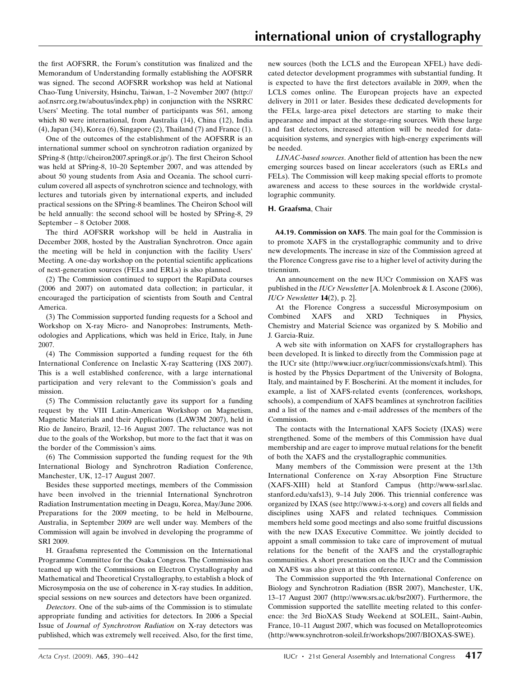the first AOFSRR, the Forum's constitution was finalized and the Memorandum of Understanding formally establishing the AOFSRR was signed. The second AOFSRR workshop was held at National Chao-Tung University, Hsinchu, Taiwan, 1–2 November 2007 (http:// aof.nsrrc.org.tw/aboutus/index.php) in conjunction with the NSRRC Users' Meeting. The total number of participants was 561, among which 80 were international, from Australia (14), China (12), India (4), Japan (34), Korea (6), Singapore (2), Thailand (7) and France (1).

One of the outcomes of the establishment of the AOFSRR is an international summer school on synchrotron radiation organized by SPring-8 (http://cheiron2007.spring8.or.jp/). The first Cheiron School was held at SPring-8, 10–20 September 2007, and was attended by about 50 young students from Asia and Oceania. The school curriculum covered all aspects of synchrotron science and technology, with lectures and tutorials given by international experts, and included practical sessions on the SPring-8 beamlines. The Cheiron School will be held annually: the second school will be hosted by SPring-8, 29 September – 8 October 2008.

The third AOFSRR workshop will be held in Australia in December 2008, hosted by the Australian Synchrotron. Once again the meeting will be held in conjunction with the facility Users' Meeting. A one-day workshop on the potential scientific applications of next-generation sources (FELs and ERLs) is also planned.

(2) The Commission continued to support the RapiData courses (2006 and 2007) on automated data collection; in particular, it encouraged the participation of scientists from South and Central America.

(3) The Commission supported funding requests for a School and Workshop on X-ray Micro- and Nanoprobes: Instruments, Methodologies and Applications, which was held in Erice, Italy, in June 2007.

(4) The Commission supported a funding request for the 6th International Conference on Inelastic X-ray Scattering (IXS 2007). This is a well established conference, with a large international participation and very relevant to the Commission's goals and mission.

(5) The Commission reluctantly gave its support for a funding request by the VIII Latin-American Workshop on Magnetism, Magnetic Materials and their Applications (LAW3M 2007), held in Rio de Janeiro, Brazil, 12–16 August 2007. The reluctance was not due to the goals of the Workshop, but more to the fact that it was on the border of the Commission's aims.

(6) The Commission supported the funding request for the 9th International Biology and Synchrotron Radiation Conference, Manchester, UK, 12–17 August 2007.

Besides these supported meetings, members of the Commission have been involved in the triennial International Synchrotron Radiation Instrumentation meeting in Deagu, Korea, May/June 2006. Preparations for the 2009 meeting, to be held in Melbourne, Australia, in September 2009 are well under way. Members of the Commission will again be involved in developing the programme of SRI 2009.

H. Graafsma represented the Commission on the International Programme Committee for the Osaka Congress. The Commission has teamed up with the Commissions on Electron Crystallography and Mathematical and Theoretical Crystallography, to establish a block of Microsymposia on the use of coherence in X-ray studies. In addition, special sessions on new sources and detectors have been organized.

Detectors. One of the sub-aims of the Commission is to stimulate appropriate funding and activities for detectors. In 2006 a Special Issue of Journal of Synchrotron Radiation on X-ray detectors was published, which was extremely well received. Also, for the first time, new sources (both the LCLS and the European XFEL) have dedicated detector development programmes with substantial funding. It is expected to have the first detectors available in 2009, when the LCLS comes online. The European projects have an expected delivery in 2011 or later. Besides these dedicated developments for the FELs, large-area pixel detectors are starting to make their appearance and impact at the storage-ring sources. With these large and fast detectors, increased attention will be needed for dataacquisition systems, and synergies with high-energy experiments will be needed.

LINAC-based sources. Another field of attention has been the new emerging sources based on linear accelerators (such as ERLs and FELs). The Commission will keep making special efforts to promote awareness and access to these sources in the worldwide crystallographic community.

H. Graafsma, Chair

A4.19. Commission on XAFS. The main goal for the Commission is to promote XAFS in the crystallographic community and to drive new developments. The increase in size of the Commission agreed at the Florence Congress gave rise to a higher level of activity during the triennium.

An announcement on the new IUCr Commission on XAFS was published in the IUCr Newsletter [A. Molenbroek & I. Ascone (2006), IUCr Newsletter 14(2), p. 2].

At the Florence Congress a successful Microsymposium on Combined XAFS and XRD Techniques in Physics, Chemistry and Material Science was organized by S. Mobilio and J. Garcia-Ruiz.

A web site with information on XAFS for crystallographers has been developed. It is linked to directly from the Commission page at the IUCr site (http://www.iucr.org/iucr/commissions/cxafs.html). This is hosted by the Physics Department of the University of Bologna, Italy, and maintained by F. Boscherini. At the moment it includes, for example, a list of XAFS-related events (conferences, workshops, schools), a compendium of XAFS beamlines at synchrotron facilities and a list of the names and e-mail addresses of the members of the Commission.

The contacts with the International XAFS Society (IXAS) were strengthened. Some of the members of this Commission have dual membership and are eager to improve mutual relations for the benefit of both the XAFS and the crystallographic communities.

Many members of the Commission were present at the 13th International Conference on X-ray Absorption Fine Structure (XAFS-XIII) held at Stanford Campus (http://www-ssrl.slac. stanford.edu/xafs13), 9–14 July 2006. This triennial conference was organized by IXAS (see http://www.i-x-s.org) and covers all fields and disciplines using XAFS and related techniques. Commission members held some good meetings and also some fruitful discussions with the new IXAS Executive Committee. We jointly decided to appoint a small commission to take care of improvement of mutual relations for the benefit of the XAFS and the crystallographic communities. A short presentation on the IUCr and the Commission on XAFS was also given at this conference.

The Commission supported the 9th International Conference on Biology and Synchrotron Radiation (BSR 2007), Manchester, UK, 13–17 August 2007 (http://www.srs.ac.uk/bsr2007). Furthermore, the Commission supported the satellite meeting related to this conference: the 3rd BioXAS Study Weekend at SOLEIL, Saint-Aubin, France, 10–11 August 2007, which was focused on Metalloproteomics (http://www.synchrotron-soleil.fr/workshops/2007/BIOXAS-SWE).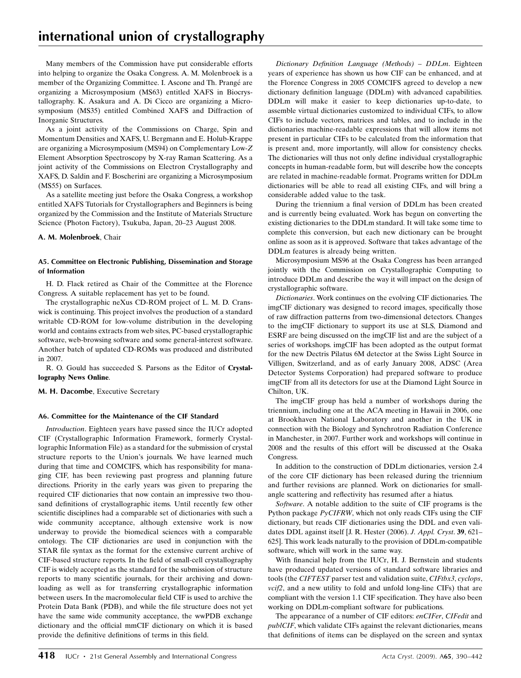Many members of the Commission have put considerable efforts into helping to organize the Osaka Congress. A. M. Molenbroek is a member of the Organizing Committee. I. Ascone and Th. Prangé are organizing a Microsymposium (MS63) entitled XAFS in Biocrystallography. K. Asakura and A. Di Cicco are organizing a Microsymposium (MS35) entitled Combined XAFS and Diffraction of Inorganic Structures.

As a joint activity of the Commissions on Charge, Spin and Momentum Densities and XAFS, U. Bergmann and E. Holub-Krappe are organizing a Microsymposium (MS94) on Complementary Low-Z Element Absorption Spectroscopy by X-ray Raman Scattering. As a joint activity of the Commissions on Electron Crystallography and XAFS, D. Saldin and F. Boscherini are organizing a Microsymposium (MS55) on Surfaces.

As a satellite meeting just before the Osaka Congress, a workshop entitled XAFS Tutorials for Crystallographers and Beginners is being organized by the Commission and the Institute of Materials Structure Science (Photon Factory), Tsukuba, Japan, 20–23 August 2008.

A. M. Molenbroek, Chair

## A5. Committee on Electronic Publishing, Dissemination and Storage of Information

H. D. Flack retired as Chair of the Committee at the Florence Congress. A suitable replacement has yet to be found.

The crystallographic neXus CD-ROM project of L. M. D. Cranswick is continuing. This project involves the production of a standard writable CD-ROM for low-volume distribution in the developing world and contains extracts from web sites, PC-based crystallographic software, web-browsing software and some general-interest software. Another batch of updated CD-ROMs was produced and distributed in 2007.

R. O. Gould has succeeded S. Parsons as the Editor of Crystallography News Online.

M. H. Dacombe, Executive Secretary

## A6. Committee for the Maintenance of the CIF Standard

Introduction. Eighteen years have passed since the IUCr adopted CIF (Crystallographic Information Framework, formerly Crystallographic Information File) as a standard for the submission of crystal structure reports to the Union's journals. We have learned much during that time and COMCIFS, which has responsibility for managing CIF, has been reviewing past progress and planning future directions. Priority in the early years was given to preparing the required CIF dictionaries that now contain an impressive two thousand definitions of crystallographic items. Until recently few other scientific disciplines had a comparable set of dictionaries with such a wide community acceptance, although extensive work is now underway to provide the biomedical sciences with a comparable ontology. The CIF dictionaries are used in conjunction with the STAR file syntax as the format for the extensive current archive of CIF-based structure reports. In the field of small-cell crystallography CIF is widely accepted as the standard for the submission of structure reports to many scientific journals, for their archiving and downloading as well as for transferring crystallographic information between users. In the macromolecular field CIF is used to archive the Protein Data Bank (PDB), and while the file structure does not yet have the same wide community acceptance, the wwPDB exchange dictionary and the official mmCIF dictionary on which it is based provide the definitive definitions of terms in this field.

Dictionary Definition Language (Methods) – DDLm. Eighteen years of experience has shown us how CIF can be enhanced, and at the Florence Congress in 2005 COMCIFS agreed to develop a new dictionary definition language (DDLm) with advanced capabilities. DDLm will make it easier to keep dictionaries up-to-date, to assemble virtual dictionaries customized to individual CIFs, to allow CIFs to include vectors, matrices and tables, and to include in the dictionaries machine-readable expressions that will allow items not present in particular CIFs to be calculated from the information that is present and, more importantly, will allow for consistency checks. The dictionaries will thus not only define individual crystallographic concepts in human-readable form, but will describe how the concepts are related in machine-readable format. Programs written for DDLm dictionaries will be able to read all existing CIFs, and will bring a considerable added value to the task.

During the triennium a final version of DDLm has been created and is currently being evaluated. Work has begun on converting the existing dictionaries to the DDLm standard. It will take some time to complete this conversion, but each new dictionary can be brought online as soon as it is approved. Software that takes advantage of the DDLm features is already being written.

Microsymposium MS96 at the Osaka Congress has been arranged jointly with the Commission on Crystallographic Computing to introduce DDLm and describe the way it will impact on the design of crystallographic software.

Dictionaries. Work continues on the evolving CIF dictionaries. The imgCIF dictionary was designed to record images, specifically those of raw diffraction patterns from two-dimensional detectors. Changes to the imgCIF dictionary to support its use at SLS, Diamond and ESRF are being discussed on the imgCIF list and are the subject of a series of workshops. imgCIF has been adopted as the output format for the new Dectris Pilatus 6M detector at the Swiss Light Source in Villigen, Switzerland, and as of early January 2008, ADSC (Area Detector Systems Corporation) had prepared software to produce imgCIF from all its detectors for use at the Diamond Light Source in Chilton, UK.

The imgCIF group has held a number of workshops during the triennium, including one at the ACA meeting in Hawaii in 2006, one at Brookhaven National Laboratory and another in the UK in connection with the Biology and Synchrotron Radiation Conference in Manchester, in 2007. Further work and workshops will continue in 2008 and the results of this effort will be discussed at the Osaka Congress.

In addition to the construction of DDLm dictionaries, version 2.4 of the core CIF dictionary has been released during the triennium and further revisions are planned. Work on dictionaries for smallangle scattering and reflectivity has resumed after a hiatus.

Software. A notable addition to the suite of CIF programs is the Python package PyCIFRW, which not only reads CIFs using the CIF dictionary, but reads CIF dictionaries using the DDL and even validates DDL against itself [J. R. Hester (2006). J. Appl. Cryst. 39, 621-625]. This work leads naturally to the provision of DDLm-compatible software, which will work in the same way.

With financial help from the IUCr, H. J. Bernstein and students have produced updated versions of standard software libraries and tools (the CIFTEST parser test and validation suite, CIFtbx3, cyclops, vcif2, and a new utility to fold and unfold long-line CIFs) that are compliant with the version 1.1 CIF specification. They have also been working on DDLm-compliant software for publications.

The appearance of a number of CIF editors: enCIFer, CIFedit and publCIF, which validate CIFs against the relevant dictionaries, means that definitions of items can be displayed on the screen and syntax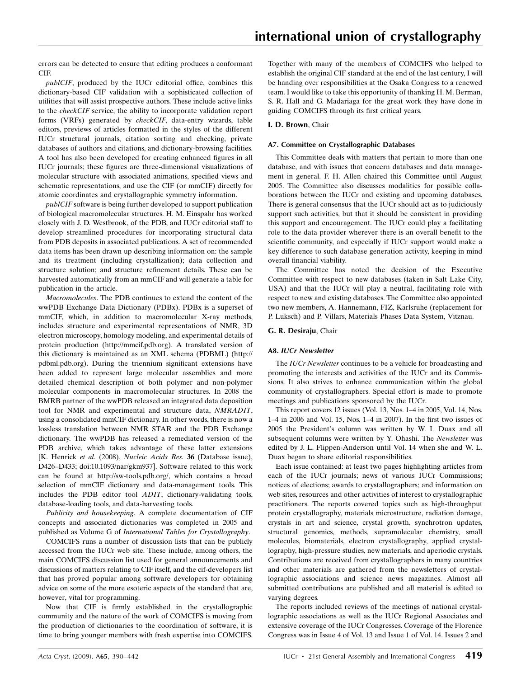errors can be detected to ensure that editing produces a conformant CIF.

publCIF, produced by the IUCr editorial office, combines this dictionary-based CIF validation with a sophisticated collection of utilities that will assist prospective authors. These include active links to the checkCIF service, the ability to incorporate validation report forms (VRFs) generated by checkCIF, data-entry wizards, table editors, previews of articles formatted in the styles of the different IUCr structural journals, citation sorting and checking, private databases of authors and citations, and dictionary-browsing facilities. A tool has also been developed for creating enhanced figures in all IUCr journals; these figures are three-dimensional visualizations of molecular structure with associated animations, specified views and schematic representations, and use the CIF (or mmCIF) directly for atomic coordinates and crystallographic symmetry information.

publCIF software is being further developed to support publication of biological macromolecular structures. H. M. Einspahr has worked closely with J. D. Westbrook, of the PDB, and IUCr editorial staff to develop streamlined procedures for incorporating structural data from PDB deposits in associated publications. A set of recommended data items has been drawn up describing information on: the sample and its treatment (including crystallization); data collection and structure solution; and structure refinement details. These can be harvested automatically from an mmCIF and will generate a table for publication in the article.

Macromolecules. The PDB continues to extend the content of the wwPDB Exchange Data Dictionary (PDBx). PDBx is a superset of mmCIF, which, in addition to macromolecular X-ray methods, includes structure and experimental representations of NMR, 3D electron microscopy, homology modeling, and experimental details of protein production (http://mmcif.pdb.org). A translated version of this dictionary is maintained as an XML schema (PDBML) (http:// pdbml.pdb.org). During the triennium significant extensions have been added to represent large molecular assemblies and more detailed chemical description of both polymer and non-polymer molecular components in macromolecular structures. In 2008 the BMRB partner of the wwPDB released an integrated data deposition tool for NMR and experimental and structure data, NMRADIT, using a consolidated mmCIF dictionary. In other words, there is now a lossless translation between NMR STAR and the PDB Exchange dictionary. The wwPDB has released a remediated version of the PDB archive, which takes advantage of these latter extensions [K. Henrick et al. (2008), Nucleic Acids Res. 36 (Database issue), D426–D433; doi:10.1093/nar/gkm937]. Software related to this work can be found at http://sw-tools.pdb.org/, which contains a broad selection of mmCIF dictionary and data-management tools. This includes the PDB editor tool ADIT, dictionary-validating tools, database-loading tools, and data-harvesting tools.

Publicity and housekeeping. A complete documentation of CIF concepts and associated dictionaries was completed in 2005 and published as Volume G of International Tables for Crystallography.

COMCIFS runs a number of discussion lists that can be publicly accessed from the IUCr web site. These include, among others, the main COMCIFS discussion list used for general announcements and discussions of matters relating to CIF itself, and the cif-developers list that has proved popular among software developers for obtaining advice on some of the more esoteric aspects of the standard that are, however, vital for programming.

Now that CIF is firmly established in the crystallographic community and the nature of the work of COMCIFS is moving from the production of dictionaries to the coordination of software, it is time to bring younger members with fresh expertise into COMCIFS.

Together with many of the members of COMCIFS who helped to establish the original CIF standard at the end of the last century, I will be handing over responsibilities at the Osaka Congress to a renewed team. I would like to take this opportunity of thanking H. M. Berman, S. R. Hall and G. Madariaga for the great work they have done in guiding COMCIFS through its first critical years.

## I. D. Brown, Chair

#### A7. Committee on Crystallographic Databases

This Committee deals with matters that pertain to more than one database, and with issues that concern databases and data management in general. F. H. Allen chaired this Committee until August 2005. The Committee also discusses modalities for possible collaborations between the IUCr and existing and upcoming databases. There is general consensus that the IUCr should act as to judiciously support such activities, but that it should be consistent in providing this support and encouragement. The IUCr could play a facilitating role to the data provider wherever there is an overall benefit to the scientific community, and especially if IUCr support would make a key difference to such database generation activity, keeping in mind overall financial viability.

The Committee has noted the decision of the Executive Committee with respect to new databases (taken in Salt Lake City, USA) and that the IUCr will play a neutral, facilitating role with respect to new and existing databases. The Committee also appointed two new members, A. Hannemann, FIZ, Karlsruhe (replacement for P. Luksch) and P. Villars, Materials Phases Data System, Vitznau.

## G. R. Desiraju, Chair

#### A8. IUCr Newsletter

The IUCr Newsletter continues to be a vehicle for broadcasting and promoting the interests and activities of the IUCr and its Commissions. It also strives to enhance communication within the global community of crystallographers. Special effort is made to promote meetings and publications sponsored by the IUCr.

This report covers 12 issues (Vol. 13, Nos. 1–4 in 2005, Vol. 14, Nos. 1–4 in 2006 and Vol. 15, Nos. 1–4 in 2007). In the first two issues of 2005 the President's column was written by W. L Duax and all subsequent columns were written by Y. Ohashi. The Newsletter was edited by J. L. Flippen-Anderson until Vol. 14 when she and W. L. Duax began to share editorial responsibilities.

Each issue contained: at least two pages highlighting articles from each of the IUCr journals; news of various IUCr Commissions; notices of elections; awards to crystallographers; and information on web sites, resources and other activities of interest to crystallographic practitioners. The reports covered topics such as high-throughput protein crystallography, materials microstructure, radiation damage, crystals in art and science, crystal growth, synchrotron updates, structural genomics, methods, supramolecular chemistry, small molecules, biomaterials, electron crystallography, applied crystallography, high-pressure studies, new materials, and aperiodic crystals. Contributions are received from crystallographers in many countries and other materials are gathered from the newsletters of crystallographic associations and science news magazines. Almost all submitted contributions are published and all material is edited to varying degrees.

The reports included reviews of the meetings of national crystallographic associations as well as the IUCr Regional Associates and extensive coverage of the IUCr Congresses. Coverage of the Florence Congress was in Issue 4 of Vol. 13 and Issue 1 of Vol. 14. Issues 2 and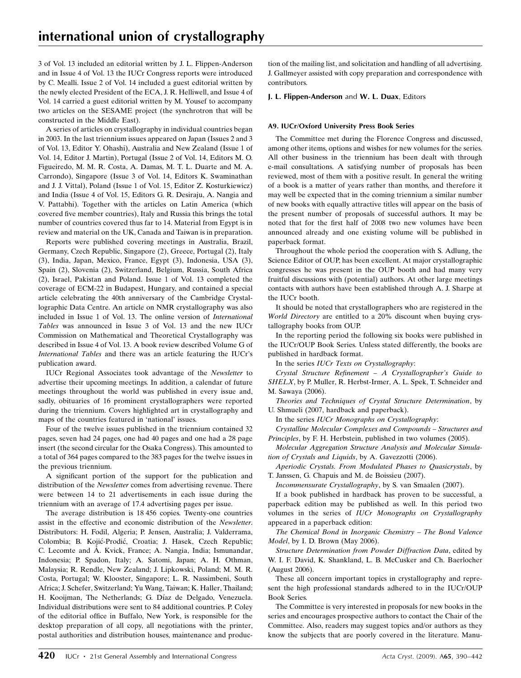3 of Vol. 13 included an editorial written by J. L. Flippen-Anderson and in Issue 4 of Vol. 13 the IUCr Congress reports were introduced by C. Mealli. Issue 2 of Vol. 14 included a guest editorial written by the newly elected President of the ECA, J. R. Helliwell, and Issue 4 of Vol. 14 carried a guest editorial written by M. Yousef to accompany two articles on the SESAME project (the synchrotron that will be constructed in the Middle East).

A series of articles on crystallography in individual countries began in 2003. In the last triennium issues appeared on Japan (Issues 2 and 3 of Vol. 13, Editor Y. Ohashi), Australia and New Zealand (Issue 1 of Vol. 14, Editor J. Martin), Portugal (Issue 2 of Vol. 14, Editors M. O. Figueiredo, M. M. R. Costa, A. Damas, M. T. L. Duarte and M. A. Carrondo), Singapore (Issue 3 of Vol. 14, Editors K. Swaminathan and J. J. Vittal), Poland (Issue 1 of Vol. 15, Editor Z. Kosturkiewicz) and India (Issue 4 of Vol. 15, Editors G. R. Desiraju, A. Nangia and V. Pattabhi). Together with the articles on Latin America (which covered five member countries), Italy and Russia this brings the total number of countries covered thus far to 14. Material from Egypt is in review and material on the UK, Canada and Taiwan is in preparation.

Reports were published covering meetings in Australia, Brazil, Germany, Czech Republic, Singapore (2), Greece, Portugal (2), Italy (3), India, Japan, Mexico, France, Egypt (3), Indonesia, USA (3), Spain (2), Slovenia (2), Switzerland, Belgium, Russia, South Africa (2), Israel, Pakistan and Poland. Issue 1 of Vol. 13 completed the coverage of ECM-22 in Budapest, Hungary, and contained a special article celebrating the 40th anniversary of the Cambridge Crystallographic Data Centre. An article on NMR crystallography was also included in Issue 1 of Vol. 13. The online version of International Tables was announced in Issue 3 of Vol. 13 and the new IUCr Commission on Mathematical and Theoretical Crystallography was described in Issue 4 of Vol. 13. A book review described Volume G of International Tables and there was an article featuring the IUCr's publication award.

IUCr Regional Associates took advantage of the Newsletter to advertise their upcoming meetings. In addition, a calendar of future meetings throughout the world was published in every issue and, sadly, obituaries of 16 prominent crystallographers were reported during the triennium. Covers highlighted art in crystallography and maps of the countries featured in 'national' issues.

Four of the twelve issues published in the triennium contained 32 pages, seven had 24 pages, one had 40 pages and one had a 28 page insert (the second circular for the Osaka Congress). This amounted to a total of 364 pages compared to the 383 pages for the twelve issues in the previous triennium.

A significant portion of the support for the publication and distribution of the Newsletter comes from advertising revenue. There were between 14 to 21 advertisements in each issue during the triennium with an average of 17.4 advertising pages per issue.

The average distribution is 18 456 copies. Twenty-one countries assist in the effective and economic distribution of the Newsletter. Distributors: H. Fodil, Algeria; P. Jensen, Australia; J. Valderrama, Colombia; B. Kojic´-Prodic´, Croatia; J. Hasek, Czech Republic; C. Lecomte and A. Kvick, France; A. Nangia, India; Ismunandar, Indonesia; P. Spadon, Italy; A. Satomi, Japan; A. H. Othman, Malaysia; R. Rendle, New Zealand; J. Lipkowski, Poland; M. M. R. Costa, Portugal; W. Klooster, Singapore; L. R. Nassimbeni, South Africa; J. Schefer, Switzerland; Yu Wang, Taiwan; K. Haller, Thailand; H. Kooijman, The Netherlands; G. Díaz de Delgado, Venezuela. Individual distributions were sent to 84 additional countries. P. Coley of the editorial office in Buffalo, New York, is responsible for the desktop preparation of all copy, all negotiations with the printer, postal authorities and distribution houses, maintenance and production of the mailing list, and solicitation and handling of all advertising. J. Gallmeyer assisted with copy preparation and correspondence with contributors.

## J. L. Flippen-Anderson and W. L. Duax, Editors

## A9. IUCr/Oxford University Press Book Series

The Committee met during the Florence Congress and discussed, among other items, options and wishes for new volumes for the series. All other business in the triennium has been dealt with through e-mail consultations. A satisfying number of proposals has been reviewed, most of them with a positive result. In general the writing of a book is a matter of years rather than months, and therefore it may well be expected that in the coming triennium a similar number of new books with equally attractive titles will appear on the basis of the present number of proposals of successful authors. It may be noted that for the first half of 2008 two new volumes have been announced already and one existing volume will be published in paperback format.

Throughout the whole period the cooperation with S. Adlung, the Science Editor of OUP, has been excellent. At major crystallographic congresses he was present in the OUP booth and had many very fruitful discussions with (potential) authors. At other large meetings contacts with authors have been established through A. J. Sharpe at the IUCr booth.

It should be noted that crystallographers who are registered in the World Directory are entitled to a 20% discount when buying crystallography books from OUP.

In the reporting period the following six books were published in the IUCr/OUP Book Series. Unless stated differently, the books are published in hardback format.

In the series IUCr Texts on Crystallography:

Crystal Structure Refinement – A Crystallographer's Guide to SHELX, by P. Muller, R. Herbst-Irmer, A. L. Spek, T. Schneider and M. Sawaya (2006).

Theories and Techniques of Crystal Structure Determination, by U. Shmueli (2007, hardback and paperback).

In the series IUCr Monographs on Crystallography:

Crystalline Molecular Complexes and Compounds – Structures and Principles, by F. H. Herbstein, published in two volumes (2005).

Molecular Aggregation Structure Analysis and Molecular Simulation of Crystals and Liquids, by A. Gavezzotti (2006).

Aperiodic Crystals. From Modulated Phases to Quasicrystals, by T. Janssen, G. Chapuis and M. de Boissieu (2007).

Incommensurate Crystallography, by S. van Smaalen (2007).

If a book published in hardback has proven to be successful, a paperback edition may be published as well. In this period two volumes in the series of IUCr Monographs on Crystallography appeared in a paperback edition:

The Chemical Bond in Inorganic Chemistry – The Bond Valence Model, by I. D. Brown (May 2006).

Structure Determination from Powder Diffraction Data, edited by W. I. F. David, K. Shankland, L. B. McCusker and Ch. Baerlocher (August 2006).

These all concern important topics in crystallography and represent the high professional standards adhered to in the IUCr/OUP Book Series.

The Committee is very interested in proposals for new books in the series and encourages prospective authors to contact the Chair of the Committee. Also, readers may suggest topics and/or authors as they know the subjects that are poorly covered in the literature. Manu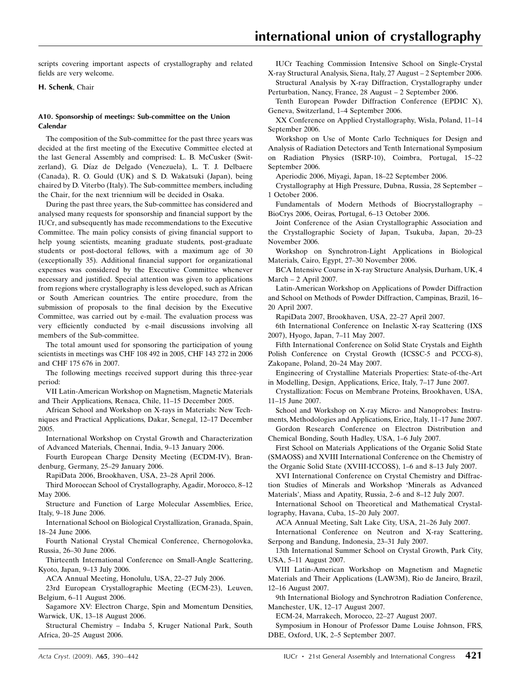scripts covering important aspects of crystallography and related fields are very welcome.

H. Schenk, Chair

## A10. Sponsorship of meetings: Sub-committee on the Union Calendar

The composition of the Sub-committee for the past three years was decided at the first meeting of the Executive Committee elected at the last General Assembly and comprised: L. B. McCusker (Switzerland), G. Díaz de Delgado (Venezuela), L. T. J. Delbaere (Canada), R. O. Gould (UK) and S. D. Wakatsuki (Japan), being chaired by D. Viterbo (Italy). The Sub-committee members, including the Chair, for the next triennium will be decided in Osaka.

During the past three years, the Sub-committee has considered and analysed many requests for sponsorship and financial support by the IUCr, and subsequently has made recommendations to the Executive Committee. The main policy consists of giving financial support to help young scientists, meaning graduate students, post-graduate students or post-doctoral fellows, with a maximum age of 30 (exceptionally 35). Additional financial support for organizational expenses was considered by the Executive Committee whenever necessary and justified. Special attention was given to applications from regions where crystallography is less developed, such as African or South American countries. The entire procedure, from the submission of proposals to the final decision by the Executive Committee, was carried out by e-mail. The evaluation process was very efficiently conducted by e-mail discussions involving all members of the Sub-committee.

The total amount used for sponsoring the participation of young scientists in meetings was CHF 108 492 in 2005, CHF 143 272 in 2006 and CHF 175 676 in 2007.

The following meetings received support during this three-year period:

VII Latin-American Workshop on Magnetism, Magnetic Materials and Their Applications, Renaca, Chile, 11–15 December 2005.

African School and Workshop on X-rays in Materials: New Techniques and Practical Applications, Dakar, Senegal, 12–17 December 2005.

International Workshop on Crystal Growth and Characterization of Advanced Materials, Chennai, India, 9–13 January 2006.

Fourth European Charge Density Meeting (ECDM-IV), Brandenburg, Germany, 25–29 January 2006.

RapiData 2006, Brookhaven, USA, 23–28 April 2006.

Third Moroccan School of Crystallography, Agadir, Morocco, 8–12 May 2006.

Structure and Function of Large Molecular Assemblies, Erice, Italy, 9–18 June 2006.

International School on Biological Crystallization, Granada, Spain, 18–24 June 2006.

Fourth National Crystal Chemical Conference, Chernogolovka, Russia, 26–30 June 2006.

Thirteenth International Conference on Small-Angle Scattering, Kyoto, Japan, 9–13 July 2006.

ACA Annual Meeting, Honolulu, USA, 22–27 July 2006.

23rd European Crystallographic Meeting (ECM-23), Leuven, Belgium, 6–11 August 2006.

Sagamore XV: Electron Charge, Spin and Momentum Densities, Warwick, UK, 13–18 August 2006.

Structural Chemistry – Indaba 5, Kruger National Park, South Africa, 20–25 August 2006.

IUCr Teaching Commission Intensive School on Single-Crystal X-ray Structural Analysis, Siena, Italy, 27 August – 2 September 2006.

Structural Analysis by X-ray Diffraction, Crystallography under Perturbation, Nancy, France, 28 August – 2 September 2006.

Tenth European Powder Diffraction Conference (EPDIC X),

Geneva, Switzerland, 1–4 September 2006.

XX Conference on Applied Crystallography, Wisla, Poland, 11–14 September 2006.

Workshop on Use of Monte Carlo Techniques for Design and Analysis of Radiation Detectors and Tenth International Symposium on Radiation Physics (ISRP-10), Coimbra, Portugal, 15–22 September 2006.

Aperiodic 2006, Miyagi, Japan, 18–22 September 2006.

Crystallography at High Pressure, Dubna, Russia, 28 September – 1 October 2006.

Fundamentals of Modern Methods of Biocrystallography – BioCrys 2006, Oeiras, Portugal, 6–13 October 2006.

Joint Conference of the Asian Crystallographic Association and the Crystallographic Society of Japan, Tsukuba, Japan, 20–23 November 2006.

Workshop on Synchrotron-Light Applications in Biological Materials, Cairo, Egypt, 27–30 November 2006.

BCA Intensive Course in X-ray Structure Analysis, Durham, UK, 4 March – 2 April 2007.

Latin-American Workshop on Applications of Powder Diffraction and School on Methods of Powder Diffraction, Campinas, Brazil, 16– 20 April 2007.

RapiData 2007, Brookhaven, USA, 22–27 April 2007.

6th International Conference on Inelastic X-ray Scattering (IXS 2007), Hyogo, Japan, 7–11 May 2007.

Fifth International Conference on Solid State Crystals and Eighth Polish Conference on Crystal Growth (ICSSC-5 and PCCG-8), Zakopane, Poland, 20–24 May 2007.

Engineering of Crystalline Materials Properties: State-of-the-Art in Modelling, Design, Applications, Erice, Italy, 7–17 June 2007.

Crystallization: Focus on Membrane Proteins, Brookhaven, USA, 11–15 June 2007.

School and Workshop on X-ray Micro- and Nanoprobes: Instruments, Methodologies and Applications, Erice, Italy, 11–17 June 2007.

Gordon Research Conference on Electron Distribution and Chemical Bonding, South Hadley, USA, 1–6 July 2007.

First School on Materials Applications of the Organic Solid State (SMAOSS) and XVIII International Conference on the Chemistry of the Organic Solid State (XVIII-ICCOSS), 1–6 and 8–13 July 2007.

XVI International Conference on Crystal Chemistry and Diffraction Studies of Minerals and Workshop 'Minerals as Advanced

Materials', Miass and Apatity, Russia, 2–6 and 8–12 July 2007.

International School on Theoretical and Mathematical Crystallography, Havana, Cuba, 15–20 July 2007.

ACA Annual Meeting, Salt Lake City, USA, 21–26 July 2007.

International Conference on Neutron and X-ray Scattering, Serpong and Bandung, Indonesia, 23–31 July 2007.

13th International Summer School on Crystal Growth, Park City, USA, 5–11 August 2007.

VIII Latin-American Workshop on Magnetism and Magnetic Materials and Their Applications (LAW3M), Rio de Janeiro, Brazil, 12–16 August 2007.

9th International Biology and Synchrotron Radiation Conference, Manchester, UK, 12–17 August 2007.

ECM-24, Marrakech, Morocco, 22–27 August 2007.

Symposium in Honour of Professor Dame Louise Johnson, FRS, DBE, Oxford, UK, 2–5 September 2007.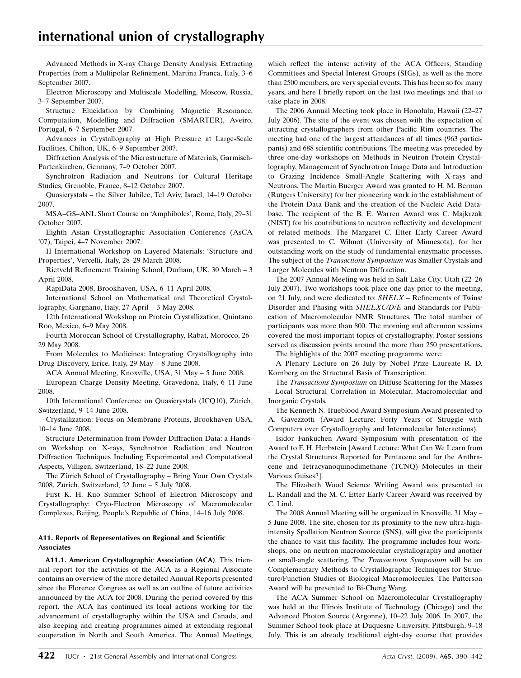Advanced Methods in X-ray Charge Density Analysis: Extracting Properties from a Multipolar Refinement, Martina Franca, Italy, 3–6 September 2007.

Electron Microscopy and Multiscale Modelling, Moscow, Russia, 3–7 September 2007.

Structure Elucidation by Combining Magnetic Resonance, Computation, Modelling and Diffraction (SMARTER), Aveiro, Portugal, 6–7 September 2007.

Advances in Crystallography at High Pressure at Large-Scale Facilities, Chilton, UK, 6–9 September 2007.

Diffraction Analysis of the Microstructure of Materials, Garmisch-Partenkirchen, Germany, 7–9 October 2007.

Synchrotron Radiation and Neutrons for Cultural Heritage Studies, Grenoble, France, 8–12 October 2007.

Quasicrystals – the Silver Jubilee, Tel Aviv, Israel, 14–19 October 2007.

MSA–GS–ANL Short Course on 'Amphiboles', Rome, Italy, 29–31 October 2007.

Eighth Asian Crystallographic Association Conference (AsCA '07), Taipei, 4–7 November 2007.

II International Workshop on Layered Materials: 'Structure and Properties', Vercelli, Italy, 28–29 March 2008.

Rietveld Refinement Training School, Durham, UK, 30 March – 3 April 2008.

RapiData 2008, Brookhaven, USA, 6–11 April 2008.

International School on Mathematical and Theoretical Crystallography, Gargnano, Italy, 27 April – 3 May 2008.

12th International Workshop on Protein Crystallization, Quintano Roo, Mexico, 6–9 May 2008.

Fourth Moroccan School of Crystallography, Rabat, Morocco, 26– 29 May 2008.

From Molecules to Medicines: Integrating Crystallography into Drug Discovery, Erice, Italy, 29 May – 8 June 2008.

ACA Annual Meeting, Knoxville, USA, 31 May – 5 June 2008.

European Charge Density Meeting, Gravedona, Italy, 6–11 June 2008.

10th International Conference on Quasicrystals (ICQ10), Zürich, Switzerland, 9–14 June 2008.

Crystallization: Focus on Membrane Proteins, Brookhaven USA, 10–14 June 2008.

Structure Determination from Powder Diffraction Data: a Handson Workshop on X-rays, Synchrotron Radiation and Neutron Diffraction Techniques Including Experimental and Computational Aspects, Villigen, Switzerland, 18–22 June 2008.

The Zürich School of Crystallography - Bring Your Own Crystals 2008, Zürich, Switzerland, 22 June  $-5$  July 2008.

First K. H. Kuo Summer School of Electron Microscopy and Crystallography: Cryo-Electron Microscopy of Macromolecular Complexes, Beijing, People's Republic of China, 14–16 July 2008.

## A11. Reports of Representatives on Regional and Scientific Associates

A11.1. American Crystallographic Association (ACA). This triennial report for the activities of the ACA as a Regional Associate contains an overview of the more detailed Annual Reports presented since the Florence Congress as well as an outline of future activities announced by the ACA for 2008. During the period covered by this report, the ACA has continued its local actions working for the advancement of crystallography within the USA and Canada, and also keeping and creating programmes aimed at extending regional cooperation in North and South America. The Annual Meetings,

which reflect the intense activity of the ACA Officers, Standing Committees and Special Interest Groups (SIGs), as well as the more than 2500 members, are very special events. This has been so for many years, and here I briefly report on the last two meetings and that to take place in 2008.

The 2006 Annual Meeting took place in Honolulu, Hawaii (22–27 July 2006). The site of the event was chosen with the expectation of attracting crystallographers from other Pacific Rim countries. The meeting had one of the largest attendances of all times (963 participants) and 688 scientific contributions. The meeting was preceded by three one-day workshops on Methods in Neutron Protein Crystallography, Management of Synchrotron Image Data and Introduction to Grazing Incidence Small-Angle Scattering with X-rays and Neutrons. The Martin Buerger Award was granted to H. M. Berman (Rutgers University) for her pioneering work in the establishment of the Protein Data Bank and the creation of the Nucleic Acid Database. The recipient of the B. E. Warren Award was C. Majkrzak (NIST) for his contributions to neutron reflectivity and development of related methods. The Margaret C. Etter Early Career Award was presented to C. Wilmot (University of Minnesota), for her outstanding work on the study of fundamental enzymatic processes. The subject of the Transactions Symposium was Smaller Crystals and Larger Molecules with Neutron Diffraction.

The 2007 Annual Meeting was held in Salt Lake City, Utah (22–26 July 2007). Two workshops took place one day prior to the meeting, on 21 July, and were dedicated to: SHELX – Refinements of Twins/ Disorder and Phasing with SHELXC/D/E and Standards for Publication of Macromolecular NMR Structures. The total number of participants was more than 800. The morning and afternoon sessions covered the most important topics of crystallography. Poster sessions served as discussion points around the more than 250 presentations.

The highlights of the 2007 meeting programme were:

A Plenary Lecture on 26 July by Nobel Prize Laureate R. D. Kornberg on the Structural Basis of Transcription.

The Transactions Symposium on Diffuse Scattering for the Masses – Local Structural Correlation in Molecular, Macromolecular and Inorganic Crystals.

The Kenneth N. Trueblood Award Symposium Award presented to A. Gavezzotti (Award Lecture: Forty Years of Struggle with Computers over Crystallography and Intermolecular Interactions).

Isidor Fankuchen Award Symposium with presentation of the Award to F. H. Herbstein [Award Lecture: What Can We Learn from the Crystal Structures Reported for Pentacene and for the Anthracene and Tetracyanoquinodimethane (TCNQ) Molecules in their Various Guises?].

The Elizabeth Wood Science Writing Award was presented to L. Randall and the M. C. Etter Early Career Award was received by C. Lind.

The 2008 Annual Meeting will be organized in Knoxville, 31 May – 5 June 2008. The site, chosen for its proximity to the new ultra-highintensity Spallation Neutron Source (SNS), will give the participants the chance to visit this facility. The programme includes four workshops, one on neutron macromolecular crystallography and another on small-angle scattering. The Transactions Symposium will be on Complementary Methods to Crystallographic Techniques for Structure/Function Studies of Biological Macromolecules. The Patterson Award will be presented to Bi-Cheng Wang.

The ACA Summer School on Macromolecular Crystallography was held at the Illinois Institute of Technology (Chicago) and the Advanced Photon Source (Argonne), 10–22 July 2006. In 2007, the Summer School took place at Duquesne University, Pittsburgh, 9–18 July. This is an already traditional eight-day course that provides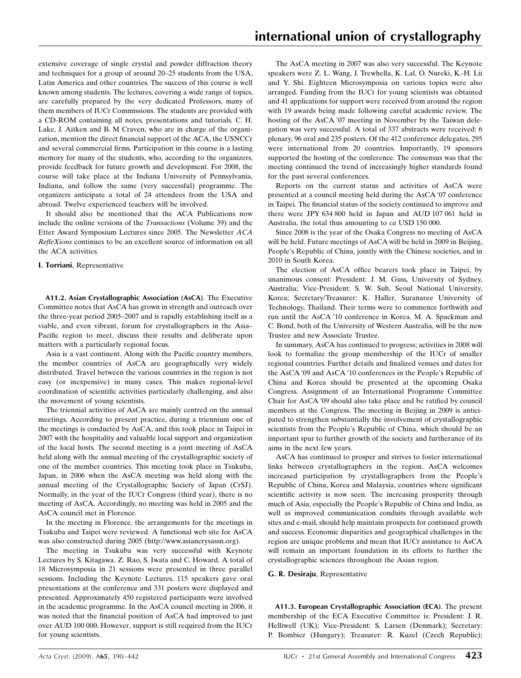extensive coverage of single crystal and powder diffraction theory and techniques for a group of around 20–25 students from the USA, Latin America and other countries. The success of this course is well known among students. The lectures, covering a wide range of topics, are carefully prepared by the very dedicated Professors, many of them members of IUCr Commissions. The students are provided with a CD-ROM containing all notes, presentations and tutorials. C. H. Lake, J. Aitken and B. M Craven, who are in charge of the organization, mention the direct financial support of the ACA, the USNCCr and several commercial firms. Participation in this course is a lasting memory for many of the students, who, according to the organizers, provide feedback for future growth and development. For 2008, the course will take place at the Indiana University of Pennsylvania, Indiana, and follow the same (very successful) programme. The organizers anticipate a total of 24 attendees from the USA and abroad. Twelve experienced teachers will be involved.

It should also be mentioned that the ACA Publications now include the online versions of the Transactions (Volume 39) and the Etter Award Symposium Lectures since 2005. The Newsletter ACA RefleXions continues to be an excellent source of information on all the ACA activities.

#### I. Torriani, Representative

A11.2. Asian Crystallographic Association (AsCA). The Executive Committee notes that AsCA has grown in strength and outreach over the three-year period 2005–2007 and is rapidly establishing itself as a viable, and even vibrant, forum for crystallographers in the Asia– Pacific region to meet, discuss their results and deliberate upon matters with a particularly regional focus.

Asia is a vast continent. Along with the Pacific country members, the member countries of AsCA are geographically very widely distributed. Travel between the various countries in the region is not easy (or inexpensive) in many cases. This makes regional-level coordination of scientific activities particularly challenging, and also the movement of young scientists.

The triennial activities of AsCA are mainly centred on the annual meetings. According to present practice, during a triennium one of the meetings is conducted by AsCA, and this took place in Taipei in 2007 with the hospitality and valuable local support and organization of the local hosts. The second meeting is a joint meeting of AsCA held along with the annual meeting of the crystallographic society of one of the member countries. This meeting took place in Tsukuba, Japan, in 2006 when the AsCA meeting was held along with the annual meeting of the Crystallographic Society of Japan (CrSJ). Normally, in the year of the IUCr Congress (third year), there is no meeting of AsCA. Accordingly, no meeting was held in 2005 and the AsCA council met in Florence.

In the meeting in Florence, the arrangements for the meetings in Tsukuba and Taipei were reviewed. A functional web site for AsCA was also constructed during 2005 (http://www.asiancrysassn.org).

The meeting in Tsukuba was very successful with Keynote Lectures by S. Kitagawa, Z. Rao, S. Iwata and C. Howard. A total of 18 Microsymposia in 21 sessions were presented in three parallel sessions. Including the Keynote Lectures, 115 speakers gave oral presentations at the conference and 331 posters were displayed and presented. Approximately 450 registered participants were involved in the academic programme. In the AsCA council meeting in 2006, it was noted that the financial position of AsCA had improved to just over AUD 100 000. However, support is still required from the IUCr for young scientists.

The AsCA meeting in 2007 was also very successful. The Keynote speakers were Z. L. Wang, J. Trewhella, K. Lal, O. Nureki, K.-H. Lii and Y. Shi. Eighteen Microsymposia on various topics were also arranged. Funding from the IUCr for young scientists was obtained and 41 applications for support were received from around the region with 19 awards being made following careful academic review. The hosting of the AsCA '07 meeting in November by the Taiwan delegation was very successful. A total of 337 abstracts were received: 6 plenary, 96 oral and 235 posters. Of the 412 conference delegates, 295 were international from 20 countries. Importantly, 19 sponsors supported the hosting of the conference. The consensus was that the meeting continued the trend of increasingly higher standards found for the past several conferences.

Reports on the current status and activities of AsCA were presented at a council meeting held during the AsCA '07 conference in Taipei. The financial status of the society continued to improve and there were JPY 634 800 held in Japan and AUD 107 061 held in Australia, the total thus amounting to ca USD 150 000.

Since 2008 is the year of the Osaka Congress no meeting of AsCA will be held. Future meetings of AsCA will be held in 2009 in Beijing, People's Republic of China, jointly with the Chinese societies, and in 2010 in South Korea.

The election of AsCA office bearers took place in Taipei, by unanimous consent: President: J. M. Guss, University of Sydney, Australia; Vice-President: S. W. Suh, Seoul National University, Korea; Secretary/Treasurer: K. Haller, Suranaree University of Technology, Thailand. Their terms were to commence forthwith and run until the AsCA '10 conference in Korea. M. A. Spackman and C. Bond, both of the University of Western Australia, will be the new Trustee and new Associate Trustee.

In summary, AsCA has continued to progress; activities in 2008 will look to formalize the group membership of the IUCr of smaller regional countries. Further details and finalized venues and dates for the AsCA '09 and AsCA '10 conferences in the People's Republic of China and Korea should be presented at the upcoming Osaka Congress. Assignment of an International Programme Committee Chair for AsCA '09 should also take place and be ratified by council members at the Congress. The meeting in Beijing in 2009 is anticipated to strengthen substantially the involvement of crystallographic scientists from the People's Republic of China, which should be an important spur to further growth of the society and furtherance of its aims in the next few years.

AsCA has continued to prosper and strives to foster international links between crystallographers in the region. AsCA welcomes increased participation by crystallographers from the People's Republic of China, Korea and Malaysia, countries where significant scientific activity is now seen. The increasing prosperity through much of Asia, especially the People's Republic of China and India, as well as improved communication conduits through available web sites and e-mail, should help maintain prospects for continued growth and success. Economic disparities and geographical challenges in the region are unique problems and mean that IUCr assistance to AsCA will remain an important foundation in its efforts to further the crystallographic sciences throughout the Asian region.

#### G. R. Desiraju, Representative

A11.3. European Crystallographic Association (ECA). The present membership of the ECA Executive Committee is: President: J. R. Helliwell (UK); Vice-President: S. Larsen (Denmark); Secretary: P. Bombicz (Hungary); Treasurer: R. Kuzel (Czech Republic);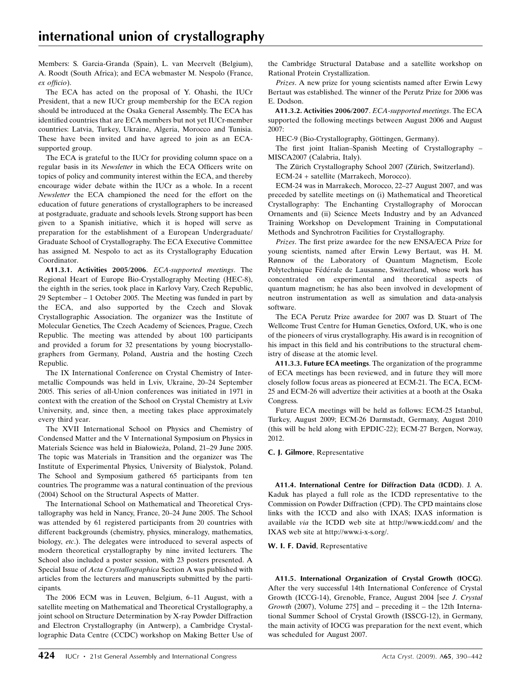Members: S. Garcia-Granda (Spain), L. van Meervelt (Belgium), A. Roodt (South Africa); and ECA webmaster M. Nespolo (France, ex officio).

The ECA has acted on the proposal of Y. Ohashi, the IUCr President, that a new IUCr group membership for the ECA region should be introduced at the Osaka General Assembly. The ECA has identified countries that are ECA members but not yet IUCr-member countries: Latvia, Turkey, Ukraine, Algeria, Morocco and Tunisia. These have been invited and have agreed to join as an ECAsupported group.

The ECA is grateful to the IUCr for providing column space on a regular basis in its Newsletter in which the ECA Officers write on topics of policy and community interest within the ECA, and thereby encourage wider debate within the IUCr as a whole. In a recent Newsletter the ECA championed the need for the effort on the education of future generations of crystallographers to be increased at postgraduate, graduate and schools levels. Strong support has been given to a Spanish initiative, which it is hoped will serve as preparation for the establishment of a European Undergraduate/ Graduate School of Crystallography. The ECA Executive Committee has assigned M. Nespolo to act as its Crystallography Education Coordinator.

A11.3.1. Activities 2005/2006. ECA-supported meetings. The Regional Heart of Europe Bio-Crystallography Meeting (HEC-8), the eighth in the series, took place in Karlovy Vary, Czech Republic, 29 September – 1 October 2005. The Meeting was funded in part by the ECA, and also supported by the Czech and Slovak Crystallographic Association. The organizer was the Institute of Molecular Genetics, The Czech Academy of Sciences, Prague, Czech Republic. The meeting was attended by about 100 participants and provided a forum for 32 presentations by young biocrystallographers from Germany, Poland, Austria and the hosting Czech Republic.

The IX International Conference on Crystal Chemistry of Intermetallic Compounds was held in Lviv, Ukraine, 20–24 September 2005. This series of all-Union conferences was initiated in 1971 in context with the creation of the School on Crystal Chemistry at Lviv University, and, since then, a meeting takes place approximately every third year.

The XVII International School on Physics and Chemistry of Condensed Matter and the V International Symposium on Physics in Materials Science was held in Białowieża, Poland, 21-29 June 2005. The topic was Materials in Transition and the organizer was The Institute of Experimental Physics, University of Bialystok, Poland. The School and Symposium gathered 65 participants from ten countries. The programme was a natural continuation of the previous (2004) School on the Structural Aspects of Matter.

The International School on Mathematical and Theoretical Crystallography was held in Nancy, France, 20–24 June 2005. The School was attended by 61 registered participants from 20 countries with different backgrounds (chemistry, physics, mineralogy, mathematics, biology, etc.). The delegates were introduced to several aspects of modern theoretical crystallography by nine invited lecturers. The School also included a poster session, with 23 posters presented. A Special Issue of Acta Crystallographica Section A was published with articles from the lecturers and manuscripts submitted by the participants.

The 2006 ECM was in Leuven, Belgium, 6–11 August, with a satellite meeting on Mathematical and Theoretical Crystallography, a joint school on Structure Determination by X-ray Powder Diffraction and Electron Crystallography (in Antwerp), a Cambridge Crystallographic Data Centre (CCDC) workshop on Making Better Use of the Cambridge Structural Database and a satellite workshop on Rational Protein Crystallization.

Prizes. A new prize for young scientists named after Erwin Lewy Bertaut was established. The winner of the Perutz Prize for 2006 was E. Dodson.

A11.3.2. Activities 2006/2007. ECA-supported meetings. The ECA supported the following meetings between August 2006 and August 2007:

HEC-9 (Bio-Crystallography, Göttingen, Germany).

The first joint Italian–Spanish Meeting of Crystallography – MISCA2007 (Calabria, Italy).

The Zürich Crystallography School 2007 (Zürich, Switzerland).

ECM-24 + satellite (Marrakech, Morocco).

ECM-24 was in Marrakech, Morocco, 22–27 August 2007, and was preceded by satellite meetings on (i) Mathematical and Theoretical Crystallography: The Enchanting Crystallography of Moroccan Ornaments and (ii) Science Meets Industry and by an Advanced Training Workshop on Development Training in Computational Methods and Synchrotron Facilities for Crystallography.

Prizes. The first prize awardee for the new ENSA/ECA Prize for young scientists, named after Erwin Lewy Bertaut, was H. M. Rønnow of the Laboratory of Quantum Magnetism, Ecole Polytechnique Fédérale de Lausanne, Switzerland, whose work has concentrated on experimental and theoretical aspects of quantum magnetism; he has also been involved in development of neutron instrumentation as well as simulation and data-analysis software.

The ECA Perutz Prize awardee for 2007 was D. Stuart of The Wellcome Trust Centre for Human Genetics, Oxford, UK, who is one of the pioneers of virus crystallography. His award is in recognition of his impact in this field and his contributions to the structural chemistry of disease at the atomic level.

A11.3.3. Future ECA meetings. The organization of the programme of ECA meetings has been reviewed, and in future they will more closely follow focus areas as pioneered at ECM-21. The ECA, ECM-25 and ECM-26 will advertize their activities at a booth at the Osaka Congress.

Future ECA meetings will be held as follows: ECM-25 Istanbul, Turkey, August 2009; ECM-26 Darmstadt, Germany, August 2010 (this will be held along with EPDIC-22); ECM-27 Bergen, Norway, 2012.

## C. J. Gilmore, Representative

A11.4. International Centre for Diffraction Data (ICDD). J. A. Kaduk has played a full role as the ICDD representative to the Commission on Powder Diffraction (CPD). The CPD maintains close links with the ICCD and also with IXAS; IXAS information is available via the ICDD web site at http://www.icdd.com/ and the IXAS web site at http://www.i-x-s.org/.

## W. I. F. David, Representative

A11.5. International Organization of Crystal Growth (IOCG). After the very successful 14th International Conference of Crystal Growth (ICCG-14), Grenoble, France, August 2004 [see J. Crystal Growth (2007), Volume 275] and – preceding it – the 12th International Summer School of Crystal Growth (ISSCG-12), in Germany, the main activity of IOCG was preparation for the next event, which was scheduled for August 2007.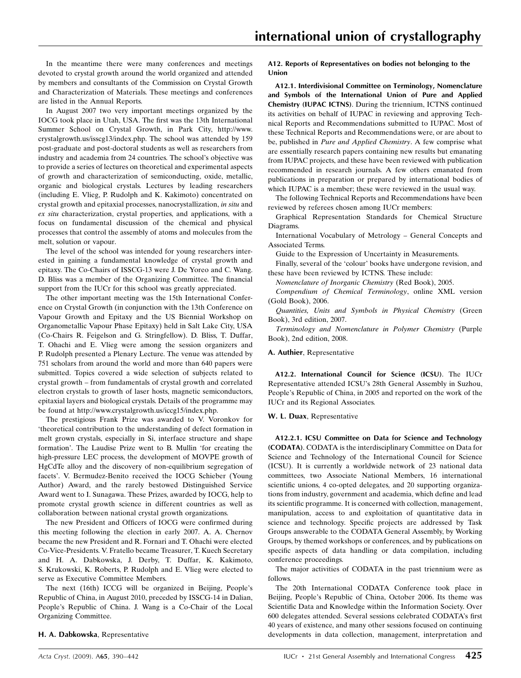In the meantime there were many conferences and meetings devoted to crystal growth around the world organized and attended by members and consultants of the Commission on Crystal Growth and Characterization of Materials. These meetings and conferences are listed in the Annual Reports.

In August 2007 two very important meetings organized by the IOCG took place in Utah, USA. The first was the 13th International Summer School on Crystal Growth, in Park City, http://www. crystalgrowth.us/isscg13/index.php. The school was attended by 159 post-graduate and post-doctoral students as well as researchers from industry and academia from 24 countries. The school's objective was to provide a series of lectures on theoretical and experimental aspects of growth and characterization of semiconducting, oxide, metallic, organic and biological crystals. Lectures by leading researchers (including E. Vlieg, P. Rudolph and K. Kakimoto) concentrated on crystal growth and epitaxial processes, nanocrystallization, in situ and ex situ characterization, crystal properties, and applications, with a focus on fundamental discussion of the chemical and physical processes that control the assembly of atoms and molecules from the melt, solution or vapour.

The level of the school was intended for young researchers interested in gaining a fundamental knowledge of crystal growth and epitaxy. The Co-Chairs of ISSCG-13 were J. De Yoreo and C. Wang. D. Bliss was a member of the Organizing Committee. The financial support from the IUCr for this school was greatly appreciated.

The other important meeting was the 15th International Conference on Crystal Growth (in conjunction with the 13th Conference on Vapour Growth and Epitaxy and the US Biennial Workshop on Organometallic Vapour Phase Epitaxy) held in Salt Lake City, USA (Co-Chairs R. Feigelson and G. Stringfellow). D. Bliss, T. Duffar, T. Ohachi and E. Vlieg were among the session organizers and P. Rudolph presented a Plenary Lecture. The venue was attended by 751 scholars from around the world and more than 640 papers were submitted. Topics covered a wide selection of subjects related to crystal growth – from fundamentals of crystal growth and correlated electron crystals to growth of laser hosts, magnetic semiconductors, epitaxial layers and biological crystals. Details of the programme may be found at http://www.crystalgrowth.us/iccg15/index.php.

The prestigious Frank Prize was awarded to V. Voronkov for 'theoretical contribution to the understanding of defect formation in melt grown crystals, especially in Si, interface structure and shape formation'. The Laudise Prize went to B. Mullin 'for creating the high-pressure LEC process, the development of MOVPE growth of HgCdTe alloy and the discovery of non-equilibrium segregation of facets'. V. Bermudez-Benito received the IOCG Schieber (Young Author) Award, and the rarely bestowed Distinguished Service Award went to I. Sunagawa. These Prizes, awarded by IOCG, help to promote crystal growth science in different countries as well as collaboration between national crystal growth organizations.

The new President and Officers of IOCG were confirmed during this meeting following the election in early 2007. A. A. Chernov became the new President and R. Fornari and T. Ohachi were elected Co-Vice-Presidents. V. Fratello became Treasurer, T. Kuech Secretary and H. A. Dabkowska, J. Derby, T. Duffar, K. Kakimoto, S. Krukowski, K. Roberts, P. Rudolph and E. Vlieg were elected to serve as Executive Committee Members.

The next (16th) ICCG will be organized in Beijing, People's Republic of China, in August 2010, preceded by ISSCG-14 in Dalian, People's Republic of China. J. Wang is a Co-Chair of the Local Organizing Committee.

H. A. Dabkowska, Representative

A12. Reports of Representatives on bodies not belonging to the Union

A12.1. Interdivisional Committee on Terminology, Nomenclature and Symbols of the International Union of Pure and Applied Chemistry (IUPAC ICTNS). During the triennium, ICTNS continued its activities on behalf of IUPAC in reviewing and approving Technical Reports and Recommendations submitted to IUPAC. Most of these Technical Reports and Recommendations were, or are about to be, published in Pure and Applied Chemistry. A few comprise what are essentially research papers containing new results but emanating from IUPAC projects, and these have been reviewed with publication recommended in research journals. A few others emanated from publications in preparation or prepared by international bodies of which IUPAC is a member; these were reviewed in the usual way.

The following Technical Reports and Recommendations have been reviewed by referees chosen among IUCr members:

Graphical Representation Standards for Chemical Structure Diagrams.

International Vocabulary of Metrology – General Concepts and Associated Terms.

Guide to the Expression of Uncertainty in Measurements.

Finally, several of the 'colour' books have undergone revision, and these have been reviewed by ICTNS. These include:

Nomenclature of Inorganic Chemistry (Red Book), 2005.

Compendium of Chemical Terminology, online XML version (Gold Book), 2006.

Quantities, Units and Symbols in Physical Chemistry (Green Book), 3rd edition, 2007.

Terminology and Nomenclature in Polymer Chemistry (Purple Book), 2nd edition, 2008.

#### A. Authier, Representative

A12.2. International Council for Science (ICSU). The IUCr Representative attended ICSU's 28th General Assembly in Suzhou, People's Republic of China, in 2005 and reported on the work of the IUCr and its Regional Associates.

#### W. L. Duax, Representative

A12.2.1. ICSU Committee on Data for Science and Technology (CODATA). CODATA is the interdisciplinary Committee on Data for Science and Technology of the International Council for Science (ICSU). It is currently a worldwide network of 23 national data committees, two Associate National Members, 16 international scientific unions, 4 co-opted delegates, and 20 supporting organizations from industry, government and academia, which define and lead its scientific programme. It is concerned with collection, management, manipulation, access to and exploitation of quantitative data in science and technology. Specific projects are addressed by Task Groups answerable to the CODATA General Assembly, by Working Groups, by themed workshops or conferences, and by publications on specific aspects of data handling or data compilation, including conference proceedings.

The major activities of CODATA in the past triennium were as follows.

The 20th International CODATA Conference took place in Beijing, People's Republic of China, October 2006. Its theme was Scientific Data and Knowledge within the Information Society. Over 600 delegates attended. Several sessions celebrated CODATA's first 40 years of existence, and many other sessions focused on continuing developments in data collection, management, interpretation and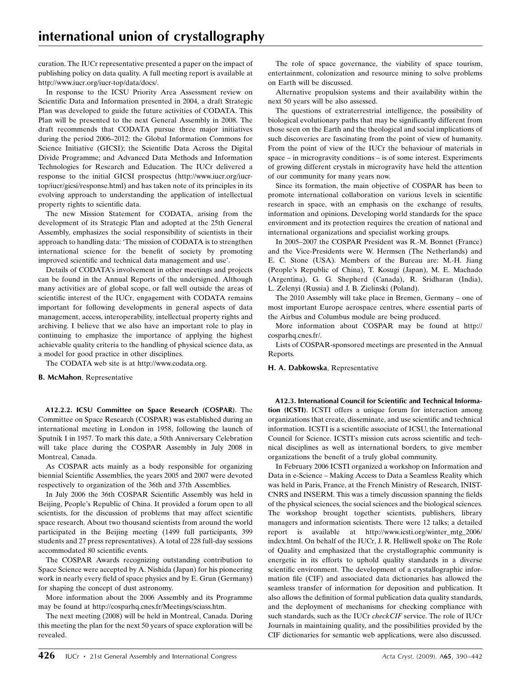curation. The IUCr representative presented a paper on the impact of publishing policy on data quality. A full meeting report is available at http://www.iucr.org/iucr-top/data/docs/.

In response to the ICSU Priority Area Assessment review on Scientific Data and Information presented in 2004, a draft Strategic Plan was developed to guide the future activities of CODATA. This Plan will be presented to the next General Assembly in 2008. The draft recommends that CODATA pursue three major initiatives during the period 2006–2012: the Global Information Commons for Science Initiative (GICSI); the Scientific Data Across the Digital Divide Programme; and Advanced Data Methods and Information Technologies for Research and Education. The IUCr delivered a response to the initial GICSI prospectus (http://www.iucr.org/iucrtop/iucr/gicsi/response.html) and has taken note of its principles in its evolving approach to understanding the application of intellectual property rights to scientific data.

The new Mission Statement for CODATA, arising from the development of its Strategic Plan and adopted at the 25th General Assembly, emphasizes the social responsibility of scientists in their approach to handling data: 'The mission of CODATA is to strengthen international science for the benefit of society by promoting improved scientific and technical data management and use'.

Details of CODATA's involvement in other meetings and projects can be found in the Annual Reports of the undersigned. Although many activities are of global scope, or fall well outside the areas of scientific interest of the IUCr, engagement with CODATA remains important for following developments in general aspects of data management, access, interoperability, intellectual property rights and archiving. I believe that we also have an important role to play in continuing to emphasize the importance of applying the highest achievable quality criteria to the handling of physical science data, as a model for good practice in other disciplines.

The CODATA web site is at http://www.codata.org.

B. McMahon, Representative

A12.2.2. ICSU Committee on Space Research (COSPAR). The Committee on Space Research (COSPAR) was established during an international meeting in London in 1958, following the launch of Sputnik I in 1957. To mark this date, a 50th Anniversary Celebration will take place during the COSPAR Assembly in July 2008 in Montreal, Canada.

As COSPAR acts mainly as a body responsible for organizing biennial Scientific Assemblies, the years 2005 and 2007 were devoted respectively to organization of the 36th and 37th Assemblies.

In July 2006 the 36th COSPAR Scientific Assembly was held in Beijing, People's Republic of China. It provided a forum open to all scientists, for the discussion of problems that may affect scientific space research. About two thousand scientists from around the world participated in the Beijing meeting (1499 full participants, 399 students and 27 press representatives). A total of 228 full-day sessions accommodated 80 scientific events.

The COSPAR Awards recognizing outstanding contribution to Space Science were accepted by A. Nishida (Japan) for his pioneering work in nearly every field of space physics and by E. Grun (Germany) for shaping the concept of dust astronomy.

More information about the 2006 Assembly and its Programme may be found at http://cosparhq.cnes.fr/Meetings/sciass.htm.

The next meeting (2008) will be held in Montreal, Canada. During this meeting the plan for the next 50 years of space exploration will be revealed.

The role of space governance, the viability of space tourism, entertainment, colonization and resource mining to solve problems on Earth will be discussed.

Alternative propulsion systems and their availability within the next 50 years will be also assessed.

The questions of extraterrestrial intelligence, the possibility of biological evolutionary paths that may be significantly different from those seen on the Earth and the theological and social implications of such discoveries are fascinating from the point of view of humanity. From the point of view of the IUCr the behaviour of materials in space – in microgravity conditions – is of some interest. Experiments of growing different crystals in microgravity have held the attention of our community for many years now.

Since its formation, the main objective of COSPAR has been to promote international collaboration on various levels in scientific research in space, with an emphasis on the exchange of results, information and opinions. Developing world standards for the space environment and its protection requires the creation of national and international organizations and specialist working groups.

In 2005–2007 the COSPAR President was R.-M. Bonnet (France) and the Vice-Presidents were W. Hermsen (The Netherlands) and E. C. Stone (USA). Members of the Bureau are: M.-H. Jiang (People's Republic of China), T. Kosugi (Japan), M. E. Machado (Argentina), G. G. Shepherd (Canada), R. Sridharan (India), L. Zelenyi (Russia) and J. B. Zielinski (Poland).

The 2010 Assembly will take place in Bremen, Germany – one of most important Europe aerospace centres, where essential parts of the Airbus and Columbus module are being produced.

More information about COSPAR may be found at http:// cosparhq.cnes.fr/.

Lists of COSPAR-sponsored meetings are presented in the Annual Reports.

#### H. A. Dabkowska, Representative

A12.3. International Council for Scientific and Technical Information (ICSTI). ICSTI offers a unique forum for interaction among organizations that create, disseminate, and use scientific and technical information. ICSTI is a scientific associate of ICSU, the International Council for Science. ICSTI's mission cuts across scientific and technical disciplines as well as international borders, to give member organizations the benefit of a truly global community.

In February 2006 ICSTI organized a workshop on Information and Data in e-Science – Making Access to Data a Seamless Reality which was held in Paris, France, at the French Ministry of Research, INIST-CNRS and INSERM. This was a timely discussion spanning the fields of the physical sciences, the social sciences and the biological sciences. The workshop brought together scientists, publishers, library managers and information scientists. There were 12 talks; a detailed report is available at http://www.icsti.org/winter\_mtg\_2006/ index.html. On behalf of the IUCr, J. R. Helliwell spoke on The Role of Quality and emphasized that the crystallographic community is energetic in its efforts to uphold quality standards in a diverse scientific environment. The development of a crystallographic information file (CIF) and associated data dictionaries has allowed the seamless transfer of information for deposition and publication. It also allows the definition of formal publication data quality standards, and the deployment of mechanisms for checking compliance with such standards, such as the IUCr checkCIF service. The role of IUCr Journals in maintaining quality, and the possibilities provided by the CIF dictionaries for semantic web applications, were also discussed.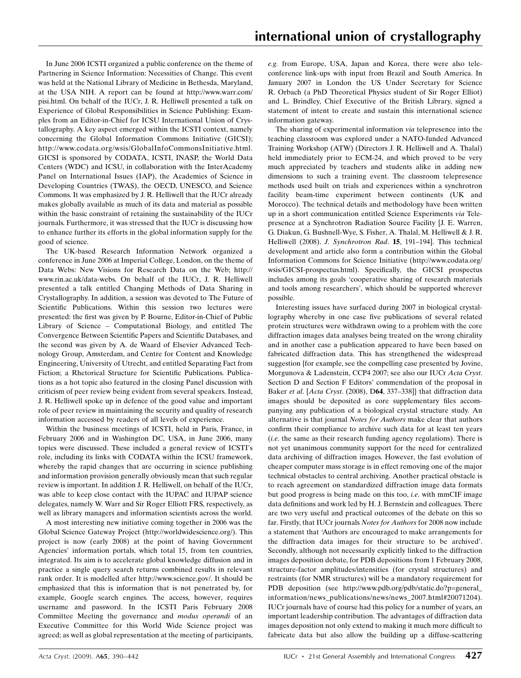In June 2006 ICSTI organized a public conference on the theme of Partnering in Science Information: Necessities of Change. This event was held at the National Library of Medicine in Bethesda, Maryland, at the USA NIH. A report can be found at http://www.warr.com/ pisi.html. On behalf of the IUCr, J. R. Helliwell presented a talk on Experience of Global Responsibilities in Science Publishing: Examples from an Editor-in-Chief for ICSU International Union of Crystallography. A key aspect emerged within the ICSTI context, namely concerning the Global Information Commons Initiative (GICSI); http://www.codata.org/wsis/GlobalInfoCommonsInitiative.html. GICSI is sponsored by CODATA, ICSTI, INASP, the World Data Centers (WDC) and ICSU, in collaboration with the InterAcademy Panel on International Issues (IAP), the Academies of Science in Developing Countries (TWAS), the OECD, UNESCO, and Science Commons. It was emphasized by J. R. Helliwell that the IUCr already makes globally available as much of its data and material as possible within the basic constraint of retaining the sustainability of the IUCr journals. Furthermore, it was stressed that the IUCr is discussing how to enhance further its efforts in the global information supply for the good of science.

The UK-based Research Information Network organized a conference in June 2006 at Imperial College, London, on the theme of Data Webs: New Visions for Research Data on the Web; http:// www.rin.ac.uk/data-webs. On behalf of the IUCr, J. R. Helliwell presented a talk entitled Changing Methods of Data Sharing in Crystallography. In addition, a session was devoted to The Future of Scientific Publications. Within this session two lectures were presented: the first was given by P. Bourne, Editor-in-Chief of Public Library of Science – Computational Biology, and entitled The Convergence Between Scientific Papers and Scientific Databases, and the second was given by A. de Waard of Elsevier Advanced Technology Group, Amsterdam, and Centre for Content and Knowledge Engineering, University of Utrecht, and entitled Separating Fact from Fiction; a Rhetorical Structure for Scientific Publications. Publications as a hot topic also featured in the closing Panel discussion with criticism of peer review being evident from several speakers. Instead, J. R. Helliwell spoke up in defence of the good value and important role of peer review in maintaining the security and quality of research information accessed by readers of all levels of experience.

Within the business meetings of ICSTI, held in Paris, France, in February 2006 and in Washington DC, USA, in June 2006, many topics were discussed. These included a general review of ICSTI's role, including its links with CODATA within the ICSU framework, whereby the rapid changes that are occurring in science publishing and information provision generally obviously mean that such regular review is important. In addition J. R. Helliwell, on behalf of the IUCr, was able to keep close contact with the IUPAC and IUPAP science delegates, namely W. Warr and Sir Roger Elliott FRS, respectively, as well as library managers and information scientists across the world.

A most interesting new initiative coming together in 2006 was the Global Science Gateway Project (http://worldwidescience.org/). This project is now (early 2008) at the point of having Government Agencies' information portals, which total 15, from ten countries, integrated. Its aim is to accelerate global knowledge diffusion and in practice a single query search returns combined results in relevant rank order. It is modelled after http://www.science.gov/. It should be emphasized that this is information that is not penetrated by, for example, Google search engines. The access, however, requires username and password. In the ICSTI Paris February 2008 Committee Meeting the governance and modus operandi of an Executive Committee for this World Wide Science project was agreed; as well as global representation at the meeting of participants, e.g. from Europe, USA, Japan and Korea, there were also teleconference link-ups with input from Brazil and South America. In January 2007 in London the US Under Secretary for Science R. Orbach (a PhD Theoretical Physics student of Sir Roger Elliot) and L. Brindley, Chief Executive of the British Library, signed a statement of intent to create and sustain this international science information gateway.

The sharing of experimental information via telepresence into the teaching classroom was explored under a NATO-funded Advanced Training Workshop (ATW) (Directors J. R. Helliwell and A. Thalal) held immediately prior to ECM-24, and which proved to be very much appreciated by teachers and students alike in adding new dimensions to such a training event. The classroom telepresence methods used built on trials and experiences within a synchrotron facility beam-time experiment between continents (UK and Morocco). The technical details and methodology have been written up in a short communication entitled Science Experiments via Telepresence at a Synchrotron Radiation Source Facility [J. E. Warren, G. Diakun, G. Bushnell-Wye, S. Fisher, A. Thalal, M. Helliwell & J. R. Helliwell (2008). J. Synchrotron Rad. 15, 191–194]. This technical development and article also form a contribution within the Global Information Commons for Science Initiative (http://www.codata.org/ wsis/GICSI-prospectus.html). Specifically, the GICSI prospectus includes among its goals 'cooperative sharing of research materials and tools among researchers', which should be supported wherever possible.

Interesting issues have surfaced during 2007 in biological crystallography whereby in one case five publications of several related protein structures were withdrawn owing to a problem with the core diffraction images data analyses being treated on the wrong chirality and in another case a publication appeared to have been based on fabricated diffraction data. This has strengthened the widespread suggestion {for example, see the compelling case presented by Jovine, Morgunova & Ladenstein, CCP4 2007; see also our IUCr Acta Cryst. Section D and Section F Editors' commendation of the proposal in Baker et al. [Acta Cryst. (2008), D64, 337–338]} that diffraction data images should be deposited as core supplementary files accompanying any publication of a biological crystal structure study. An alternative is that journal Notes for Authors make clear that authors confirm their compliance to archive such data for at least ten years (i.e. the same as their research funding agency regulations). There is not yet unanimous community support for the need for centralized data archiving of diffraction images. However, the fast evolution of cheaper computer mass storage is in effect removing one of the major technical obstacles to central archiving. Another practical obstacle is to reach agreement on standardized diffraction image data formats but good progress is being made on this too, i.e. with mmCIF image data definitions and work led by H. J. Bernstein and colleagues. There are two very useful and practical outcomes of the debate on this so far. Firstly, that IUCr journals Notes for Authors for 2008 now include a statement that 'Authors are encouraged to make arrangements for the diffraction data images for their structure to be archived'. Secondly, although not necessarily explicitly linked to the diffraction images deposition debate, for PDB depositions from 1 February 2008, structure-factor amplitudes/intensities (for crystal structures) and restraints (for NMR structures) will be a mandatory requirement for PDB deposition (see http://www.pdb.org/pdb/static.do?p=general\_ information/news\_publications/news/news\_2007.html#20071204). IUCr journals have of course had this policy for a number of years, an important leadership contribution. The advantages of diffraction data images deposition not only extend to making it much more difficult to fabricate data but also allow the building up a diffuse-scattering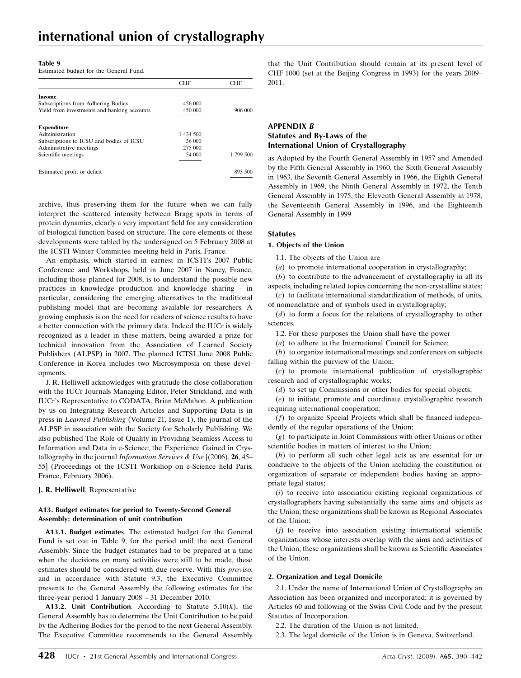#### Table 9

Estimated budget for the General Fund.

|                                             | CHF       | CHF        |
|---------------------------------------------|-----------|------------|
| Income                                      |           |            |
| Subscriptions from Adhering Bodies          | 456 000   |            |
| Yield from investments and banking accounts | 450 000   | 906 000    |
| <b>Expenditure</b>                          |           |            |
| Administration                              | 1 434 500 |            |
| Subscriptions to ICSU and bodies of ICSU    | 36 000    |            |
| Administrative meetings                     | 275 000   |            |
| Scientific meetings                         | 54 000    | 1 799 500  |
| Estimated profit or deficit                 |           | $-893.500$ |
|                                             |           |            |

archive, thus preserving them for the future when we can fully interpret the scattered intensity between Bragg spots in terms of protein dynamics, clearly a very important field for any consideration of biological function based on structure. The core elements of these developments were tabled by the undersigned on 5 February 2008 at the ICSTI Winter Committee meeting held in Paris, France.

An emphasis, which started in earnest in ICSTI's 2007 Public Conference and Workshops, held in June 2007 in Nancy, France, including those planned for 2008, is to understand the possible new practices in knowledge production and knowledge sharing – in particular, considering the emerging alternatives to the traditional publishing model that are becoming available for researchers. A growing emphasis is on the need for readers of science results to have a better connection with the primary data. Indeed the IUCr is widely recognized as a leader in these matters, being awarded a prize for technical innovation from the Association of Learned Society Publishers (ALPSP) in 2007. The planned ICTSI June 2008 Public Conference in Korea includes two Microsymposia on these developments.

J. R. Helliwell acknowledges with gratitude the close collaboration with the IUCr Journals Managing Editor, Peter Strickland, and with IUCr's Representative to CODATA, Brian McMahon. A publication by us on Integrating Research Articles and Supporting Data is in press in Learned Publishing (Volume 21, Issue 1), the journal of the ALPSP in association with the Society for Scholarly Publishing. We also published The Role of Quality in Providing Seamless Access to Information and Data in e-Science; the Experience Gained in Crystallography in the journal Information Services & Use  $[(2006), 26, 45-$ 55] (Proceedings of the ICSTI Workshop on e-Science held Paris, France, February 2006).

#### J. R. Helliwell, Representative

## A13. Budget estimates for period to Twenty-Second General Assembly: determination of unit contribution

A13.1. Budget estimates. The estimated budget for the General Fund is set out in Table 9, for the period until the next General Assembly. Since the budget estimates had to be prepared at a time when the decisions on many activities were still to be made, these estimates should be considered with due reserve. With this proviso, and in accordance with Statute 9.3, the Executive Committee presents to the General Assembly the following estimates for the three-year period 1 January 2008 – 31 December 2010.

A13.2. Unit Contribution. According to Statute  $5.10(k)$ , the General Assembly has to determine the Unit Contribution to be paid by the Adhering Bodies for the period to the next General Assembly. The Executive Committee recommends to the General Assembly that the Unit Contribution should remain at its present level of CHF 1000 (set at the Beijing Congress in 1993) for the years 2009– 2011.

## APPENDIX B Statutes and By-Laws of the International Union of Crystallography

as Adopted by the Fourth General Assembly in 1957 and Amended by the Fifth General Assembly in 1960, the Sixth General Assembly in 1963, the Seventh General Assembly in 1966, the Eighth General Assembly in 1969, the Ninth General Assembly in 1972, the Tenth General Assembly in 1975, the Eleventh General Assembly in 1978, the Seventeenth General Assembly in 1996, and the Eighteenth General Assembly in 1999

## **Statutes**

#### 1. Objects of the Union

1.1. The objects of the Union are

(a) to promote international cooperation in crystallography;

 $(b)$  to contribute to the advancement of crystallography in all its

aspects, including related topics concerning the non-crystalline states; (c) to facilitate international standardization of methods, of units,

of nomenclature and of symbols used in crystallography;

(d) to form a focus for the relations of crystallography to other sciences.

1.2. For these purposes the Union shall have the power

(a) to adhere to the International Council for Science;

(b) to organize international meetings and conferences on subjects falling within the purview of the Union;

(c) to promote international publication of crystallographic research and of crystallographic works;

(d) to set up Commissions or other bodies for special objects;

(e) to initiate, promote and coordinate crystallographic research requiring international cooperation;

(f) to organize Special Projects which shall be financed independently of the regular operations of the Union;

(g) to participate in Joint Commissions with other Unions or other scientific bodies in matters of interest to the Union;

(h) to perform all such other legal acts as are essential for or conducive to the objects of the Union including the constitution or organization of separate or independent bodies having an appropriate legal status;

 $(i)$  to receive into association existing regional organizations of crystallographers having substantially the same aims and objects as the Union; these organizations shall be known as Regional Associates of the Union;

 $(j)$  to receive into association existing international scientific organizations whose interests overlap with the aims and activities of the Union; these organizations shall be known as Scientific Associates of the Union.

## 2. Organization and Legal Domicile

2.1. Under the name of International Union of Crystallography an Association has been organized and incorporated; it is governed by Articles 60 and following of the Swiss Civil Code and by the present Statutes of Incorporation.

2.2. The duration of the Union is not limited.

2.3. The legal domicile of the Union is in Geneva, Switzerland.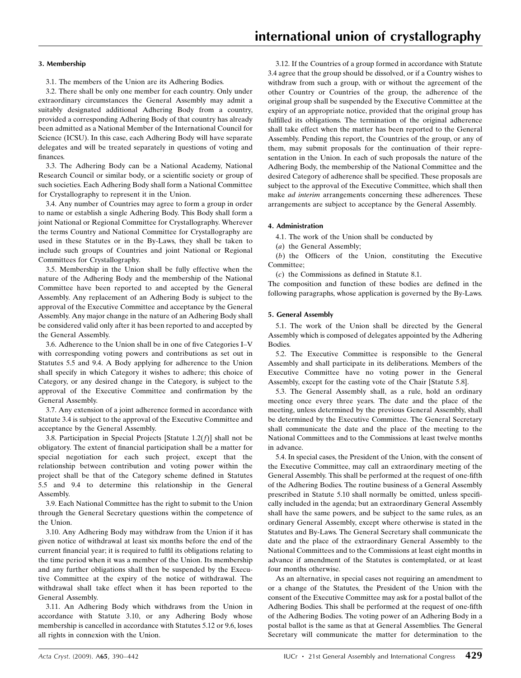#### 3. Membership

3.1. The members of the Union are its Adhering Bodies.

3.2. There shall be only one member for each country. Only under extraordinary circumstances the General Assembly may admit a suitably designated additional Adhering Body from a country, provided a corresponding Adhering Body of that country has already been admitted as a National Member of the International Council for Science (ICSU). In this case, each Adhering Body will have separate delegates and will be treated separately in questions of voting and finances.

3.3. The Adhering Body can be a National Academy, National Research Council or similar body, or a scientific society or group of such societies. Each Adhering Body shall form a National Committee for Crystallography to represent it in the Union.

3.4. Any number of Countries may agree to form a group in order to name or establish a single Adhering Body. This Body shall form a joint National or Regional Committee for Crystallography. Wherever the terms Country and National Committee for Crystallography are used in these Statutes or in the By-Laws, they shall be taken to include such groups of Countries and joint National or Regional Committees for Crystallography.

3.5. Membership in the Union shall be fully effective when the nature of the Adhering Body and the membership of the National Committee have been reported to and accepted by the General Assembly. Any replacement of an Adhering Body is subject to the approval of the Executive Committee and acceptance by the General Assembly. Any major change in the nature of an Adhering Body shall be considered valid only after it has been reported to and accepted by the General Assembly.

3.6. Adherence to the Union shall be in one of five Categories I–V with corresponding voting powers and contributions as set out in Statutes 5.5 and 9.4. A Body applying for adherence to the Union shall specify in which Category it wishes to adhere; this choice of Category, or any desired change in the Category, is subject to the approval of the Executive Committee and confirmation by the General Assembly.

3.7. Any extension of a joint adherence formed in accordance with Statute 3.4 is subject to the approval of the Executive Committee and acceptance by the General Assembly.

3.8. Participation in Special Projects [Statute  $1.2(f)$ ] shall not be obligatory. The extent of financial participation shall be a matter for special negotiation for each such project, except that the relationship between contribution and voting power within the project shall be that of the Category scheme defined in Statutes 5.5 and 9.4 to determine this relationship in the General Assembly.

3.9. Each National Committee has the right to submit to the Union through the General Secretary questions within the competence of the Union.

3.10. Any Adhering Body may withdraw from the Union if it has given notice of withdrawal at least six months before the end of the current financial year; it is required to fulfil its obligations relating to the time period when it was a member of the Union. Its membership and any further obligations shall then be suspended by the Executive Committee at the expiry of the notice of withdrawal. The withdrawal shall take effect when it has been reported to the General Assembly.

3.11. An Adhering Body which withdraws from the Union in accordance with Statute 3.10, or any Adhering Body whose membership is cancelled in accordance with Statutes 5.12 or 9.6, loses all rights in connexion with the Union.

3.12. If the Countries of a group formed in accordance with Statute 3.4 agree that the group should be dissolved, or if a Country wishes to withdraw from such a group, with or without the agreement of the other Country or Countries of the group, the adherence of the original group shall be suspended by the Executive Committee at the expiry of an appropriate notice, provided that the original group has fulfilled its obligations. The termination of the original adherence shall take effect when the matter has been reported to the General Assembly. Pending this report, the Countries of the group, or any of them, may submit proposals for the continuation of their representation in the Union. In each of such proposals the nature of the Adhering Body, the membership of the National Committee and the desired Category of adherence shall be specified. These proposals are subject to the approval of the Executive Committee, which shall then make ad interim arrangements concerning these adherences. These arrangements are subject to acceptance by the General Assembly.

#### 4. Administration

4.1. The work of the Union shall be conducted by

(a) the General Assembly;

(b) the Officers of the Union, constituting the Executive Committee;

(c) the Commissions as defined in Statute 8.1.

The composition and function of these bodies are defined in the following paragraphs, whose application is governed by the By-Laws.

#### 5. General Assembly

5.1. The work of the Union shall be directed by the General Assembly which is composed of delegates appointed by the Adhering **Bodies** 

5.2. The Executive Committee is responsible to the General Assembly and shall participate in its deliberations. Members of the Executive Committee have no voting power in the General Assembly, except for the casting vote of the Chair [Statute 5.8].

5.3. The General Assembly shall, as a rule, hold an ordinary meeting once every three years. The date and the place of the meeting, unless determined by the previous General Assembly, shall be determined by the Executive Committee. The General Secretary shall communicate the date and the place of the meeting to the National Committees and to the Commissions at least twelve months in advance.

5.4. In special cases, the President of the Union, with the consent of the Executive Committee, may call an extraordinary meeting of the General Assembly. This shall be performed at the request of one-fifth of the Adhering Bodies. The routine business of a General Assembly prescribed in Statute 5.10 shall normally be omitted, unless specifically included in the agenda; but an extraordinary General Assembly shall have the same powers, and be subject to the same rules, as an ordinary General Assembly, except where otherwise is stated in the Statutes and By-Laws. The General Secretary shall communicate the date and the place of the extraordinary General Assembly to the National Committees and to the Commissions at least eight months in advance if amendment of the Statutes is contemplated, or at least four months otherwise.

As an alternative, in special cases not requiring an amendment to or a change of the Statutes, the President of the Union with the consent of the Executive Committee may ask for a postal ballot of the Adhering Bodies. This shall be performed at the request of one-fifth of the Adhering Bodies. The voting power of an Adhering Body in a postal ballot is the same as that at General Assemblies. The General Secretary will communicate the matter for determination to the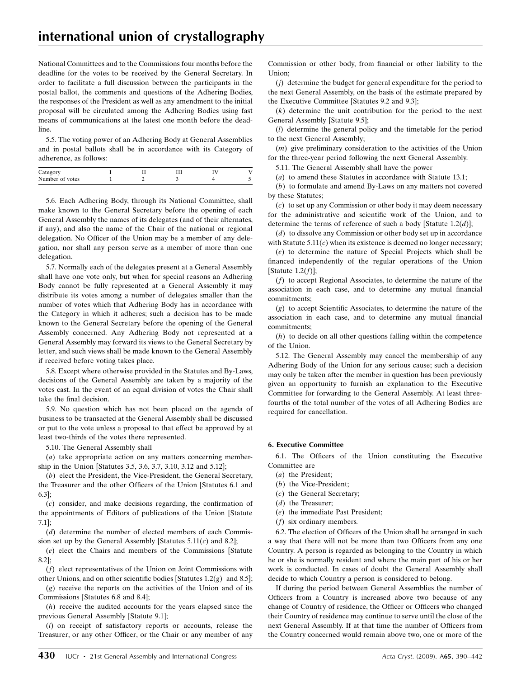National Committees and to the Commissions four months before the deadline for the votes to be received by the General Secretary. In order to facilitate a full discussion between the participants in the postal ballot, the comments and questions of the Adhering Bodies, the responses of the President as well as any amendment to the initial proposal will be circulated among the Adhering Bodies using fast means of communications at the latest one month before the deadline.

5.5. The voting power of an Adhering Body at General Assemblies and in postal ballots shall be in accordance with its Category of adherence, as follows:

| Category        |  |  |  |
|-----------------|--|--|--|
| Number of votes |  |  |  |

5.6. Each Adhering Body, through its National Committee, shall make known to the General Secretary before the opening of each General Assembly the names of its delegates (and of their alternates, if any), and also the name of the Chair of the national or regional delegation. No Officer of the Union may be a member of any delegation, nor shall any person serve as a member of more than one delegation.

5.7. Normally each of the delegates present at a General Assembly shall have one vote only, but when for special reasons an Adhering Body cannot be fully represented at a General Assembly it may distribute its votes among a number of delegates smaller than the number of votes which that Adhering Body has in accordance with the Category in which it adheres; such a decision has to be made known to the General Secretary before the opening of the General Assembly concerned. Any Adhering Body not represented at a General Assembly may forward its views to the General Secretary by letter, and such views shall be made known to the General Assembly if received before voting takes place.

5.8. Except where otherwise provided in the Statutes and By-Laws, decisions of the General Assembly are taken by a majority of the votes cast. In the event of an equal division of votes the Chair shall take the final decision.

5.9. No question which has not been placed on the agenda of business to be transacted at the General Assembly shall be discussed or put to the vote unless a proposal to that effect be approved by at least two-thirds of the votes there represented.

5.10. The General Assembly shall

(a) take appropriate action on any matters concerning membership in the Union [Statutes 3.5, 3.6, 3.7, 3.10, 3.12 and 5.12];

(b) elect the President, the Vice-President, the General Secretary, the Treasurer and the other Officers of the Union [Statutes 6.1 and 6.3];

(c) consider, and make decisions regarding, the confirmation of the appointments of Editors of publications of the Union [Statute 7.1];

(d) determine the number of elected members of each Commission set up by the General Assembly [Statutes  $5.11(c)$  and  $8.2$ ];

(e) elect the Chairs and members of the Commissions [Statute 8.2];

(f) elect representatives of the Union on Joint Commissions with other Unions, and on other scientific bodies [Statutes  $1.2(g)$  and  $8.5$ ];

(g) receive the reports on the activities of the Union and of its Commissions [Statutes 6.8 and 8.4];

(h) receive the audited accounts for the years elapsed since the previous General Assembly [Statute 9.1];

 $(i)$  on receipt of satisfactory reports or accounts, release the Treasurer, or any other Officer, or the Chair or any member of any Commission or other body, from financial or other liability to the Union;

(j) determine the budget for general expenditure for the period to the next General Assembly, on the basis of the estimate prepared by the Executive Committee [Statutes 9.2 and 9.3];

 $(k)$  determine the unit contribution for the period to the next General Assembly [Statute 9.5];

(l) determine the general policy and the timetable for the period to the next General Assembly;

 $(m)$  give preliminary consideration to the activities of the Union for the three-year period following the next General Assembly.

5.11. The General Assembly shall have the power

(a) to amend these Statutes in accordance with Statute 13.1;

(b) to formulate and amend By-Laws on any matters not covered by these Statutes;

(c) to set up any Commission or other body it may deem necessary for the administrative and scientific work of the Union, and to determine the terms of reference of such a body [Statute  $1.2(d)$ ];

(d) to dissolve any Commission or other body set up in accordance with Statute  $5.11(c)$  when its existence is deemed no longer necessary;

(e) to determine the nature of Special Projects which shall be financed independently of the regular operations of the Union [Statute  $1.2(f)$ ];

(f) to accept Regional Associates, to determine the nature of the association in each case, and to determine any mutual financial commitments;

(g) to accept Scientific Associates, to determine the nature of the association in each case, and to determine any mutual financial commitments;

 $(h)$  to decide on all other questions falling within the competence of the Union.

5.12. The General Assembly may cancel the membership of any Adhering Body of the Union for any serious cause; such a decision may only be taken after the member in question has been previously given an opportunity to furnish an explanation to the Executive Committee for forwarding to the General Assembly. At least threefourths of the total number of the votes of all Adhering Bodies are required for cancellation.

#### 6. Executive Committee

6.1. The Officers of the Union constituting the Executive Committee are

- (a) the President;
- (b) the Vice-President;
- (c) the General Secretary;
- (d) the Treasurer;
- (e) the immediate Past President;
- (f) six ordinary members.

6.2. The election of Officers of the Union shall be arranged in such a way that there will not be more than two Officers from any one Country. A person is regarded as belonging to the Country in which he or she is normally resident and where the main part of his or her work is conducted. In cases of doubt the General Assembly shall decide to which Country a person is considered to belong.

If during the period between General Assemblies the number of Officers from a Country is increased above two because of any change of Country of residence, the Officer or Officers who changed their Country of residence may continue to serve until the close of the next General Assembly. If at that time the number of Officers from the Country concerned would remain above two, one or more of the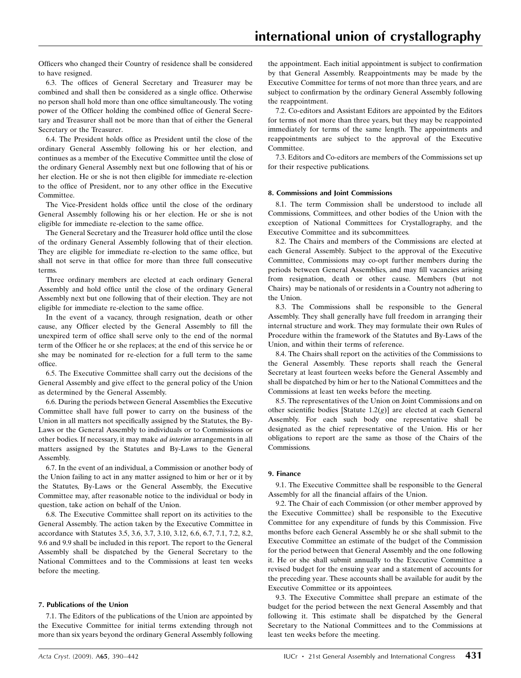Officers who changed their Country of residence shall be considered to have resigned.

6.3. The offices of General Secretary and Treasurer may be combined and shall then be considered as a single office. Otherwise no person shall hold more than one office simultaneously. The voting power of the Officer holding the combined office of General Secretary and Treasurer shall not be more than that of either the General Secretary or the Treasurer.

6.4. The President holds office as President until the close of the ordinary General Assembly following his or her election, and continues as a member of the Executive Committee until the close of the ordinary General Assembly next but one following that of his or her election. He or she is not then eligible for immediate re-election to the office of President, nor to any other office in the Executive Committee.

The Vice-President holds office until the close of the ordinary General Assembly following his or her election. He or she is not eligible for immediate re-election to the same office.

The General Secretary and the Treasurer hold office until the close of the ordinary General Assembly following that of their election. They are eligible for immediate re-election to the same office, but shall not serve in that office for more than three full consecutive terms.

Three ordinary members are elected at each ordinary General Assembly and hold office until the close of the ordinary General Assembly next but one following that of their election. They are not eligible for immediate re-election to the same office.

In the event of a vacancy, through resignation, death or other cause, any Officer elected by the General Assembly to fill the unexpired term of office shall serve only to the end of the normal term of the Officer he or she replaces; at the end of this service he or she may be nominated for re-election for a full term to the same office.

6.5. The Executive Committee shall carry out the decisions of the General Assembly and give effect to the general policy of the Union as determined by the General Assembly.

6.6. During the periods between General Assemblies the Executive Committee shall have full power to carry on the business of the Union in all matters not specifically assigned by the Statutes, the By-Laws or the General Assembly to individuals or to Commissions or other bodies. If necessary, it may make ad interim arrangements in all matters assigned by the Statutes and By-Laws to the General Assembly.

6.7. In the event of an individual, a Commission or another body of the Union failing to act in any matter assigned to him or her or it by the Statutes, By-Laws or the General Assembly, the Executive Committee may, after reasonable notice to the individual or body in question, take action on behalf of the Union.

6.8. The Executive Committee shall report on its activities to the General Assembly. The action taken by the Executive Committee in accordance with Statutes 3.5, 3.6, 3.7, 3.10, 3.12, 6.6, 6.7, 7.1, 7.2, 8.2, 9.6 and 9.9 shall be included in this report. The report to the General Assembly shall be dispatched by the General Secretary to the National Committees and to the Commissions at least ten weeks before the meeting.

#### 7. Publications of the Union

7.1. The Editors of the publications of the Union are appointed by the Executive Committee for initial terms extending through not more than six years beyond the ordinary General Assembly following

the appointment. Each initial appointment is subject to confirmation by that General Assembly. Reappointments may be made by the Executive Committee for terms of not more than three years, and are subject to confirmation by the ordinary General Assembly following the reappointment.

7.2. Co-editors and Assistant Editors are appointed by the Editors for terms of not more than three years, but they may be reappointed immediately for terms of the same length. The appointments and reappointments are subject to the approval of the Executive Committee.

7.3. Editors and Co-editors are members of the Commissions set up for their respective publications.

#### 8. Commissions and Joint Commissions

8.1. The term Commission shall be understood to include all Commissions, Committees, and other bodies of the Union with the exception of National Committees for Crystallography, and the Executive Committee and its subcommittees.

8.2. The Chairs and members of the Commissions are elected at each General Assembly. Subject to the approval of the Executive Committee, Commissions may co-opt further members during the periods between General Assemblies, and may fill vacancies arising from resignation, death or other cause. Members (but not Chairs) may be nationals of or residents in a Country not adhering to the Union.

8.3. The Commissions shall be responsible to the General Assembly. They shall generally have full freedom in arranging their internal structure and work. They may formulate their own Rules of Procedure within the framework of the Statutes and By-Laws of the Union, and within their terms of reference.

8.4. The Chairs shall report on the activities of the Commissions to the General Assembly. These reports shall reach the General Secretary at least fourteen weeks before the General Assembly and shall be dispatched by him or her to the National Committees and the Commissions at least ten weeks before the meeting.

8.5. The representatives of the Union on Joint Commissions and on other scientific bodies [Statute  $1.2(g)$ ] are elected at each General Assembly. For each such body one representative shall be designated as the chief representative of the Union. His or her obligations to report are the same as those of the Chairs of the Commissions.

#### 9. Finance

9.1. The Executive Committee shall be responsible to the General Assembly for all the financial affairs of the Union.

9.2. The Chair of each Commission (or other member approved by the Executive Committee) shall be responsible to the Executive Committee for any expenditure of funds by this Commission. Five months before each General Assembly he or she shall submit to the Executive Committee an estimate of the budget of the Commission for the period between that General Assembly and the one following it. He or she shall submit annually to the Executive Committee a revised budget for the ensuing year and a statement of accounts for the preceding year. These accounts shall be available for audit by the Executive Committee or its appointees.

9.3. The Executive Committee shall prepare an estimate of the budget for the period between the next General Assembly and that following it. This estimate shall be dispatched by the General Secretary to the National Committees and to the Commissions at least ten weeks before the meeting.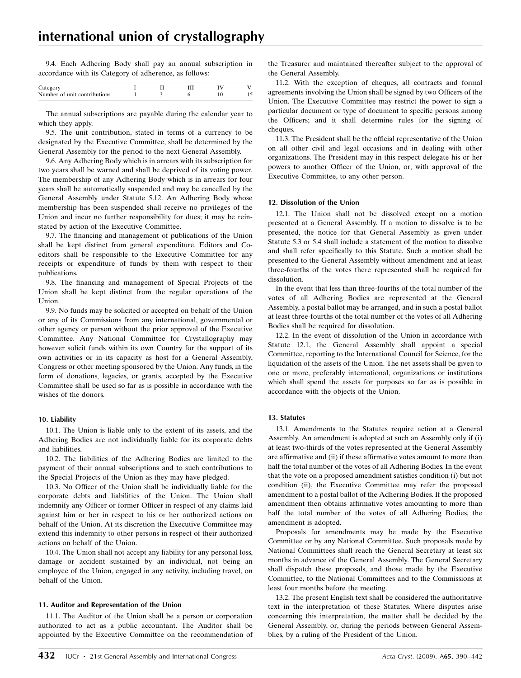9.4. Each Adhering Body shall pay an annual subscription in accordance with its Category of adherence, as follows:

| Category                     |  |  |  |
|------------------------------|--|--|--|
| Number of unit contributions |  |  |  |

The annual subscriptions are payable during the calendar year to which they apply.

9.5. The unit contribution, stated in terms of a currency to be designated by the Executive Committee, shall be determined by the General Assembly for the period to the next General Assembly.

9.6. Any Adhering Body which is in arrears with its subscription for two years shall be warned and shall be deprived of its voting power. The membership of any Adhering Body which is in arrears for four years shall be automatically suspended and may be cancelled by the General Assembly under Statute 5.12. An Adhering Body whose membership has been suspended shall receive no privileges of the Union and incur no further responsibility for dues; it may be reinstated by action of the Executive Committee.

9.7. The financing and management of publications of the Union shall be kept distinct from general expenditure. Editors and Coeditors shall be responsible to the Executive Committee for any receipts or expenditure of funds by them with respect to their publications.

9.8. The financing and management of Special Projects of the Union shall be kept distinct from the regular operations of the Union.

9.9. No funds may be solicited or accepted on behalf of the Union or any of its Commissions from any international, governmental or other agency or person without the prior approval of the Executive Committee. Any National Committee for Crystallography may however solicit funds within its own Country for the support of its own activities or in its capacity as host for a General Assembly, Congress or other meeting sponsored by the Union. Any funds, in the form of donations, legacies, or grants, accepted by the Executive Committee shall be used so far as is possible in accordance with the wishes of the donors.

## 10. Liability

10.1. The Union is liable only to the extent of its assets, and the Adhering Bodies are not individually liable for its corporate debts and liabilities.

10.2. The liabilities of the Adhering Bodies are limited to the payment of their annual subscriptions and to such contributions to the Special Projects of the Union as they may have pledged.

10.3. No Officer of the Union shall be individually liable for the corporate debts and liabilities of the Union. The Union shall indemnify any Officer or former Officer in respect of any claims laid against him or her in respect to his or her authorized actions on behalf of the Union. At its discretion the Executive Committee may extend this indemnity to other persons in respect of their authorized actions on behalf of the Union.

10.4. The Union shall not accept any liability for any personal loss, damage or accident sustained by an individual, not being an employee of the Union, engaged in any activity, including travel, on behalf of the Union.

## 11. Auditor and Representation of the Union

11.1. The Auditor of the Union shall be a person or corporation authorized to act as a public accountant. The Auditor shall be appointed by the Executive Committee on the recommendation of the Treasurer and maintained thereafter subject to the approval of the General Assembly.

11.2. With the exception of cheques, all contracts and formal agreements involving the Union shall be signed by two Officers of the Union. The Executive Committee may restrict the power to sign a particular document or type of document to specific persons among the Officers; and it shall determine rules for the signing of cheques.

11.3. The President shall be the official representative of the Union on all other civil and legal occasions and in dealing with other organizations. The President may in this respect delegate his or her powers to another Officer of the Union, or, with approval of the Executive Committee, to any other person.

## 12. Dissolution of the Union

12.1. The Union shall not be dissolved except on a motion presented at a General Assembly. If a motion to dissolve is to be presented, the notice for that General Assembly as given under Statute 5.3 or 5.4 shall include a statement of the motion to dissolve and shall refer specifically to this Statute. Such a motion shall be presented to the General Assembly without amendment and at least three-fourths of the votes there represented shall be required for dissolution.

In the event that less than three-fourths of the total number of the votes of all Adhering Bodies are represented at the General Assembly, a postal ballot may be arranged, and in such a postal ballot at least three-fourths of the total number of the votes of all Adhering Bodies shall be required for dissolution.

12.2. In the event of dissolution of the Union in accordance with Statute 12.1, the General Assembly shall appoint a special Committee, reporting to the International Council for Science, for the liquidation of the assets of the Union. The net assets shall be given to one or more, preferably international, organizations or institutions which shall spend the assets for purposes so far as is possible in accordance with the objects of the Union.

## 13. Statutes

13.1. Amendments to the Statutes require action at a General Assembly. An amendment is adopted at such an Assembly only if (i) at least two-thirds of the votes represented at the General Assembly are affirmative and (ii) if these affirmative votes amount to more than half the total number of the votes of all Adhering Bodies. In the event that the vote on a proposed amendment satisfies condition (i) but not condition (ii), the Executive Committee may refer the proposed amendment to a postal ballot of the Adhering Bodies. If the proposed amendment then obtains affirmative votes amounting to more than half the total number of the votes of all Adhering Bodies, the amendment is adopted.

Proposals for amendments may be made by the Executive Committee or by any National Committee. Such proposals made by National Committees shall reach the General Secretary at least six months in advance of the General Assembly. The General Secretary shall dispatch these proposals, and those made by the Executive Committee, to the National Committees and to the Commissions at least four months before the meeting.

13.2. The present English text shall be considered the authoritative text in the interpretation of these Statutes. Where disputes arise concerning this interpretation, the matter shall be decided by the General Assembly, or, during the periods between General Assemblies, by a ruling of the President of the Union.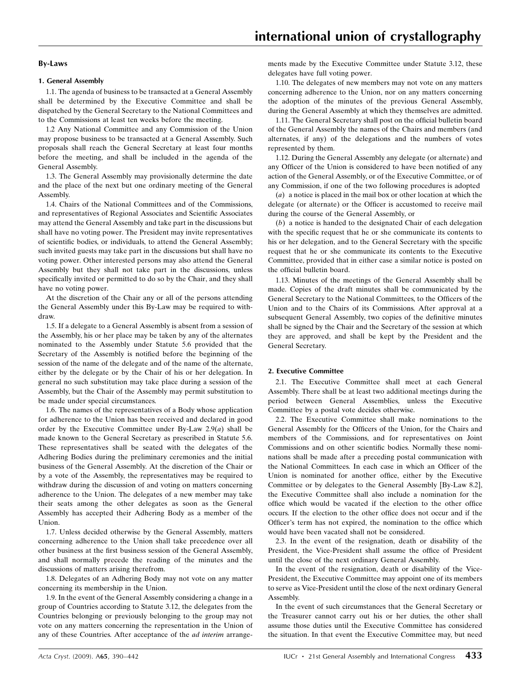## By-Laws

## 1. General Assembly

1.1. The agenda of business to be transacted at a General Assembly shall be determined by the Executive Committee and shall be dispatched by the General Secretary to the National Committees and to the Commissions at least ten weeks before the meeting.

1.2 Any National Committee and any Commission of the Union may propose business to be transacted at a General Assembly. Such proposals shall reach the General Secretary at least four months before the meeting, and shall be included in the agenda of the General Assembly.

1.3. The General Assembly may provisionally determine the date and the place of the next but one ordinary meeting of the General Assembly.

1.4. Chairs of the National Committees and of the Commissions, and representatives of Regional Associates and Scientific Associates may attend the General Assembly and take part in the discussions but shall have no voting power. The President may invite representatives of scientific bodies, or individuals, to attend the General Assembly; such invited guests may take part in the discussions but shall have no voting power. Other interested persons may also attend the General Assembly but they shall not take part in the discussions, unless specifically invited or permitted to do so by the Chair, and they shall have no voting power.

At the discretion of the Chair any or all of the persons attending the General Assembly under this By-Law may be required to withdraw.

1.5. If a delegate to a General Assembly is absent from a session of the Assembly, his or her place may be taken by any of the alternates nominated to the Assembly under Statute 5.6 provided that the Secretary of the Assembly is notified before the beginning of the session of the name of the delegate and of the name of the alternate, either by the delegate or by the Chair of his or her delegation. In general no such substitution may take place during a session of the Assembly, but the Chair of the Assembly may permit substitution to be made under special circumstances.

1.6. The names of the representatives of a Body whose application for adherence to the Union has been received and declared in good order by the Executive Committee under By-Law  $2.9(a)$  shall be made known to the General Secretary as prescribed in Statute 5.6. These representatives shall be seated with the delegates of the Adhering Bodies during the preliminary ceremonies and the initial business of the General Assembly. At the discretion of the Chair or by a vote of the Assembly, the representatives may be required to withdraw during the discussion of and voting on matters concerning adherence to the Union. The delegates of a new member may take their seats among the other delegates as soon as the General Assembly has accepted their Adhering Body as a member of the Union.

1.7. Unless decided otherwise by the General Assembly, matters concerning adherence to the Union shall take precedence over all other business at the first business session of the General Assembly, and shall normally precede the reading of the minutes and the discussions of matters arising therefrom.

1.8. Delegates of an Adhering Body may not vote on any matter concerning its membership in the Union.

1.9. In the event of the General Assembly considering a change in a group of Countries according to Statute 3.12, the delegates from the Countries belonging or previously belonging to the group may not vote on any matters concerning the representation in the Union of any of these Countries. After acceptance of the ad interim arrangements made by the Executive Committee under Statute 3.12, these delegates have full voting power.

1.10. The delegates of new members may not vote on any matters concerning adherence to the Union, nor on any matters concerning the adoption of the minutes of the previous General Assembly, during the General Assembly at which they themselves are admitted.

1.11. The General Secretary shall post on the official bulletin board of the General Assembly the names of the Chairs and members (and alternates, if any) of the delegations and the numbers of votes represented by them.

1.12. During the General Assembly any delegate (or alternate) and any Officer of the Union is considered to have been notified of any action of the General Assembly, or of the Executive Committee, or of any Commission, if one of the two following procedures is adopted

(a) a notice is placed in the mail box or other location at which the delegate (or alternate) or the Officer is accustomed to receive mail during the course of the General Assembly, or

(b) a notice is handed to the designated Chair of each delegation with the specific request that he or she communicate its contents to his or her delegation, and to the General Secretary with the specific request that he or she communicate its contents to the Executive Committee, provided that in either case a similar notice is posted on the official bulletin board.

1.13. Minutes of the meetings of the General Assembly shall be made. Copies of the draft minutes shall be communicated by the General Secretary to the National Committees, to the Officers of the Union and to the Chairs of its Commissions. After approval at a subsequent General Assembly, two copies of the definitive minutes shall be signed by the Chair and the Secretary of the session at which they are approved, and shall be kept by the President and the General Secretary.

## 2. Executive Committee

2.1. The Executive Committee shall meet at each General Assembly. There shall be at least two additional meetings during the period between General Assemblies, unless the Executive Committee by a postal vote decides otherwise.

2.2. The Executive Committee shall make nominations to the General Assembly for the Officers of the Union, for the Chairs and members of the Commissions, and for representatives on Joint Commissions and on other scientific bodies. Normally these nominations shall be made after a preceding postal communication with the National Committees. In each case in which an Officer of the Union is nominated for another office, either by the Executive Committee or by delegates to the General Assembly [By-Law 8.2], the Executive Committee shall also include a nomination for the office which would be vacated if the election to the other office occurs. If the election to the other office does not occur and if the Officer's term has not expired, the nomination to the office which would have been vacated shall not be considered.

2.3. In the event of the resignation, death or disability of the President, the Vice-President shall assume the office of President until the close of the next ordinary General Assembly.

In the event of the resignation, death or disability of the Vice-President, the Executive Committee may appoint one of its members to serve as Vice-President until the close of the next ordinary General Assembly.

In the event of such circumstances that the General Secretary or the Treasurer cannot carry out his or her duties, the other shall assume those duties until the Executive Committee has considered the situation. In that event the Executive Committee may, but need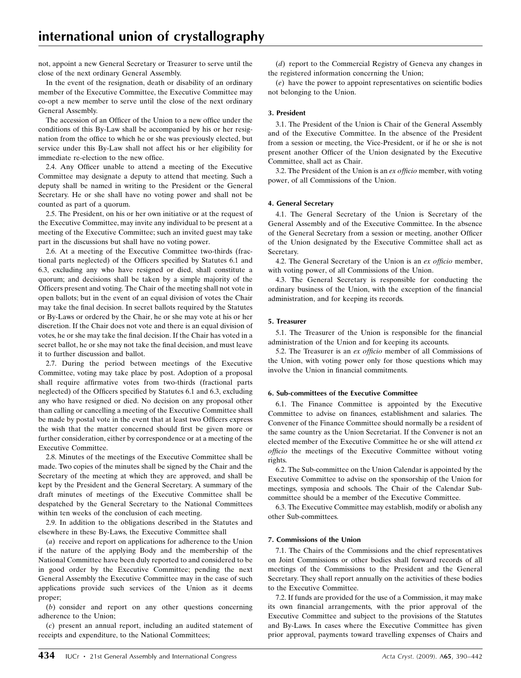not, appoint a new General Secretary or Treasurer to serve until the close of the next ordinary General Assembly.

In the event of the resignation, death or disability of an ordinary member of the Executive Committee, the Executive Committee may co-opt a new member to serve until the close of the next ordinary General Assembly.

The accession of an Officer of the Union to a new office under the conditions of this By-Law shall be accompanied by his or her resignation from the office to which he or she was previously elected, but service under this By-Law shall not affect his or her eligibility for immediate re-election to the new office.

2.4. Any Officer unable to attend a meeting of the Executive Committee may designate a deputy to attend that meeting. Such a deputy shall be named in writing to the President or the General Secretary. He or she shall have no voting power and shall not be counted as part of a quorum.

2.5. The President, on his or her own initiative or at the request of the Executive Committee, may invite any individual to be present at a meeting of the Executive Committee; such an invited guest may take part in the discussions but shall have no voting power.

2.6. At a meeting of the Executive Committee two-thirds (fractional parts neglected) of the Officers specified by Statutes 6.1 and 6.3, excluding any who have resigned or died, shall constitute a quorum; and decisions shall be taken by a simple majority of the Officers present and voting. The Chair of the meeting shall not vote in open ballots; but in the event of an equal division of votes the Chair may take the final decision. In secret ballots required by the Statutes or By-Laws or ordered by the Chair, he or she may vote at his or her discretion. If the Chair does not vote and there is an equal division of votes, he or she may take the final decision. If the Chair has voted in a secret ballot, he or she may not take the final decision, and must leave it to further discussion and ballot.

2.7. During the period between meetings of the Executive Committee, voting may take place by post. Adoption of a proposal shall require affirmative votes from two-thirds (fractional parts neglected) of the Officers specified by Statutes 6.1 and 6.3, excluding any who have resigned or died. No decision on any proposal other than calling or cancelling a meeting of the Executive Committee shall be made by postal vote in the event that at least two Officers express the wish that the matter concerned should first be given more or further consideration, either by correspondence or at a meeting of the Executive Committee.

2.8. Minutes of the meetings of the Executive Committee shall be made. Two copies of the minutes shall be signed by the Chair and the Secretary of the meeting at which they are approved, and shall be kept by the President and the General Secretary. A summary of the draft minutes of meetings of the Executive Committee shall be despatched by the General Secretary to the National Committees within ten weeks of the conclusion of each meeting.

2.9. In addition to the obligations described in the Statutes and elsewhere in these By-Laws, the Executive Committee shall

(a) receive and report on applications for adherence to the Union if the nature of the applying Body and the membership of the National Committee have been duly reported to and considered to be in good order by the Executive Committee; pending the next General Assembly the Executive Committee may in the case of such applications provide such services of the Union as it deems proper;

(b) consider and report on any other questions concerning adherence to the Union;

(c) present an annual report, including an audited statement of receipts and expenditure, to the National Committees;

(d) report to the Commercial Registry of Geneva any changes in the registered information concerning the Union;

(e) have the power to appoint representatives on scientific bodies not belonging to the Union.

## 3. President

3.1. The President of the Union is Chair of the General Assembly and of the Executive Committee. In the absence of the President from a session or meeting, the Vice-President, or if he or she is not present another Officer of the Union designated by the Executive Committee, shall act as Chair.

3.2. The President of the Union is an ex officio member, with voting power, of all Commissions of the Union.

## 4. General Secretary

4.1. The General Secretary of the Union is Secretary of the General Assembly and of the Executive Committee. In the absence of the General Secretary from a session or meeting, another Officer of the Union designated by the Executive Committee shall act as Secretary.

4.2. The General Secretary of the Union is an ex officio member, with voting power, of all Commissions of the Union.

4.3. The General Secretary is responsible for conducting the ordinary business of the Union, with the exception of the financial administration, and for keeping its records.

## 5. Treasurer

5.1. The Treasurer of the Union is responsible for the financial administration of the Union and for keeping its accounts.

5.2. The Treasurer is an ex officio member of all Commissions of the Union, with voting power only for those questions which may involve the Union in financial commitments.

### 6. Sub-committees of the Executive Committee

6.1. The Finance Committee is appointed by the Executive Committee to advise on finances, establishment and salaries. The Convener of the Finance Committee should normally be a resident of the same country as the Union Secretariat. If the Convener is not an elected member of the Executive Committee he or she will attend ex officio the meetings of the Executive Committee without voting rights.

6.2. The Sub-committee on the Union Calendar is appointed by the Executive Committee to advise on the sponsorship of the Union for meetings, symposia and schools. The Chair of the Calendar Subcommittee should be a member of the Executive Committee.

6.3. The Executive Committee may establish, modify or abolish any other Sub-committees.

## 7. Commissions of the Union

7.1. The Chairs of the Commissions and the chief representatives on Joint Commissions or other bodies shall forward records of all meetings of the Commissions to the President and the General Secretary. They shall report annually on the activities of these bodies to the Executive Committee.

7.2. If funds are provided for the use of a Commission, it may make its own financial arrangements, with the prior approval of the Executive Committee and subject to the provisions of the Statutes and By-Laws. In cases where the Executive Committee has given prior approval, payments toward travelling expenses of Chairs and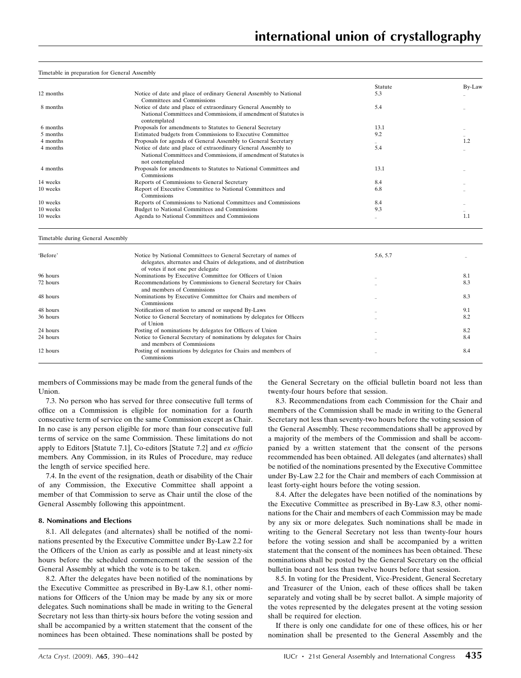#### Timetable in preparation for General Assembly

|           |                                                                                                                                                       | Statute | By-Law |
|-----------|-------------------------------------------------------------------------------------------------------------------------------------------------------|---------|--------|
| 12 months | Notice of date and place of ordinary General Assembly to National<br>Committees and Commissions                                                       | 5.3     |        |
| 8 months  | Notice of date and place of extraordinary General Assembly to<br>National Committees and Commissions, if amendment of Statutes is<br>contemplated     | 5.4     |        |
| 6 months  | Proposals for amendments to Statutes to General Secretary                                                                                             | 13.1    |        |
| 5 months  | Estimated budgets from Commissions to Executive Committee                                                                                             | 9.2     |        |
| 4 months  | Proposals for agenda of General Assembly to General Secretary                                                                                         |         |        |
| 4 months  | Notice of date and place of extraordinary General Assembly to<br>National Committees and Commissions, if amendment of Statutes is<br>not contemplated | 5.4     |        |
| 4 months  | Proposals for amendments to Statutes to National Committees and<br>Commissions                                                                        | 13.1    |        |
| 14 weeks  | Reports of Commissions to General Secretary                                                                                                           | 8.4     |        |
| 10 weeks  | Report of Executive Committee to National Committees and<br>Commissions                                                                               | 6.8     |        |
| 10 weeks  | Reports of Commissions to National Committees and Commissions                                                                                         | 8.4     |        |
| 10 weeks  | Budget to National Committees and Commissions                                                                                                         | 9.3     |        |
| 10 weeks  | Agenda to National Committees and Commissions                                                                                                         |         |        |

#### Timetable during General Assembly

|                                                               |                                                                                                                                                                                                                                                                                                                                                                                                                                                        | 8.1      |
|---------------------------------------------------------------|--------------------------------------------------------------------------------------------------------------------------------------------------------------------------------------------------------------------------------------------------------------------------------------------------------------------------------------------------------------------------------------------------------------------------------------------------------|----------|
|                                                               |                                                                                                                                                                                                                                                                                                                                                                                                                                                        | 8.3      |
| and members of Commissions                                    |                                                                                                                                                                                                                                                                                                                                                                                                                                                        |          |
| Nominations by Executive Committee for Chairs and members of  |                                                                                                                                                                                                                                                                                                                                                                                                                                                        | 8.3      |
| Commissions                                                   |                                                                                                                                                                                                                                                                                                                                                                                                                                                        |          |
| Notification of motion to amend or suspend By-Laws            |                                                                                                                                                                                                                                                                                                                                                                                                                                                        | 9.1      |
|                                                               |                                                                                                                                                                                                                                                                                                                                                                                                                                                        | 8.2      |
| of Union                                                      |                                                                                                                                                                                                                                                                                                                                                                                                                                                        |          |
| Posting of nominations by delegates for Officers of Union     |                                                                                                                                                                                                                                                                                                                                                                                                                                                        | 8.2      |
|                                                               |                                                                                                                                                                                                                                                                                                                                                                                                                                                        | 8.4      |
| and members of Commissions                                    |                                                                                                                                                                                                                                                                                                                                                                                                                                                        |          |
| Posting of nominations by delegates for Chairs and members of |                                                                                                                                                                                                                                                                                                                                                                                                                                                        | 8.4      |
| Commissions                                                   |                                                                                                                                                                                                                                                                                                                                                                                                                                                        |          |
|                                                               | Notice by National Committees to General Secretary of names of<br>delegates, alternates and Chairs of delegations, and of distribution<br>of votes if not one per delegate<br>Nominations by Executive Committee for Officers of Union<br>Recommendations by Commissions to General Secretary for Chairs<br>Notice to General Secretary of nominations by delegates for Officers<br>Notice to General Secretary of nominations by delegates for Chairs | 5.6, 5.7 |

members of Commissions may be made from the general funds of the Union.

7.3. No person who has served for three consecutive full terms of office on a Commission is eligible for nomination for a fourth consecutive term of service on the same Commission except as Chair. In no case is any person eligible for more than four consecutive full terms of service on the same Commission. These limitations do not apply to Editors [Statute 7.1], Co-editors [Statute 7.2] and ex officio members. Any Commission, in its Rules of Procedure, may reduce the length of service specified here.

7.4. In the event of the resignation, death or disability of the Chair of any Commission, the Executive Committee shall appoint a member of that Commission to serve as Chair until the close of the General Assembly following this appointment.

#### 8. Nominations and Elections

8.1. All delegates (and alternates) shall be notified of the nominations presented by the Executive Committee under By-Law 2.2 for the Officers of the Union as early as possible and at least ninety-six hours before the scheduled commencement of the session of the General Assembly at which the vote is to be taken.

8.2. After the delegates have been notified of the nominations by the Executive Committee as prescribed in By-Law 8.1, other nominations for Officers of the Union may be made by any six or more delegates. Such nominations shall be made in writing to the General Secretary not less than thirty-six hours before the voting session and shall be accompanied by a written statement that the consent of the nominees has been obtained. These nominations shall be posted by

the General Secretary on the official bulletin board not less than twenty-four hours before that session.

8.3. Recommendations from each Commission for the Chair and members of the Commission shall be made in writing to the General Secretary not less than seventy-two hours before the voting session of the General Assembly. These recommendations shall be approved by a majority of the members of the Commission and shall be accompanied by a written statement that the consent of the persons recommended has been obtained. All delegates (and alternates) shall be notified of the nominations presented by the Executive Committee under By-Law 2.2 for the Chair and members of each Commission at least forty-eight hours before the voting session.

8.4. After the delegates have been notified of the nominations by the Executive Committee as prescribed in By-Law 8.3, other nominations for the Chair and members of each Commission may be made by any six or more delegates. Such nominations shall be made in writing to the General Secretary not less than twenty-four hours before the voting session and shall be accompanied by a written statement that the consent of the nominees has been obtained. These nominations shall be posted by the General Secretary on the official bulletin board not less than twelve hours before that session.

8.5. In voting for the President, Vice-President, General Secretary and Treasurer of the Union, each of these offices shall be taken separately and voting shall be by secret ballot. A simple majority of the votes represented by the delegates present at the voting session shall be required for election.

If there is only one candidate for one of these offices, his or her nomination shall be presented to the General Assembly and the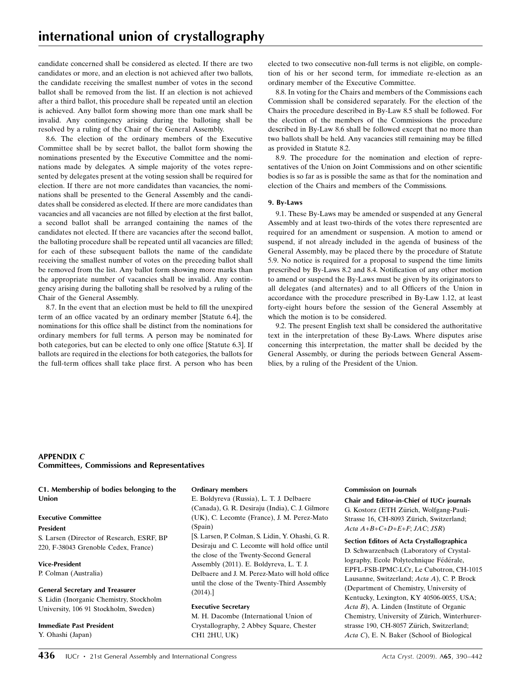candidate concerned shall be considered as elected. If there are two candidates or more, and an election is not achieved after two ballots, the candidate receiving the smallest number of votes in the second ballot shall be removed from the list. If an election is not achieved after a third ballot, this procedure shall be repeated until an election is achieved. Any ballot form showing more than one mark shall be invalid. Any contingency arising during the balloting shall be resolved by a ruling of the Chair of the General Assembly.

8.6. The election of the ordinary members of the Executive Committee shall be by secret ballot, the ballot form showing the nominations presented by the Executive Committee and the nominations made by delegates. A simple majority of the votes represented by delegates present at the voting session shall be required for election. If there are not more candidates than vacancies, the nominations shall be presented to the General Assembly and the candidates shall be considered as elected. If there are more candidates than vacancies and all vacancies are not filled by election at the first ballot, a second ballot shall be arranged containing the names of the candidates not elected. If there are vacancies after the second ballot, the balloting procedure shall be repeated until all vacancies are filled; for each of these subsequent ballots the name of the candidate receiving the smallest number of votes on the preceding ballot shall be removed from the list. Any ballot form showing more marks than the appropriate number of vacancies shall be invalid. Any contingency arising during the balloting shall be resolved by a ruling of the Chair of the General Assembly.

8.7. In the event that an election must be held to fill the unexpired term of an office vacated by an ordinary member [Statute 6.4], the nominations for this office shall be distinct from the nominations for ordinary members for full terms. A person may be nominated for both categories, but can be elected to only one office [Statute 6.3]. If ballots are required in the elections for both categories, the ballots for the full-term offices shall take place first. A person who has been elected to two consecutive non-full terms is not eligible, on completion of his or her second term, for immediate re-election as an ordinary member of the Executive Committee.

8.8. In voting for the Chairs and members of the Commissions each Commission shall be considered separately. For the election of the Chairs the procedure described in By-Law 8.5 shall be followed. For the election of the members of the Commissions the procedure described in By-Law 8.6 shall be followed except that no more than two ballots shall be held. Any vacancies still remaining may be filled as provided in Statute 8.2.

8.9. The procedure for the nomination and election of representatives of the Union on Joint Commissions and on other scientific bodies is so far as is possible the same as that for the nomination and election of the Chairs and members of the Commissions.

## 9. By-Laws

9.1. These By-Laws may be amended or suspended at any General Assembly and at least two-thirds of the votes there represented are required for an amendment or suspension. A motion to amend or suspend, if not already included in the agenda of business of the General Assembly, may be placed there by the procedure of Statute 5.9. No notice is required for a proposal to suspend the time limits prescribed by By-Laws 8.2 and 8.4. Notification of any other motion to amend or suspend the By-Laws must be given by its originators to all delegates (and alternates) and to all Officers of the Union in accordance with the procedure prescribed in By-Law 1.12, at least forty-eight hours before the session of the General Assembly at which the motion is to be considered.

9.2. The present English text shall be considered the authoritative text in the interpretation of these By-Laws. Where disputes arise concerning this interpretation, the matter shall be decided by the General Assembly, or during the periods between General Assemblies, by a ruling of the President of the Union.

## APPENDIX C Committees, Commissions and Representatives

## C1. Membership of bodies belonging to the Union

#### Executive Committee

#### President

S. Larsen (Director of Research, ESRF, BP 220, F-38043 Grenoble Cedex, France)

#### Vice-President

P. Colman (Australia)

## General Secretary and Treasurer

S. Lidin (Inorganic Chemistry, Stockholm University, 106 91 Stockholm, Sweden)

#### Immediate Past President Y. Ohashi (Japan)

Ordinary members E. Boldyreva (Russia), L. T. J. Delbaere

(Canada), G. R. Desiraju (India), C. J. Gilmore (UK), C. Lecomte (France), J. M. Perez-Mato (Spain)

[S. Larsen, P. Colman, S. Lidin, Y. Ohashi, G. R. Desiraju and C. Lecomte will hold office until the close of the Twenty-Second General Assembly (2011). E. Boldyreva, L. T. J. Delbaere and J. M. Perez-Mato will hold office until the close of the Twenty-Third Assembly (2014).]

#### Executive Secretary

M. H. Dacombe (International Union of Crystallography, 2 Abbey Square, Chester CH1 2HU, UK)

#### Commission on Journals

Chair and Editor-in-Chief of IUCr journals G. Kostorz (ETH Zürich, Wolfgang-Pauli-Strasse 16, CH-8093 Zürich, Switzerland;  $Acta\ A+B+C+D+E+F; JAC; JSR)$ 

#### Section Editors of Acta Crystallographica

D. Schwarzenbach (Laboratory of Crystallography, Ecole Polytechnique Fédérale, EPFL-FSB-IPMC-LCr, Le Cubotron, CH-1015 Lausanne, Switzerland; Acta A), C. P. Brock (Department of Chemistry, University of Kentucky, Lexington, KY 40506-0055, USA; Acta B), A. Linden (Institute of Organic Chemistry, University of Zürich, Winterhurerstrasse 190, CH-8057 Zürich, Switzerland; Acta C), E. N. Baker (School of Biological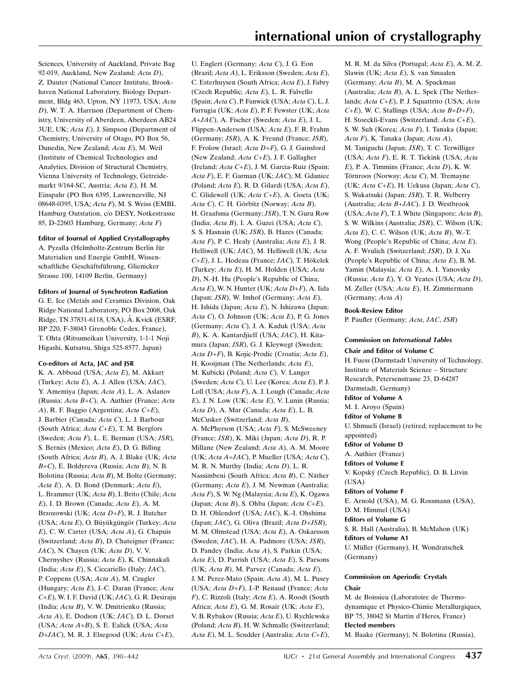Sciences, University of Auckland, Private Bag 92-019, Auckland, New Zealand; Acta D), Z. Dauter (National Cancer Institute, Brookhaven National Laboratory, Biology Department, Bldg 463, Upton, NY 11973, USA; Acta D), W. T. A. Harrison (Department of Chemistry, University of Aberdeen, Aberdeen AB24 3UE, UK; Acta E), J. Simpson (Department of Chemistry, University of Otago, PO Box 56, Dunedin, New Zealand; Acta E), M. Weil (Institute of Chemical Technologies and Analytics, Division of Structural Chemistry, Vienna University of Technology, Getreidemarkt 9/164-SC, Austria; Acta E), H. M. Einspahr (PO Box 6395, Lawrenceville, NJ 08648-0395, USA; Acta F), M. S. Weiss (EMBL Hamburg Outstation, c/o DESY, Notkestrasse 85, D-22603 Hamburg, Germany; Acta F)

Editor of Journal of Applied Crystallography A. Pyzalla (Helmholtz-Zentrum Berlin für Materialien und Energie GmbH, Wissenschaftliche Geschäftsführung, Glienicker Strasse 100, 14109 Berlin, Germany)

#### Editors of Journal of Synchrotron Radiation

G. E. Ice (Metals and Ceramics Division, Oak Ridge National Laboratory, PO Box 2008, Oak Ridge, TN 37831-6118, USA), Å. Kvick (ESRF, BP 220, F-38043 Grenoble Cedex, France), T. Ohta (Ritsumeikan University, 1-1-1 Noji Higashi, Kutsatsu, Shiga 525-8577, Japan)

#### Co-editors of Acta, JAC and JSR

K. A. Abboud (USA; Acta E), M. Akkurt (Turkey; Acta E), A. J. Allen (USA;  $JAC$ ), Y. Amemiya (Japan; Acta A), L. A. Aslanov (Russia; Acta B+C), A. Authier (France; Acta A), R. F. Baggio (Argentina; Acta C+E), J. Barbier (Canada; Acta C), L. J. Barbour (South Africa; Acta C+E), T. M. Bergfors (Sweden; Acta F), L. E. Berman (USA; JSR), S. Bernès (Mexico; Acta E), D. G. Billing (South Africa; Acta B), A. J. Blake (UK; Acta  $B+C$ ), E. Boldyreva (Russia; Acta B), N. B. Bolotina (Russia; Acta B), M. Bolte (Germany; Acta  $E$ ), A. D. Bond (Denmark; Acta  $E$ ), L. Brammer (UK; Acta B), I. Brito (Chile; Acta  $E$ ), I. D. Brown (Canada; Acta  $E$ ), A. M. Brzozowski (UK; Acta D+F), R. J. Butcher (USA;  $Acta E$ ), O. Büyükgüngör (Turkey;  $Acta$ E), C. W. Carter (USA; Acta A), G. Chapuis (Switzerland; Acta B), D. Chateigner (France;  $JAC$ ), N. Chayen (UK;  $Acta D$ ), V. V. Chernyshev (Russia; Acta E), K. Chinnakali (India; Acta E), S. Ciccariello (Italy;  $JAC$ ), P. Coppens (USA; Acta A), M. Czugler (Hungary; Acta E), J.-C. Daran (France; Acta  $C+E$ ), W. I. F. David (UK;  $JAC$ ), G. R. Desiraju (India; Acta B), V. W. Dmitrienko (Russia; Acta A), E. Dodson (UK; JAC), D. L. Dorset (USA; Acta A+B), S. E. Ealick (USA; Acta D+JAC), M. R. J. Elsegood (UK; Acta C+E),

U. Englert (Germany; Acta C), J. G. Eon (Brazil; Acta A), L. Eriksson (Sweden; Acta E), C. Esterhuysen (South Africa; Acta E), J. Fabry (Czech Republic; Acta E), L. R. Falvello (Spain; Acta C), P. Fanwick (USA; Acta C), L. J. Farrugia (UK; Acta E), P. F. Fewster (UK; Acta  $A+JAC$ ), A. Fischer (Sweden; Acta E), J. L. Flippen-Anderson (USA; Acta E), F. R. Frahm (Germany; JSR), A. K. Freund (France; JSR), F. Frolow (Israel; Acta D+F), G. J. Gainsford (New Zealand; Acta C+E), J. F. Gallagher (Ireland; Acta C+E), J. M. Garcia-Ruiz (Spain; Acta F), E. F. Garman (UK; JAC), M. Gdaniec (Poland; Acta E), R. D. Gilardi (USA; Acta E), C. Glidewell (UK; Acta C+E), A. Goeta (UK; Acta C), C. H. Görbitz (Norway; Acta B), H. Graafsma (Germany; JSR), T. N. Guru Row (India; Acta B), I. A. Guzei (USA; Acta C), S. S. Hasnain (UK; JSR), B. Hazes (Canada; Acta  $F$ ), P. C. Healy (Australia; Acta  $E$ ), J. R. Helliwell (UK; JAC), M. Helliwell (UK; Acta  $(C+E)$ , J. L. Hodeau (France;  $JAC$ ), T. Hökelek (Turkey; Acta E), H. M. Holden (USA; Acta D), N.-H. Hu (People's Republic of China; Acta E), W. N. Hunter (UK; Acta D+F), A. Iida (Japan; JSR), W. Imhof (Germany; Acta E), H. Ishida (Japan; Acta E), N. Ishizawa (Japan; Acta C), O. Johnson (UK; Acta E), P. G. Jones (Germany; Acta C), J. A. Kaduk (USA; Acta B), K. A. Kantardjieff (USA; JAC), H. Kitamura (Japan; JSR), G. J. Kleywegt (Sweden; Acta D+F), B. Kojíc-Prodíc (Croatia; Acta E), H. Kooijman (The Netherlands; Acta E), M. Kubicki (Poland; Acta C), V. Langer (Sweden; Acta C), U. Lee (Korea; Acta E), P. J. Loll (USA; Acta F), A. J. Lough (Canada; Acta  $E$ ), J. N. Low (UK; Acta E), V. Lunin (Russia; Acta D), A. Mar (Canada; Acta E), L. B. McCusker (Switzerland; Acta B), A. McPherson (USA; Acta F), S. McSweeney (France; JSR), K. Miki (Japan; Acta D), R. P. Millane (New Zealand; Acta A), A. M. Moore (UK; Acta A+JAC), P. Mueller (USA; Acta C), M. R. N. Murthy (India; Acta D), L. R. Nassimbeni (South Africa; Acta B), C. Näther (Germany; Acta E), J. M. Newman (Australia; Acta F), S. W. Ng (Malaysia; Acta E), K. Ogawa (Japan; Acta B), S. Ohba (Japan; Acta  $C+E$ ), D. H. Ohlendorf (USA; JAC), K.-I. Ohshima (Japan; JAC), G. Oliva (Brazil; Acta D+JSR), M. M. Olmstead (USA; Acta E), A. Oskarsson (Sweden; JAC), H. A. Padmore (USA; JSR), D. Pandey (India; Acta A), S. Parkin (USA; Acta E), D. Parrish (USA; Acta E), S. Parsons (UK; Acta B), M. Parvez (Canada; Acta E), J. M. Perez-Mato (Spain; Acta A), M. L. Pusey (USA; Acta D+F), J.-P. Renaud (France; Acta F), C. Rizzoli (Italy; Acta E), A. Roodt (South Africa; Acta E), G. M. Rosair (UK; Acta E), V. B. Rybakov (Russia; Acta E), U. Rychlewska (Poland; Acta B), H. W. Schmalle (Switzerland; Acta E), M. L. Scudder (Australia; Acta C+E),

M. R. M. da Silva (Portugal; Acta E), A. M. Z. Slawin (UK; Acta E), S. van Smaalen (Germany; Acta B), M. A. Spackman (Australia; Acta B), A. L. Spek (The Netherlands; Acta C+E), P. J. Squattrito (USA; Acta  $C+E$ ), W. C. Stallings (USA; Acta  $B+D+F$ ), H. Stoeckli-Evans (Switzerland; Acta C+E), S. W. Suh (Korea; Acta F), I. Tanaka (Japan; Acta F), K. Tanaka (Japan; Acta A), M. Taniguchi (Japan; JSR), T. C. Terwilliger (USA; Acta F), E. R. T. Tiekink (USA; Acta  $E$ ), P. A. Timmins (France; Acta D), K. W. Törnroos (Norway; Acta C), M. Tremayne (UK; Acta  $C+E$ ), H. Uekusa (Japan; Acta C), S. Wakatsuki (Japan; JSR), T. R. Welberry (Australia; Acta B+JAC), J. D. Westbrook (USA; Acta F), T. J. White (Singapore; Acta B), S. W. Wilkins (Australia; JSR), C. Wilson (UK; Acta  $E$ ), C. C. Wilson (UK; Acta  $B$ ), W.-T. Wong (People's Republic of China; Acta E), A. F. Wrulich (Switzerland; JSR), D. J. Xu (People's Republic of China; Acta E), B. M. Yamin (Malaysia; Acta E), A. I. Yanovsky (Russia; Acta E), Y. O. Yeates (USA; Acta D), M. Zeller (USA; Acta E), H. Zimmermann (Germany; Acta A)

#### Book-Review Editor

P. Paufler (Germany; Acta, JAC, JSR)

#### Commission on International Tables

Chair and Editor of Volume C H. Fuess (Darmstadt University of Technology, Institute of Materials Science – Structure Research, Petersenstrasse 23, D-64287 Darmstadt, Germany) Editor of Volume A M. I. Aroyo (Spain) Editor of Volume B U. Shmueli (Israel) (retired; replacement to be appointed) Editor of Volume D A. Authier (France) Editors of Volume E V. Kopsky´ (Czech Republic), D. B. Litvin (USA) Editors of Volume F E. Arnold (USA), M. G. Rossmann (USA), D. M. Himmel (USA) Editors of Volume G S. R. Hall (Australia), B. McMahon (UK) Editors of Volume A1 U. Müller (Germany), H. Wondratschek (Germany)

## Commission on Aperiodic Crystals Chair

M. de Boissieu (Laboratoire de Thermodynamique et Physico-Chimie Metallurgiques, BP 75, 38042 St Martin d'Heres, France) Elected members

M. Baake (Germany), N. Bolotina (Russia),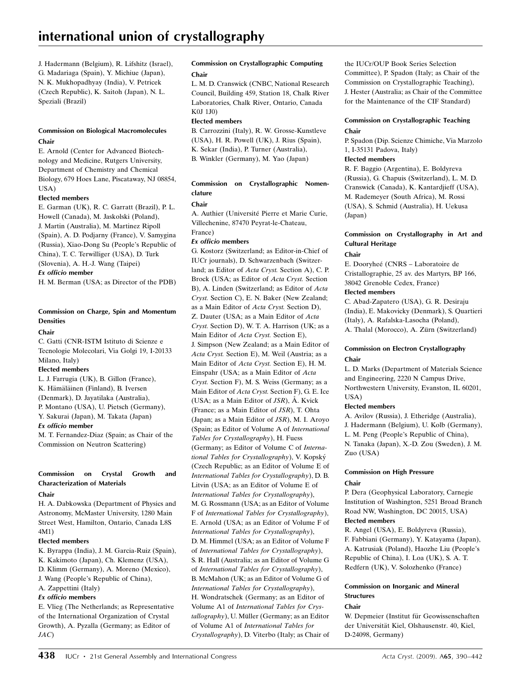J. Hadermann (Belgium), R. Lifshitz (Israel), G. Madariaga (Spain), Y. Michiue (Japan), N. K. Mukhopadhyay (India), V. Petricek (Czech Republic), K. Saitoh (Japan), N. L. Speziali (Brazil)

## Commission on Biological Macromolecules Chair

E. Arnold (Center for Advanced Biotechnology and Medicine, Rutgers University, Department of Chemistry and Chemical Biology, 679 Hoes Lane, Piscataway, NJ 08854, USA)

#### Elected members

E. Garman (UK), R. C. Garratt (Brazil), P. L. Howell (Canada), M. Jaskolski (Poland), J. Martin (Australia), M. Martinez Ripoll (Spain), A. D. Podjarny (France), V. Samygina (Russia), Xiao-Dong Su (People's Republic of China), T. C. Terwilliger (USA), D. Turk (Slovenia), A. H.-J. Wang (Taipei)

## Ex officio member

H. M. Berman (USA; as Director of the PDB)

## Commission on Charge, Spin and Momentum Densities

## Chair

C. Gatti (CNR-ISTM Istituto di Scienze e Tecnologie Molecolari, Via Golgi 19, I-20133 Milano, Italy)

## Elected members

- L. J. Farrugia (UK), B. Gillon (France), K. Hämäläinen (Finland), B. Iversen
- (Denmark), D. Jayatilaka (Australia),
- P. Montano (USA), U. Pietsch (Germany),
- Y. Sakurai (Japan), M. Takata (Japan)

## Ex officio member

M. T. Fernandez-Diaz (Spain; as Chair of the Commission on Neutron Scattering)

## Commission on Crystal Growth and Characterization of Materials

#### Chair

H. A. Dabkowska (Department of Physics and Astronomy, McMaster University, 1280 Main Street West, Hamilton, Ontario, Canada L8S 4M1)

## Elected members

- K. Byrappa (India), J. M. Garcia-Ruiz (Spain),
- K. Kakimoto (Japan), Ch. Klemenz (USA),
- D. Klimm (Germany), A. Moreno (Mexico),
- J. Wang (People's Republic of China),
- A. Zappettini (Italy)

## Ex officio members

E. Vlieg (The Netherlands; as Representative of the International Organization of Crystal Growth), A. Pyzalla (Germany; as Editor of  $JAC$ 

## Commission on Crystallographic Computing Chair

L. M. D. Cranswick (CNBC, National Research Council, Building 459, Station 18, Chalk River Laboratories, Chalk River, Ontario, Canada K0J 1J0)

## Elected members

B. Carrozzini (Italy), R. W. Grosse-Kunstleve (USA), H. R. Powell (UK), J. Rius (Spain), K. Sekar (India), P. Turner (Australia), B. Winkler (Germany), M. Yao (Japan)

## Commission on Crystallographic Nomenclature

## Chair

A. Authier (Université Pierre et Marie Curie, Villechenine, 87470 Peyrat-le-Chateau, France)

## Ex officio members

G. Kostorz (Switzerland; as Editor-in-Chief of IUCr journals), D. Schwarzenbach (Switzerland; as Editor of Acta Cryst. Section A), C. P. Brock (USA; as Editor of Acta Cryst. Section B), A. Linden (Switzerland; as Editor of Acta Cryst. Section C), E. N. Baker (New Zealand; as a Main Editor of Acta Cryst. Section D), Z. Dauter (USA; as a Main Editor of Acta Cryst. Section D), W. T. A. Harrison (UK; as a Main Editor of Acta Cryst. Section E), J. Simpson (New Zealand; as a Main Editor of Acta Cryst. Section E), M. Weil (Austria; as a Main Editor of Acta Cryst. Section E), H. M. Einspahr (USA; as a Main Editor of Acta Cryst. Section F), M. S. Weiss (Germany; as a Main Editor of Acta Cryst. Section F), G. E. Ice (USA; as a Main Editor of  $JSR$ ), A. Kvick (France; as a Main Editor of JSR), T. Ohta (Japan; as a Main Editor of JSR), M. I. Aroyo (Spain; as Editor of Volume A of International Tables for Crystallography), H. Fuess (Germany; as Editor of Volume C of International Tables for Crystallography), V. Kopsky´ (Czech Republic; as an Editor of Volume E of International Tables for Crystallography), D. B. Litvin (USA; as an Editor of Volume E of International Tables for Crystallography), M. G. Rossmann (USA; as an Editor of Volume F of International Tables for Crystallography), E. Arnold (USA; as an Editor of Volume F of International Tables for Crystallography), D. M. Himmel (USA; as an Editor of Volume F of International Tables for Crystallography), S. R. Hall (Australia; as an Editor of Volume G of International Tables for Crystallography), B. McMahon (UK; as an Editor of Volume G of International Tables for Crystallography), H. Wondratschek (Germany; as an Editor of Volume A1 of International Tables for Crystallography), U. Müller (Germany; as an Editor of Volume A1 of International Tables for Crystallography), D. Viterbo (Italy; as Chair of

the IUCr/OUP Book Series Selection Committee), P. Spadon (Italy; as Chair of the Commission on Crystallographic Teaching), J. Hester (Australia; as Chair of the Committee for the Maintenance of the CIF Standard)

## Commission on Crystallographic Teaching Chair

P. Spadon (Dip. Scienze Chimiche, Via Marzolo 1, I-35131 Padova, Italy)

## Elected members

R. F. Baggio (Argentina), E. Boldyreva (Russia), G. Chapuis (Switzerland), L. M. D. Cranswick (Canada), K. Kantardjieff (USA), M. Rademeyer (South Africa), M. Rossi (USA), S. Schmid (Australia), H. Uekusa (Japan)

## Commission on Crystallography in Art and Cultural Heritage

## Chair

E. Dooryhee´ (CNRS – Laboratoire de Cristallographie, 25 av. des Martyrs, BP 166, 38042 Grenoble Cedex, France)

## Elected members

C. Abad-Zapatero (USA), G. R. Desiraju (India), E. Makovicky (Denmark), S. Quartieri (Italy), A. Rafalska-Lasocha (Poland), A. Thalal (Morocco), A. Zürn (Switzerland)

## Commission on Electron Crystallography Chair

L. D. Marks (Department of Materials Science and Engineering, 2220 N Campus Drive, Northwestern University, Evanston, IL 60201, USA)

## Elected members

A. Avilov (Russia), J. Etheridge (Australia), J. Hadermann (Belgium), U. Kolb (Germany), L. M. Peng (People's Republic of China), N. Tanaka (Japan), X.-D. Zou (Sweden), J. M. Zuo (USA)

## Commission on High Pressure Chair

P. Dera (Geophysical Laboratory, Carnegie Institution of Washington, 5251 Broad Branch Road NW, Washington, DC 20015, USA) Elected members

R. Angel (USA), E. Boldyreva (Russia), F. Fabbiani (Germany), Y. Katayama (Japan), A. Katrusiak (Poland), Haozhe Liu (People's Republic of China), I. Loa (UK), S. A. T. Redfern (UK), V. Solozhenko (France)

## Commission on Inorganic and Mineral **Structures**

## Chair

W. Depmeier (Institut für Geowissenschaften der Universität Kiel, Olshausenstr. 40, Kiel, D-24098, Germany)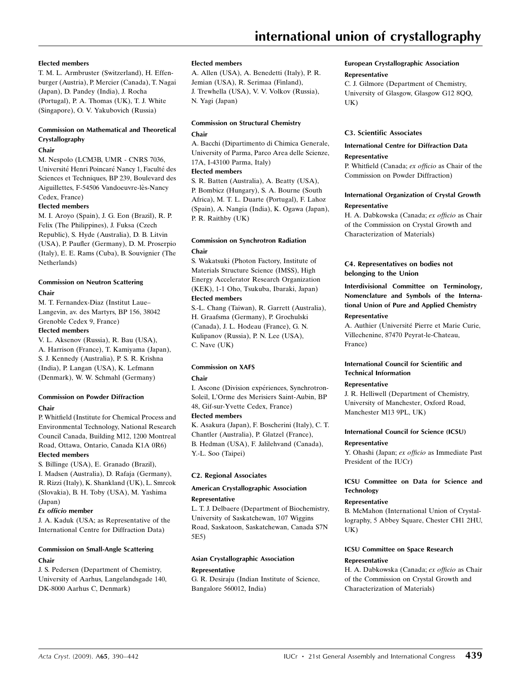## Elected members

T. M. L. Armbruster (Switzerland), H. Effenburger (Austria), P. Mercier (Canada), T. Nagai (Japan), D. Pandey (India), J. Rocha (Portugal), P. A. Thomas (UK), T. J. White (Singapore), O. V. Yakubovich (Russia)

## Commission on Mathematical and Theoretical Crystallography

#### Chair

M. Nespolo (LCM3B, UMR - CNRS 7036, Université Henri Poincaré Nancy 1, Faculté des Sciences et Techniques, BP 239, Boulevard des Aiguillettes, F-54506 Vandoeuvre-lès-Nancy Cedex, France)

#### Elected members

M. I. Aroyo (Spain), J. G. Eon (Brazil), R. P. Felix (The Philippines), J. Fuksa (Czech Republic), S. Hyde (Australia), D. B. Litvin (USA), P. Paufler (Germany), D. M. Proserpio (Italy), E. E. Rams (Cuba), B. Souvignier (The Netherlands)

## Commission on Neutron Scattering

## Chair

M. T. Fernandex-Diaz (Institut Laue– Langevin, av. des Martyrs, BP 156, 38042 Grenoble Cedex 9, France)

## Elected members

V. L. Aksenov (Russia), R. Bau (USA), A. Harrison (France), T. Kamiyama (Japan), S. J. Kennedy (Australia), P. S. R. Krishna (India), P. Langan (USA), K. Lefmann (Denmark), W. W. Schmahl (Germany)

## Commission on Powder Diffraction Chair

P. Whitfield (Institute for Chemical Process and Environmental Technology, National Research Council Canada, Building M12, 1200 Montreal Road, Ottawa, Ontario, Canada K1A 0R6) Elected members

S. Billinge (USA), E. Granado (Brazil), I. Madsen (Australia), D. Rafaja (Germany), R. Rizzi (Italy), K. Shankland (UK), L. Smrcok (Slovakia), B. H. Toby (USA), M. Yashima (Japan)

## Ex officio member

J. A. Kaduk (USA; as Representative of the International Centre for Diffraction Data)

## Commission on Small-Angle Scattering Chair

J. S. Pedersen (Department of Chemistry, University of Aarhus, Langelandsgade 140, DK-8000 Aarhus C, Denmark)

#### Elected members

A. Allen (USA), A. Benedetti (Italy), P. R. Jemian (USA), R. Serimaa (Finland), J. Trewhella (USA), V. V. Volkov (Russia), N. Yagi (Japan)

## Commission on Structural Chemistry Chair

A. Bacchi (Dipartimento di Chimica Generale, University of Parma, Parco Area delle Scienze, 17A, I-43100 Parma, Italy)

#### Elected members

S. R. Batten (Australia), A. Beatty (USA), P. Bombicz (Hungary), S. A. Bourne (South Africa), M. T. L. Duarte (Portugal), F. Lahoz (Spain), A. Nangia (India), K. Ogawa (Japan), P. R. Raithby (UK)

## Commission on Synchrotron Radiation Chair

S. Wakatsuki (Photon Factory, Institute of Materials Structure Science (IMSS), High Energy Accelerator Research Organization (KEK), 1-1 Oho, Tsukuba, Ibaraki, Japan) Elected members

S.-L. Chang (Taiwan), R. Garrett (Australia), H. Graafsma (Germany), P. Grochulski (Canada), J. L. Hodeau (France), G. N. Kulipanov (Russia), P. N. Lee (USA), C. Nave (UK)

## Commission on XAFS

#### Chair

I. Ascone (Division expériences, Synchrotron-Soleil, L'Orme des Merisiers Saint-Aubin, BP 48, Gif-sur-Yvette Cedex, France)

## Elected members

K. Asakura (Japan), F. Boscherini (Italy), C. T. Chantler (Australia), P. Glatzel (France), B. Hedman (USA), F. Jalilehvand (Canada), Y.-L. Soo (Taipei)

#### C2. Regional Associates

#### American Crystallographic Association

#### Representative

L. T. J. Delbaere (Department of Biochemistry, University of Saskatchewan, 107 Wiggins Road, Saskatoon, Saskatchewan, Canada S7N 5E5)

## Asian Crystallographic Association Representative

G. R. Desiraju (Indian Institute of Science, Bangalore 560012, India)

## European Crystallographic Association Representative

C. J. Gilmore (Department of Chemistry, University of Glasgow, Glasgow G12 8QQ, UK)

## C3. Scientific Associates

## International Centre for Diffraction Data Representative

P. Whitfield (Canada; ex officio as Chair of the Commission on Powder Diffraction)

## International Organization of Crystal Growth Representative

H. A. Dabkowska (Canada; ex officio as Chair of the Commission on Crystal Growth and Characterization of Materials)

## C4. Representatives on bodies not belonging to the Union

Interdivisional Committee on Terminology, Nomenclature and Symbols of the International Union of Pure and Applied Chemistry

## Representative

A. Authier (Université Pierre et Marie Curie, Villechenine, 87470 Peyrat-le-Chateau, France)

## International Council for Scientific and Technical Information

#### Representative

J. R. Helliwell (Department of Chemistry, University of Manchester, Oxford Road, Manchester M13 9PL, UK)

### International Council for Science (ICSU)

#### Representative

Y. Ohashi (Japan; ex officio as Immediate Past President of the IUCr)

## ICSU Committee on Data for Science and Technology

#### Representative

B. McMahon (International Union of Crystallography, 5 Abbey Square, Chester CH1 2HU, UK)

## ICSU Committee on Space Research Representative

H. A. Dabkowska (Canada; ex officio as Chair of the Commission on Crystal Growth and Characterization of Materials)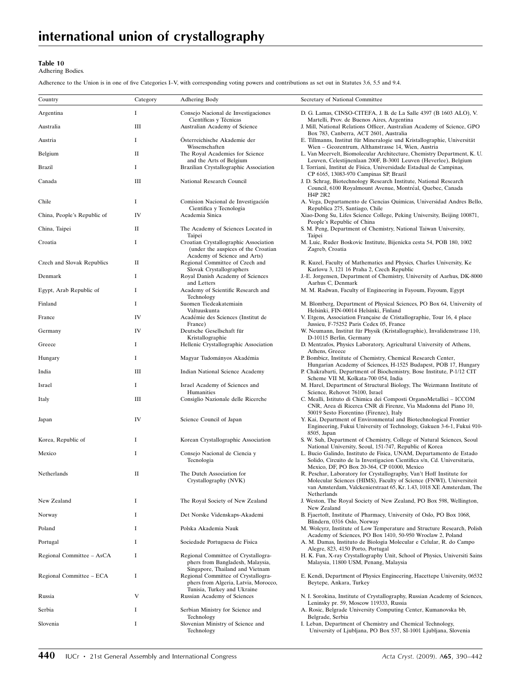## Table 10

## Adhering Bodies.

Adherence to the Union is in one of five Categories I–V, with corresponding voting powers and contributions as set out in Statutes 3.6, 5.5 and 9.4.

| Country                     | Category    | Adhering Body                                                                                                  | Secretary of National Committee                                                                                                                                                                                                                                   |
|-----------------------------|-------------|----------------------------------------------------------------------------------------------------------------|-------------------------------------------------------------------------------------------------------------------------------------------------------------------------------------------------------------------------------------------------------------------|
| Argentina                   | Ι           | Consejo Nacional de Investigaciones                                                                            | D. G. Lamas, CINSO-CITEFA, J. B. de La Salle 4397 (B 1603 ALO), V.                                                                                                                                                                                                |
| Australia                   | Ш           | Científicas y Técnicas<br>Australian Academy of Science                                                        | Martelli, Prov. de Buenos Aires, Argentina<br>J. Mill, National Relations Officer, Australian Academy of Science, GPO                                                                                                                                             |
| Austria                     | 1           | Osterreichische Akademie der                                                                                   | Box 783, Canberra, ACT 2601, Australia<br>E. Tillmanns, Institut für Mineralogie und Kristallographie, Universität                                                                                                                                                |
| Belgium                     | П           | Wissenschaften<br>The Royal Academies for Science                                                              | Wien - Geozentrum, Althanstrasse 14, Wien, Austria<br>L. Van Meervelt, Biomolecular Architecture, Chemistry Department, K. U.                                                                                                                                     |
| <b>Brazil</b>               | Ι           | and the Arts of Belgium<br>Brazilian Crystallographic Association                                              | Leuven, Celestijnenlaan 200F, B-3001 Leuven (Heverlee), Belgium<br>I. Torriani, Institut de Física, Universidade Estadual de Campinas,                                                                                                                            |
| Canada                      | Ш           | National Research Council                                                                                      | CP 6165, 13083-970 Campinas SP, Brazil<br>J. D. Schrag, Biotechnology Research Institute, National Research<br>Council, 6100 Royalmount Avenue, Montréal, Quebec, Canada                                                                                          |
| Chile                       | 1           | Comision Nacional de Investigación                                                                             | H4P 2R2<br>A. Vega, Departamento de Ciencias Quimicas, Universidad Andres Bello,<br>Republica 275, Santiago, Chile                                                                                                                                                |
| China, People's Republic of | IV          | Cientifica y Tecnologia<br>Academia Sinica                                                                     | Xiao-Dong Su, Lifes Science College, Peking University, Beijing 100871,<br>People's Republic of China                                                                                                                                                             |
| China, Taipei               | П           | The Academy of Sciences Located in<br>Taipei                                                                   | S. M. Peng, Department of Chemistry, National Taiwan University,<br>Taipei                                                                                                                                                                                        |
| Croatia                     | Ι           | Croatian Crystallographic Association<br>(under the auspices of the Croatian                                   | M. Luic, Ruder Boskovic Institute, Bijenicka cesta 54, POB 180, 1002<br>Zagreb, Croatia                                                                                                                                                                           |
| Czech and Slovak Republics  | П           | Academy of Science and Arts)<br>Regional Committee of Czech and<br>Slovak Crystallographers                    | R. Kuzel, Faculty of Mathematics and Physics, Charles University, Ke<br>Karlovu 3, 121 16 Praha 2, Czech Republic                                                                                                                                                 |
| Denmark                     | I           | Royal Danish Academy of Sciences<br>and Letters                                                                | J.-E. Jorgensen, Department of Chemistry, University of Aarhus, DK-8000<br>Aarhus C, Denmark                                                                                                                                                                      |
| Egypt, Arab Republic of     | I           | Academy of Scientific Research and<br>Technology                                                               | M. M. Radwan, Faculty of Engineering in Fayoum, Fayoum, Egypt                                                                                                                                                                                                     |
| Finland                     | I           | Suomen Tiedeakatemiain<br>Valtuuskunta                                                                         | M. Blomberg, Department of Physical Sciences, PO Box 64, University of<br>Helsinki, FIN-00014 Helsinki, Finland                                                                                                                                                   |
| France                      | IV          | Académie des Sciences (Institut de<br>France)                                                                  | V. Etgens, Association Française de Cristallographie, Tour 16, 4 place<br>Jussieu, F-75252 Paris Cedex 05, France                                                                                                                                                 |
| Germany                     | IV          | Deutsche Gesellschaft für<br>Kristallographie                                                                  | W. Neumann, Institut für Physik (Kristallographie), Invalidenstrasse 110,<br>D-10115 Berlin, Germany                                                                                                                                                              |
| Greece                      | 1           | Hellenic Crystallographic Association                                                                          | D. Mentzafos, Physics Laboratory, Agricultural University of Athens,                                                                                                                                                                                              |
| Hungary                     | I           | Magyar Tudományos Akadémia                                                                                     | Athens, Greece<br>P. Bombicz, Institute of Chemistry, Chemical Research Center,                                                                                                                                                                                   |
| India                       | Ш           | Indian National Science Academy                                                                                | Hungarian Academy of Sciences, H-1525 Budapest, POB 17, Hungary<br>P. Chakrabarti, Department of Biochemistry, Bose Institute, P-1/12 CIT                                                                                                                         |
| Israel                      | Ι           | Israel Academy of Sciences and                                                                                 | Scheme VII M, Kolkata-700 054, India<br>M. Harel, Department of Structural Biology, The Weizmann Institute of                                                                                                                                                     |
| Italy                       | Ш           | Humanities<br>Consiglio Nazionale delle Ricerche                                                               | Science, Rehovot 76100, Israel<br>C. Mealli, Istituto di Chimica dei Composti OrganoMetallici - ICCOM<br>CNR, Area di Ricerca CNR di Firenze, Via Madonna del Piano 10,                                                                                           |
| Japan                       | IV          | Science Council of Japan                                                                                       | 50019 Sesto Fiorentino (Firenze), Italy<br>Y. Kai, Department of Environmental and Biotechnological Frontier<br>Engineering, Fukui University of Technology, Gakuen 3-6-1, Fukui 910-                                                                             |
| Korea, Republic of          | I           | Korean Crystallographic Association                                                                            | 8505, Japan<br>S. W. Suh, Department of Chemistry, College of Natural Sciences, Seoul                                                                                                                                                                             |
| Mexico                      | I           | Consejo Nacional de Ciencia y<br>Tecnologia                                                                    | National University, Seoul, 151-747, Republic of Korea<br>L. Bucio Galindo, Instituto de Física, UNAM, Departamento de Estado<br>Solido, Circuito de la Investigacion Científica s/n, Cd. Universitaria,                                                          |
| Netherlands                 | $_{\rm II}$ | The Dutch Association for<br>Crystallography (NVK)                                                             | Mexico, DF, PO Box 20-364, CP 01000, Mexico<br>R. Peschar, Laboratory for Crystallography, Van't Hoff Institute for<br>Molecular Sciences (HIMS), Faculty of Science (FNWI), Universiteit<br>van Amsterdam, Valckenierstraat 65, Kr. 1.43, 1018 XE Amsterdam, The |
| New Zealand                 | I           | The Royal Society of New Zealand                                                                               | Netherlands<br>J. Weston, The Royal Society of New Zealand, PO Box 598, Wellington,<br>New Zealand                                                                                                                                                                |
| Norway                      | I           | Det Norske Videnskaps-Akademi                                                                                  | B. Fjaertoft, Institute of Pharmacy, University of Oslo, PO Box 1068,<br>Blindern, 0316 Oslo, Norway                                                                                                                                                              |
| Poland                      | Ι           | Polska Akademia Nauk                                                                                           | M. Wolcyrz, Institute of Low Temperature and Structure Research, Polish<br>Academy of Sciences, PO Box 1410, 50-950 Wroclaw 2, Poland                                                                                                                             |
| Portugal                    | I           | Sociedade Portuguesa de Fisica                                                                                 | A. M. Damas, Instituto de Biologia Molecular e Celular, R. do Campo                                                                                                                                                                                               |
| Regional Committee - AsCA   | Ι           | Regional Committee of Crystallogra-<br>phers from Bangladesh, Malaysia,                                        | Alegre, 823, 4150 Porto, Portugal<br>H. K. Fun, X-ray Crystallography Unit, School of Physics, Universiti Sains<br>Malaysia, 11800 USM, Penang, Malaysia                                                                                                          |
| Regional Committee - ECA    | I           | Singapore, Thailand and Vietnam<br>Regional Committee of Crystallogra-<br>phers from Algeria, Latvia, Morocco, | E. Kendi, Department of Physics Engineering, Hacettepe University, 06532<br>Beytepe, Ankara, Turkey                                                                                                                                                               |
| Russia                      | V           | Tunisia, Turkey and Ukraine<br>Russian Academy of Sciences                                                     | N. I. Sorokina, Institute of Crystallography, Russian Academy of Sciences,                                                                                                                                                                                        |
| Serbia                      | I           | Serbian Ministry for Science and                                                                               | Leninsky pr. 59, Moscow 119333, Russia<br>A. Rosic, Belgrade University Computing Center, Kumanovska bb,                                                                                                                                                          |
| Slovenia                    | I           | Technology<br>Slovenian Ministry of Science and<br>Technology                                                  | Belgrade, Serbia<br>I. Leban, Department of Chemistry and Chemical Technology,<br>University of Ljubljana, PO Box 537, SI-1001 Ljubljana, Slovenia                                                                                                                |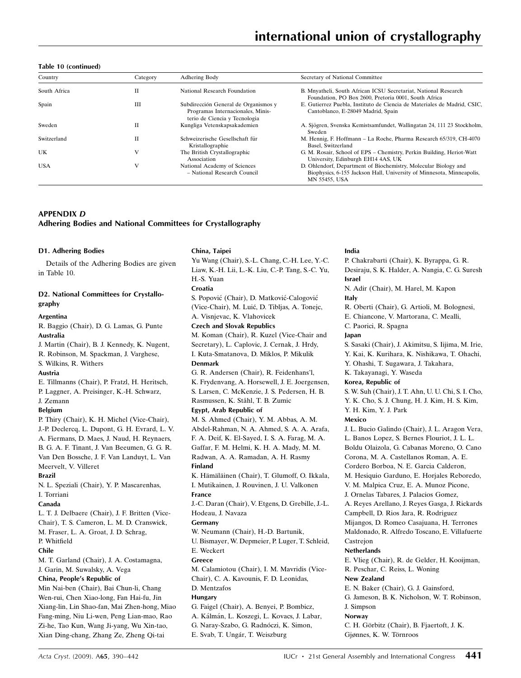#### Table 10 (continued)

| Country      | Category | Adhering Body                                                                                              | Secretary of National Committee                                                                                                                           |
|--------------|----------|------------------------------------------------------------------------------------------------------------|-----------------------------------------------------------------------------------------------------------------------------------------------------------|
| South Africa | П        | National Research Foundation                                                                               | B. Mnyatheli, South African ICSU Secretariat, National Research<br>Foundation, PO Box 2600, Pretoria 0001, South Africa                                   |
| Spain        | Ш        | Subdirección General de Organismos y<br>Programas Internacionales, Minis-<br>terio de Ciencia y Tecnologia | E. Gutierrez Puebla, Instituto de Ciencia de Materiales de Madrid, CSIC,<br>Cantoblanco, E-28049 Madrid, Spain                                            |
| Sweden       | П        | Kungliga Vetenskapsakademien                                                                               | A. Sjögren, Svenska Kemistsamfundet, Wallingatan 24, 111 23 Stockholm,<br>Sweden                                                                          |
| Switzerland  | П        | Schweizerische Gesellschaft für<br>Kristallographie                                                        | M. Hennig, F. Hoffmann – La Roche, Pharma Research 65/319, CH-4070<br>Basel, Switzerland                                                                  |
| UK           | V        | The British Crystallographic<br>Association                                                                | G. M. Rosair, School of EPS - Chemistry, Perkin Building, Heriot-Watt<br>University, Edinburgh EH14 4AS, UK                                               |
| <b>USA</b>   | V        | National Academy of Sciences<br>- National Research Council                                                | D. Ohlendorf, Department of Biochemistry, Molecular Biology and<br>Biophysics, 6-155 Jackson Hall, University of Minnesota, Minneapolis,<br>MN 55455, USA |

## APPENDIX D Adhering Bodies and National Committees for Crystallography

#### D1. Adhering Bodies

Details of the Adhering Bodies are given in Table 10.

## D2. National Committees for Crystallography

#### Argentina

- R. Baggio (Chair), D. G. Lamas, G. Punte Australia J. Martin (Chair), B. J. Kennedy, K. Nugent,
- R. Robinson, M. Spackman, J. Varghese,
- S. Wilkins, R. Withers

#### Austria

E. Tillmanns (Chair), P. Fratzl, H. Heritsch, P. Laggner, A. Preisinger, K.-H. Schwarz,

#### J. Zemann

#### Belgium

P. Thiry (Chair), K. H. Michel (Vice-Chair), J.-P. Declercq, L. Dupont, G. H. Evrard, L. V. A. Fiermans, D. Maes, J. Naud, H. Reynaers, B. G. A. F. Tinant, J. Van Beeumen, G. G. R. Van Den Bossche, J. F. Van Landuyt, L. Van Meervelt, V. Villeret

#### Brazil

N. L. Speziali (Chair), Y. P. Mascarenhas, I. Torriani

#### Canada

L. T. J. Delbaere (Chair), J. F. Britten (Vice-Chair), T. S. Cameron, L. M. D. Cranswick, M. Fraser, L. A. Groat, J. D. Schrag, P. Whitfield

#### Chile

M. T. Garland (Chair), J. A. Costamagna, J. Garin, M. Suwalsky, A. Vega China, People's Republic of

Min Nai-ben (Chair), Bai Chun-li, Chang Wen-rui, Chen Xiao-long, Fan Hai-fu, Jin Xiang-lin, Lin Shao-fan, Mai Zhen-hong, Miao Fang-ming, Niu Li-wen, Peng Lian-mao, Rao Zi-he, Tao Kun, Wang Ji-yang, Wu Xin-tao, Xian Ding-chang, Zhang Ze, Zheng Qi-tai

## China, Taipei

Yu Wang (Chair), S.-L. Chang, C.-H. Lee, Y.-C. Liaw, K.-H. Lii, L.-K. Liu, C.-P. Tang, S.-C. Yu, H.-S. Yuan Croatia S. Popović (Chair), D. Matković-Calogović (Vice-Chair), M. Luic´, D. Tibljas, A. Tonejc,

A. Visnjevac, K. Vlahovicek Czech and Slovak Republics M. Koman (Chair), R. Kuzel (Vice-Chair and

Secretary), L. Caplovic, J. Cernak, J. Hrdy, I. Kuta-Smatanova, D. Miklos, P. Mikulik Denmark

G. R. Andersen (Chair), R. Feidenhans'l, K. Frydenvang, A. Horsewell, J. E. Joergensen, S. Larsen, C. McKenzie, J. S. Pedersen, H. B. Rasmussen, K. Ståhl, T. B. Zumic Egypt, Arab Republic of

M. S. Ahmed (Chair), Y. M. Abbas, A. M. Abdel-Rahman, N. A. Ahmed, S. A. A. Arafa, F. A. Deif, K. El-Sayed, I. S. A. Farag, M. A. Gaffar, F. M. Helmi, K. H. A. Mady, M. M. Radwan, A. A. Ramadan, A. H. Rasmy

## Finland

K. Hämäläinen (Chair), T. Glumoff, O. Ikkala, I. Mutikainen, J. Rouvinen, J. U. Valkonen France

J.-C. Daran (Chair), V. Etgens, D. Grebille, J.-L. Hodeau, J. Navaza

#### Germany

W. Neumann (Chair), H.-D. Bartunik,

U. Bismayer, W. Depmeier, P. Luger, T. Schleid, E. Weckert

#### Greece

M. Calamiotou (Chair), I. M. Mavridis (Vice-Chair), C. A. Kavounis, F. D. Leonidas, D. Mentzafos

#### Hungary

G. Faigel (Chair), A. Benyei, P. Bombicz,

A. Kálmán, L. Koszegi, L. Kovacs, J. Labar,

G. Naray-Szabo, G. Radnóczi, K. Simon,

E. Svab, T. Ungár, T. Weiszburg

#### India

P. Chakrabarti (Chair), K. Byrappa, G. R. Desiraju, S. K. Halder, A. Nangia, C. G. Suresh Israel N. Adir (Chair), M. Harel, M. Kapon Italy R. Oberti (Chair), G. Artioli, M. Bolognesi, E. Chiancone, V. Martorana, C. Mealli, C. Paorici, R. Spagna Japan S. Sasaki (Chair), J. Akimitsu, S. Iijima, M. Irie, Y. Kai, K. Kurihara, K. Nishikawa, T. Ohachi, Y. Ohashi, T. Sugawara, J. Takahara, K. Takayanagi, Y. Waseda Korea, Republic of S. W. Suh (Chair), J. T. Ahn, U. U. Chi, S. I. Cho, Y. K. Cho, S. J. Chung, H. J. Kim, H. S. Kim, Y. H. Kim, Y. J. Park Mexico J. L. Bucio Galindo (Chair), J. L. Aragon Vera, L. Banos Lopez, S. Bernes Flouriot, J. L. L. Boldu Olaizola, G. Cabanas Moreno, O. Cano Corona, M. A. Castellanos Roman, A. E. Cordero Borboa, N. E. Garcia Calderon, M. Hesiquio Garduno, E. Horjales Reboredo, V. M. Malpica Cruz, E. A. Munoz Picone, J. Ornelas Tabares, J. Palacios Gomez, A. Reyes Arellano, J. Reyes Gasga, J. Rickards Campbell, D. Rios Jara, R. Rodriguez Mijangos, D. Romeo Casajuana, H. Terrones Maldonado, R. Alfredo Toscano, E. Villafuerte Castrejon Netherlands E. Vlieg (Chair), R. de Gelder, H. Kooijman,

R. Peschar, C. Reiss, L. Woning

#### New Zealand

E. N. Baker (Chair), G. J. Gainsford,

G. Jameson, B. K. Nicholson, W. T. Robinson, J. Simpson

#### Norway

C. H. Görbitz (Chair), B. Fjaertoft, J. K. Gjønnes, K. W. Törnroos